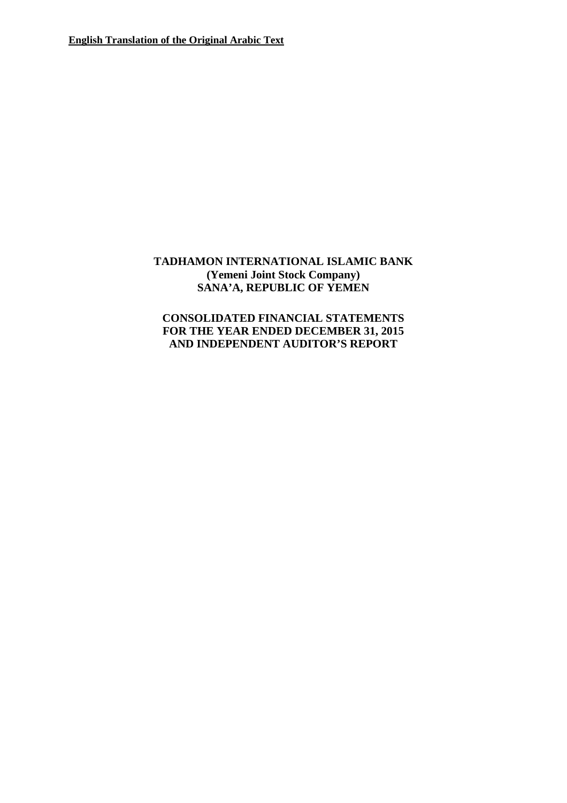# **TADHAMON INTERNATIONAL ISLAMIC BANK (Yemeni Joint Stock Company) SANA'A, REPUBLIC OF YEMEN**

# **CONSOLIDATED FINANCIAL STATEMENTS FOR THE YEAR ENDED DECEMBER 31, 2015 AND INDEPENDENT AUDITOR'S REPORT**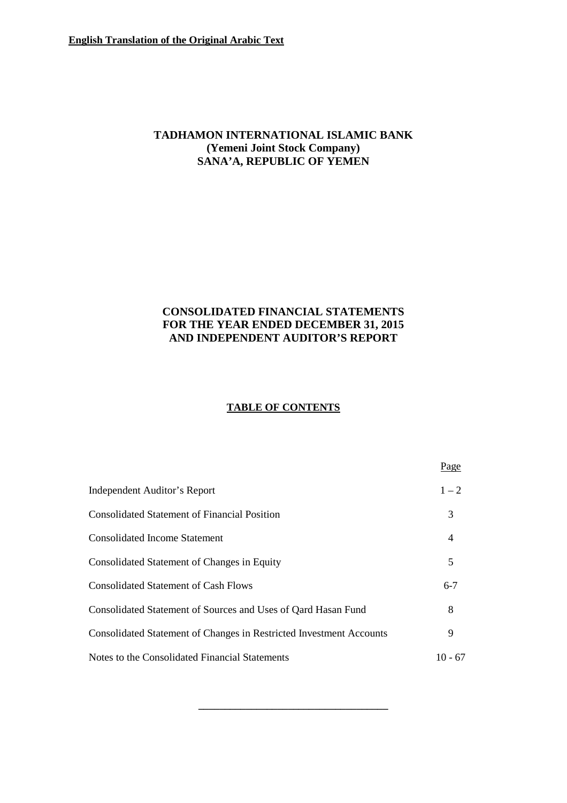# **TADHAMON INTERNATIONAL ISLAMIC BANK (Yemeni Joint Stock Company) SANA'A, REPUBLIC OF YEMEN**

# **CONSOLIDATED FINANCIAL STATEMENTS FOR THE YEAR ENDED DECEMBER 31, 2015 AND INDEPENDENT AUDITOR'S REPORT**

# **TABLE OF CONTENTS**

|                                                                     | Page      |
|---------------------------------------------------------------------|-----------|
| Independent Auditor's Report                                        | $1 - 2$   |
| <b>Consolidated Statement of Financial Position</b>                 | 3         |
| <b>Consolidated Income Statement</b>                                | 4         |
| Consolidated Statement of Changes in Equity                         | 5         |
| <b>Consolidated Statement of Cash Flows</b>                         | $6 - 7$   |
| Consolidated Statement of Sources and Uses of Qard Hasan Fund       | 8         |
| Consolidated Statement of Changes in Restricted Investment Accounts | 9         |
| Notes to the Consolidated Financial Statements                      | $10 - 67$ |

**\_\_\_\_\_\_\_\_\_\_\_\_\_\_\_\_\_\_\_\_\_\_\_\_\_\_\_\_\_\_\_\_\_\_\_\_**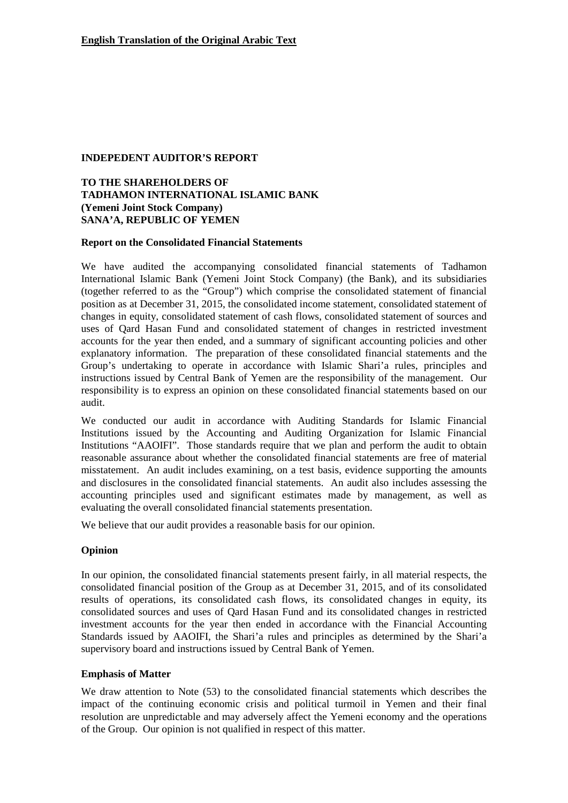#### **INDEPEDENT AUDITOR'S REPORT**

### **TO THE SHAREHOLDERS OF TADHAMON INTERNATIONAL ISLAMIC BANK (Yemeni Joint Stock Company) SANA'A, REPUBLIC OF YEMEN**

#### **Report on the Consolidated Financial Statements**

We have audited the accompanying consolidated financial statements of Tadhamon International Islamic Bank (Yemeni Joint Stock Company) (the Bank), and its subsidiaries (together referred to as the "Group") which comprise the consolidated statement of financial position as at December 31, 2015, the consolidated income statement, consolidated statement of changes in equity, consolidated statement of cash flows, consolidated statement of sources and uses of Qard Hasan Fund and consolidated statement of changes in restricted investment accounts for the year then ended, and a summary of significant accounting policies and other explanatory information. The preparation of these consolidated financial statements and the Group's undertaking to operate in accordance with Islamic Shari'a rules, principles and instructions issued by Central Bank of Yemen are the responsibility of the management. Our responsibility is to express an opinion on these consolidated financial statements based on our audit.

We conducted our audit in accordance with Auditing Standards for Islamic Financial Institutions issued by the Accounting and Auditing Organization for Islamic Financial Institutions "AAOIFI". Those standards require that we plan and perform the audit to obtain reasonable assurance about whether the consolidated financial statements are free of material misstatement. An audit includes examining, on a test basis, evidence supporting the amounts and disclosures in the consolidated financial statements. An audit also includes assessing the accounting principles used and significant estimates made by management, as well as evaluating the overall consolidated financial statements presentation.

We believe that our audit provides a reasonable basis for our opinion.

#### **Opinion**

In our opinion, the consolidated financial statements present fairly, in all material respects, the consolidated financial position of the Group as at December 31, 2015, and of its consolidated results of operations, its consolidated cash flows, its consolidated changes in equity, its consolidated sources and uses of Qard Hasan Fund and its consolidated changes in restricted investment accounts for the year then ended in accordance with the Financial Accounting Standards issued by AAOIFI, the Shari'a rules and principles as determined by the Shari'a supervisory board and instructions issued by Central Bank of Yemen.

#### **Emphasis of Matter**

We draw attention to Note (53) to the consolidated financial statements which describes the impact of the continuing economic crisis and political turmoil in Yemen and their final resolution are unpredictable and may adversely affect the Yemeni economy and the operations of the Group. Our opinion is not qualified in respect of this matter.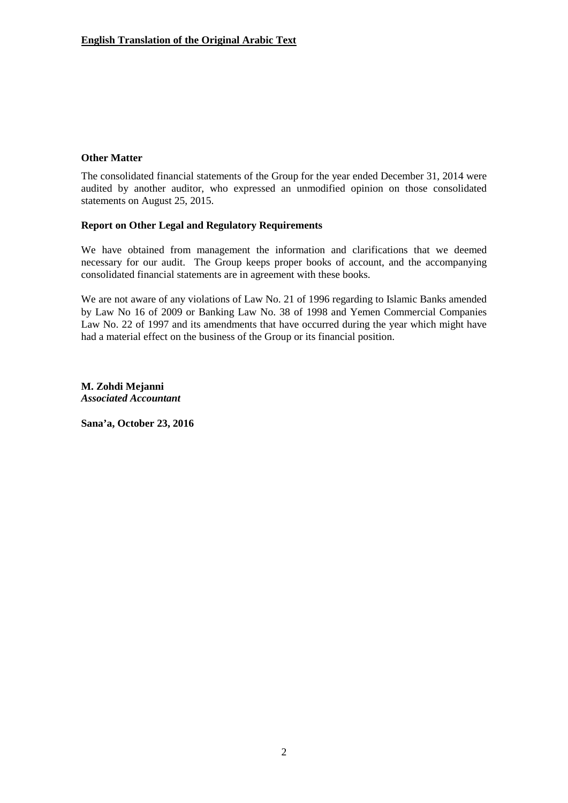### **Other Matter**

The consolidated financial statements of the Group for the year ended December 31, 2014 were audited by another auditor, who expressed an unmodified opinion on those consolidated statements on August 25, 2015.

#### **Report on Other Legal and Regulatory Requirements**

We have obtained from management the information and clarifications that we deemed necessary for our audit. The Group keeps proper books of account, and the accompanying consolidated financial statements are in agreement with these books.

We are not aware of any violations of Law No. 21 of 1996 regarding to Islamic Banks amended by Law No 16 of 2009 or Banking Law No. 38 of 1998 and Yemen Commercial Companies Law No. 22 of 1997 and its amendments that have occurred during the year which might have had a material effect on the business of the Group or its financial position.

**M. Zohdi Mejanni** *Associated Accountant*

**Sana'a, October 23, 2016**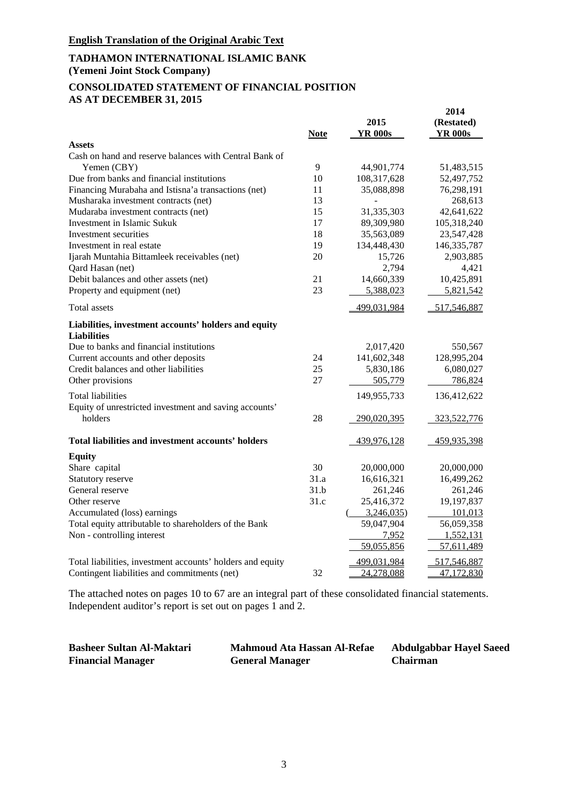# **TADHAMON INTERNATIONAL ISLAMIC BANK**

**(Yemeni Joint Stock Company)**

#### **CONSOLIDATED STATEMENT OF FINANCIAL POSITION AS AT DECEMBER 31, 2015**

|                                                                            | <b>Note</b> | 2015<br><b>YR 000s</b> | 2014<br>(Restated)<br><b>YR 000s</b> |
|----------------------------------------------------------------------------|-------------|------------------------|--------------------------------------|
| <b>Assets</b>                                                              |             |                        |                                      |
| Cash on hand and reserve balances with Central Bank of                     |             |                        |                                      |
| Yemen (CBY)                                                                | 9           | 44,901,774             | 51,483,515                           |
| Due from banks and financial institutions                                  | 10          | 108,317,628            | 52,497,752                           |
| Financing Murabaha and Istisna'a transactions (net)                        | 11          | 35,088,898             | 76,298,191                           |
| Musharaka investment contracts (net)                                       | 13          |                        | 268,613                              |
| Mudaraba investment contracts (net)                                        | 15          | 31,335,303             | 42,641,622                           |
| Investment in Islamic Sukuk                                                | 17          | 89,309,980             | 105,318,240                          |
| Investment securities                                                      | 18          | 35,563,089             | 23,547,428                           |
| Investment in real estate                                                  | 19          | 134,448,430            | 146, 335, 787                        |
| Ijarah Muntahia Bittamleek receivables (net)                               | 20          | 15,726                 | 2,903,885                            |
| Qard Hasan (net)                                                           |             | 2,794                  | 4,421                                |
| Debit balances and other assets (net)                                      | 21<br>23    | 14,660,339             | 10,425,891                           |
| Property and equipment (net)                                               |             | 5,388,023              | 5,821,542                            |
| Total assets                                                               |             | 499,031,984            | 517,546,887                          |
| Liabilities, investment accounts' holders and equity<br><b>Liabilities</b> |             |                        |                                      |
| Due to banks and financial institutions                                    |             | 2,017,420              | 550,567                              |
| Current accounts and other deposits                                        | 24          | 141,602,348            | 128,995,204                          |
| Credit balances and other liabilities                                      | 25          | 5,830,186              | 6,080,027                            |
| Other provisions                                                           | 27          | 505,779                | 786,824                              |
| <b>Total liabilities</b>                                                   |             | 149,955,733            | 136,412,622                          |
| Equity of unrestricted investment and saving accounts'                     |             |                        |                                      |
| holders                                                                    | 28          | 290,020,395            | 323,522,776                          |
| Total liabilities and investment accounts' holders                         |             | 439,976,128            | 459,935,398                          |
| <b>Equity</b>                                                              |             |                        |                                      |
| Share capital                                                              | 30          | 20,000,000             | 20,000,000                           |
| Statutory reserve                                                          | 31.a        | 16,616,321             | 16,499,262                           |
| General reserve                                                            | 31.b        | 261,246                | 261,246                              |
| Other reserve                                                              | 31.c        | 25,416,372             | 19,197,837                           |
| Accumulated (loss) earnings                                                |             | 3,246,035              | 101,013                              |
| Total equity attributable to shareholders of the Bank                      |             | 59,047,904             | 56,059,358                           |
| Non - controlling interest                                                 |             | 7,952                  | 1,552,131                            |
|                                                                            |             | 59,055,856             | 57,611,489                           |
| Total liabilities, investment accounts' holders and equity                 |             | 499,031,984            | 517,546,887                          |
| Contingent liabilities and commitments (net)                               | 32          | 24,278,088             | 47,172,830                           |

| <b>Basheer Sultan Al-Maktari</b> | <b>Mahmoud Ata Hassan Al-Refae</b> | <b>Abdulgabbar Hayel Saeed</b> |
|----------------------------------|------------------------------------|--------------------------------|
| <b>Financial Manager</b>         | <b>General Manager</b>             | <b>Chairman</b>                |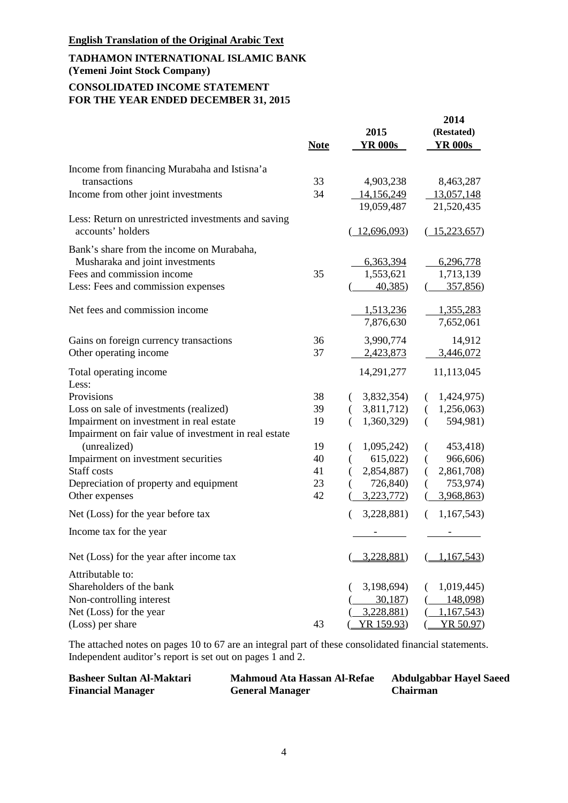# **TADHAMON INTERNATIONAL ISLAMIC BANK (Yemeni Joint Stock Company) CONSOLIDATED INCOME STATEMENT FOR THE YEAR ENDED DECEMBER 31, 2015**

|                                                                                                                                                  | <b>Note</b> | 2015<br><b>YR 000s</b>           | 2014<br>(Restated)<br><b>YR 000s</b> |
|--------------------------------------------------------------------------------------------------------------------------------------------------|-------------|----------------------------------|--------------------------------------|
| Income from financing Murabaha and Istisna'a<br>transactions                                                                                     | 33          | 4,903,238                        | 8,463,287                            |
| Income from other joint investments                                                                                                              | 34          | 14,156,249<br>19,059,487         | 13,057,148<br>21,520,435             |
| Less: Return on unrestricted investments and saving<br>accounts' holders                                                                         |             | (12,696,093)                     | (15,223,657)                         |
| Bank's share from the income on Murabaha,<br>Musharaka and joint investments<br>Fees and commission income<br>Less: Fees and commission expenses | 35          | 6,363,394<br>1,553,621<br>40,385 | 6,296,778<br>1,713,139<br>357,856)   |
| Net fees and commission income                                                                                                                   |             | 1,513,236<br>7,876,630           | 1,355,283<br>7,652,061               |
| Gains on foreign currency transactions<br>Other operating income                                                                                 | 36<br>37    | 3,990,774<br>2,423,873           | 14,912<br>3,446,072                  |
| Total operating income<br>Less:                                                                                                                  |             | 14,291,277                       | 11,113,045                           |
| Provisions                                                                                                                                       | 38          | (3,832,354)                      | 1,424,975)<br>€.                     |
| Loss on sale of investments (realized)                                                                                                           | 39          | 3,811,712)<br>$\left($           | (1,256,063)                          |
| Impairment on investment in real estate<br>Impairment on fair value of investment in real estate                                                 | 19          | 1,360,329<br>€                   | 594,981)<br>€                        |
| (unrealized)                                                                                                                                     | 19          | 1,095,242                        | 453,418)                             |
| Impairment on investment securities                                                                                                              | 40          | 615,022)<br>€                    | 966,606)<br>€                        |
| Staff costs                                                                                                                                      | 41          | 2,854,887)                       | 2,861,708)<br>€                      |
| Depreciation of property and equipment                                                                                                           | 23          | 726,840)                         | 753,974)                             |
| Other expenses                                                                                                                                   | 42          | 3,223,772                        | 3,968,863)                           |
| Net (Loss) for the year before tax                                                                                                               |             | 3,228,881)<br>€                  | 1,167,543)<br>€                      |
| Income tax for the year                                                                                                                          |             |                                  |                                      |
| Net (Loss) for the year after income tax                                                                                                         |             | <u>3,228,881</u> )               | <u>1,167,543</u> )                   |
| Attributable to:                                                                                                                                 |             |                                  |                                      |
| Shareholders of the bank                                                                                                                         |             | 3,198,694)<br>(                  | 1,019,445                            |
| Non-controlling interest                                                                                                                         |             | 30,187                           | 148,098)                             |
| Net (Loss) for the year                                                                                                                          |             | 3,228,881)                       | 1,167,543                            |
| (Loss) per share                                                                                                                                 | 43          | YR 159.93)                       | YR 50.97)                            |

| <b>Basheer Sultan Al-Maktari</b> | <b>Mahmoud Ata Hassan Al-Refae</b> | <b>Abdulgabbar Hayel Saeed</b> |
|----------------------------------|------------------------------------|--------------------------------|
| <b>Financial Manager</b>         | <b>General Manager</b>             | <b>Chairman</b>                |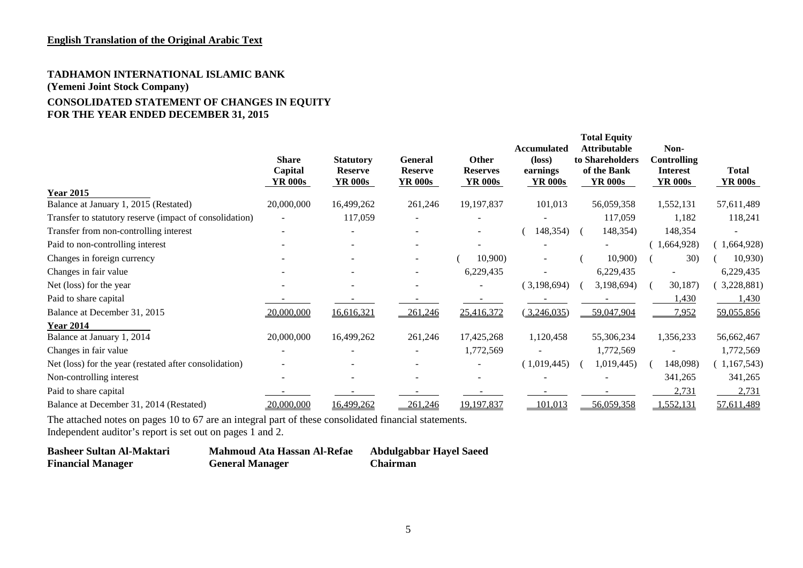# **TADHAMON INTERNATIONAL ISLAMIC BANK (Yemeni Joint Stock Company) CONSOLIDATED STATEMENT OF CHANGES IN EQUITY FOR THE YEAR ENDED DECEMBER 31, 2015**

|                                                         | <b>Share</b><br>Capital<br><b>YR 000s</b> | <b>Statutory</b><br><b>Reserve</b><br><b>YR 000s</b> | <b>General</b><br><b>Reserve</b><br><b>YR 000s</b> | Other<br><b>Reserves</b><br><b>YR 000s</b> | <b>Accumulated</b><br>$(\text{loss})$<br>earnings<br><b>YR 000s</b> | <b>Total Equity</b><br><b>Attributable</b><br>to Shareholders<br>of the Bank<br><b>YR 000s</b> | Non-<br><b>Controlling</b><br><b>Interest</b><br><b>YR 000s</b> | <b>Total</b><br><b>YR 000s</b> |
|---------------------------------------------------------|-------------------------------------------|------------------------------------------------------|----------------------------------------------------|--------------------------------------------|---------------------------------------------------------------------|------------------------------------------------------------------------------------------------|-----------------------------------------------------------------|--------------------------------|
| <b>Year 2015</b>                                        |                                           |                                                      |                                                    |                                            |                                                                     |                                                                                                |                                                                 |                                |
| Balance at January 1, 2015 (Restated)                   | 20,000,000                                | 16,499,262                                           | 261,246                                            | 19,197,837                                 | 101,013                                                             | 56,059,358                                                                                     | 1,552,131                                                       | 57,611,489                     |
| Transfer to statutory reserve (impact of consolidation) |                                           | 117,059                                              |                                                    |                                            |                                                                     | 117,059                                                                                        | 1,182                                                           | 118,241                        |
| Transfer from non-controlling interest                  |                                           |                                                      |                                                    | ۰                                          | 148,354)                                                            | 148,354)                                                                                       | 148,354                                                         |                                |
| Paid to non-controlling interest                        |                                           |                                                      |                                                    |                                            |                                                                     |                                                                                                | 1,664,928)                                                      | 1,664,928)                     |
| Changes in foreign currency                             |                                           |                                                      |                                                    | 10,900)                                    |                                                                     | 10,900)                                                                                        | 30)                                                             | 10,930)                        |
| Changes in fair value                                   |                                           |                                                      |                                                    | 6,229,435                                  |                                                                     | 6,229,435                                                                                      |                                                                 | 6,229,435                      |
| Net (loss) for the year                                 |                                           |                                                      |                                                    |                                            | (3,198,694)                                                         | 3,198,694)                                                                                     | 30,187)                                                         | 3,228,881)                     |
| Paid to share capital                                   |                                           |                                                      |                                                    |                                            |                                                                     |                                                                                                | 1,430                                                           | 1,430                          |
| Balance at December 31, 2015                            | 20,000,000                                | 16,616,321                                           | 261,246                                            | 25,416,372                                 | (3,246,035)                                                         | 59,047,904                                                                                     | 7,952                                                           | 59,055,856                     |
| <b>Year 2014</b>                                        |                                           |                                                      |                                                    |                                            |                                                                     |                                                                                                |                                                                 |                                |
| Balance at January 1, 2014                              | 20,000,000                                | 16,499,262                                           | 261,246                                            | 17,425,268                                 | 1,120,458                                                           | 55,306,234                                                                                     | 1,356,233                                                       | 56,662,467                     |
| Changes in fair value                                   |                                           |                                                      |                                                    | 1,772,569                                  |                                                                     | 1,772,569                                                                                      |                                                                 | 1,772,569                      |
| Net (loss) for the year (restated after consolidation)  |                                           |                                                      |                                                    |                                            | (1,019,445)                                                         | 1,019,445)                                                                                     | 148,098)                                                        | 1,167,543                      |
| Non-controlling interest                                |                                           |                                                      |                                                    |                                            |                                                                     |                                                                                                | 341,265                                                         | 341,265                        |
| Paid to share capital                                   |                                           |                                                      |                                                    |                                            |                                                                     |                                                                                                | 2,731                                                           | 2,731                          |
| Balance at December 31, 2014 (Restated)                 | 20,000,000                                | 16,499,262                                           | 261,246                                            | 19,197,837                                 | 101,013                                                             | 56,059,358                                                                                     | 1,552,131                                                       | 57,611,489                     |

| <b>Basheer Sultan Al-Maktari</b> | Mahmoud Ata Hassan Al-Refae | <b>Abdulgabbar Hayel Saeed</b> |
|----------------------------------|-----------------------------|--------------------------------|
| <b>Financial Manager</b>         | <b>General Manager</b>      | <b>Chairman</b>                |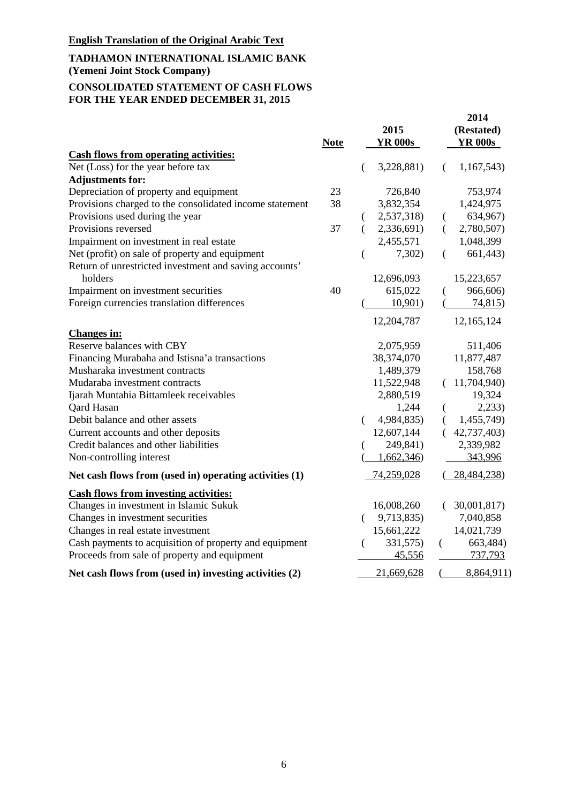# **TADHAMON INTERNATIONAL ISLAMIC BANK (Yemeni Joint Stock Company)**

#### **CONSOLIDATED STATEMENT OF CASH FLOWS FOR THE YEAR ENDED DECEMBER 31, 2015**

|                                                          | <b>Note</b> |   | 2015<br><b>YR 000s</b> |          | 2014<br>(Restated)<br><b>YR 000s</b> |
|----------------------------------------------------------|-------------|---|------------------------|----------|--------------------------------------|
| <b>Cash flows from operating activities:</b>             |             |   |                        |          |                                      |
| Net (Loss) for the year before tax                       |             |   | 3,228,881)             | €        | 1,167,543                            |
| <b>Adjustments for:</b>                                  |             |   |                        |          |                                      |
| Depreciation of property and equipment                   | 23          |   | 726,840                |          | 753,974                              |
| Provisions charged to the consolidated income statement  | 38          |   | 3,832,354              |          | 1,424,975                            |
| Provisions used during the year                          |             | € | 2,537,318)             | €        | 634,967)                             |
| Provisions reversed                                      | 37          | € | 2,336,691)             | $\left($ | 2,780,507)                           |
| Impairment on investment in real estate                  |             |   | 2,455,571              |          | 1,048,399                            |
| Net (profit) on sale of property and equipment           |             |   | 7,302)                 | €        | 661,443)                             |
| Return of unrestricted investment and saving accounts'   |             |   |                        |          |                                      |
| holders                                                  |             |   | 12,696,093             |          | 15,223,657                           |
| Impairment on investment securities                      | 40          |   | 615,022                |          | 966,606)                             |
| Foreign currencies translation differences               |             |   | 10,901)                |          | 74,815)                              |
|                                                          |             |   | 12,204,787             |          | 12,165,124                           |
| <b>Changes in:</b>                                       |             |   |                        |          |                                      |
| Reserve balances with CBY                                |             |   | 2,075,959              |          | 511,406                              |
| Financing Murabaha and Istisna'a transactions            |             |   | 38,374,070             |          | 11,877,487                           |
| Musharaka investment contracts                           |             |   | 1,489,379              |          | 158,768                              |
| Mudaraba investment contracts                            |             |   | 11,522,948             |          | 11,704,940)                          |
| Ijarah Muntahia Bittamleek receivables                   |             |   | 2,880,519              |          | 19,324                               |
| Qard Hasan                                               |             |   | 1,244                  | €        | 2,233)                               |
| Debit balance and other assets                           |             |   | 4,984,835)             | (        | 1,455,749)                           |
| Current accounts and other deposits                      |             |   | 12,607,144             |          | 42,737,403)                          |
| Credit balances and other liabilities                    |             |   | 249,841)               |          | 2,339,982                            |
| Non-controlling interest                                 |             |   | 1,662,346)             |          | 343,996                              |
| Net cash flows from (used in) operating activities $(1)$ |             |   | 74,259,028             |          | (28, 484, 238)                       |
| <b>Cash flows from investing activities:</b>             |             |   |                        |          |                                      |
| Changes in investment in Islamic Sukuk                   |             |   | 16,008,260             |          | (30,001,817)                         |
| Changes in investment securities                         |             |   | 9,713,835)             |          | 7,040,858                            |
| Changes in real estate investment                        |             |   | 15,661,222             |          | 14,021,739                           |
| Cash payments to acquisition of property and equipment   |             | € | 331,575)               | €        | 663,484)                             |
| Proceeds from sale of property and equipment             |             |   | 45,556                 |          | 737,793                              |
| Net cash flows from (used in) investing activities (2)   |             |   | 21,669,628             |          | 8,864,911)                           |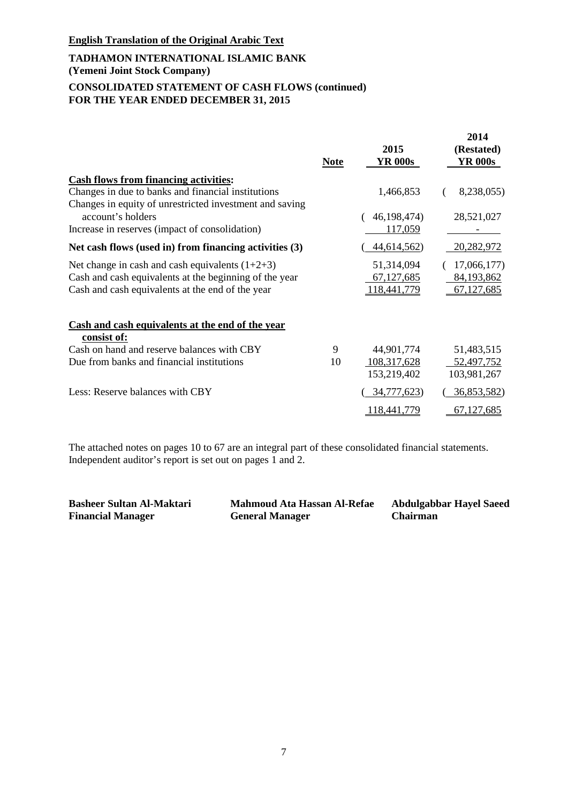# **TADHAMON INTERNATIONAL ISLAMIC BANK (Yemeni Joint Stock Company) CONSOLIDATED STATEMENT OF CASH FLOWS (continued) FOR THE YEAR ENDED DECEMBER 31, 2015**

|                                                                                                            | <b>Note</b> | 2015<br><b>YR 000s</b>     | 2014<br>(Restated)<br><b>YR 000s</b> |
|------------------------------------------------------------------------------------------------------------|-------------|----------------------------|--------------------------------------|
| <b>Cash flows from financing activities:</b>                                                               |             |                            |                                      |
| Changes in due to banks and financial institutions                                                         |             | 1,466,853                  | 8,238,055)                           |
| Changes in equity of unrestricted investment and saving<br>account's holders                               |             | 46, 198, 474)              | 28,521,027                           |
| Increase in reserves (impact of consolidation)                                                             |             | 117,059                    |                                      |
| Net cash flows (used in) from financing activities $(3)$                                                   |             | <u>44,614,562</u> )        | 20,282,972                           |
| Net change in cash and cash equivalents $(1+2+3)$                                                          |             | 51,314,094                 | 17,066,177)                          |
| Cash and cash equivalents at the beginning of the year<br>Cash and cash equivalents at the end of the year |             | 67,127,685<br>118,441,779  | 84,193,862<br>67,127,685             |
| Cash and cash equivalents at the end of the year<br>consist of:                                            |             |                            |                                      |
| Cash on hand and reserve balances with CBY                                                                 | 9           | 44,901,774                 | 51,483,515                           |
| Due from banks and financial institutions                                                                  | 10          | 108,317,628<br>153,219,402 | 52,497,752<br>103,981,267            |
| Less: Reserve balances with CBY                                                                            |             | 34,777,623)                | <u>36,853,582</u> )                  |
|                                                                                                            |             | 118,441,779                | 67,127,685                           |

| <b>Basheer Sultan Al-Maktari</b> | <b>Mahmoud Ata Hassan Al-Refae</b> | <b>Abdulgabbar Hayel Saeed</b> |
|----------------------------------|------------------------------------|--------------------------------|
| <b>Financial Manager</b>         | <b>General Manager</b>             | <b>Chairman</b>                |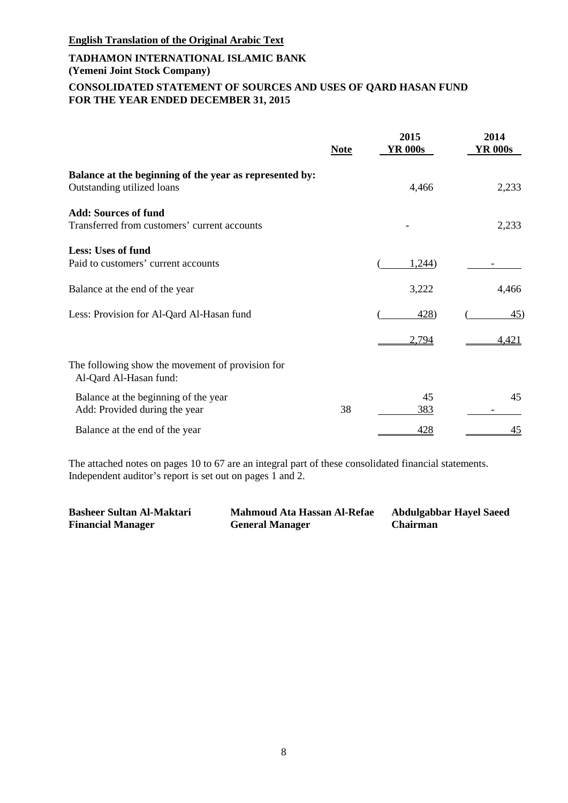# **TADHAMON INTERNATIONAL ISLAMIC BANK (Yemeni Joint Stock Company) CONSOLIDATED STATEMENT OF SOURCES AND USES OF QARD HASAN FUND FOR THE YEAR ENDED DECEMBER 31, 2015**

|                                                                                       | <b>Note</b> | 2015<br><b>YR 000s</b> | 2014<br><b>YR 000s</b> |
|---------------------------------------------------------------------------------------|-------------|------------------------|------------------------|
| Balance at the beginning of the year as represented by:<br>Outstanding utilized loans |             | 4,466                  | 2,233                  |
| <b>Add: Sources of fund</b><br>Transferred from customers' current accounts           |             |                        | 2,233                  |
| Less: Uses of fund                                                                    |             |                        |                        |
| Paid to customers' current accounts                                                   |             | 1,244)                 |                        |
| Balance at the end of the year                                                        |             | 3,222                  | 4,466                  |
| Less: Provision for Al-Qard Al-Hasan fund                                             |             | 428)                   | 45)                    |
|                                                                                       |             | 2,794                  | 4,421                  |
| The following show the movement of provision for<br>Al-Qard Al-Hasan fund:            |             |                        |                        |
| Balance at the beginning of the year<br>Add: Provided during the year                 | 38          | 45<br>383              | 45                     |
| Balance at the end of the year                                                        |             | 428                    | <u>45</u>              |

| <b>Basheer Sultan Al-Maktari</b> | <b>Mahmoud Ata Hassan Al-Refae</b> | <b>Abdulgabbar Hayel Saeed</b> |
|----------------------------------|------------------------------------|--------------------------------|
| <b>Financial Manager</b>         | <b>General Manager</b>             | <b>Chairman</b>                |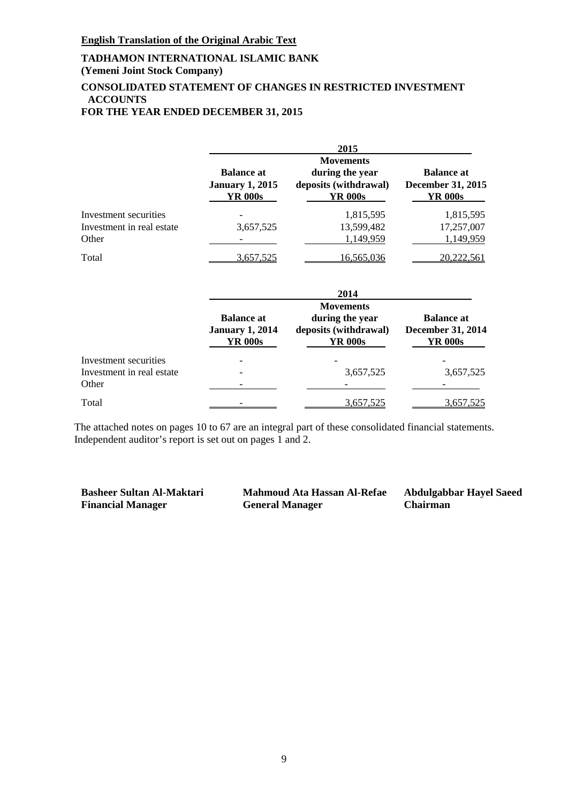# **TADHAMON INTERNATIONAL ISLAMIC BANK**

**(Yemeni Joint Stock Company)**

# **CONSOLIDATED STATEMENT OF CHANGES IN RESTRICTED INVESTMENT ACCOUNTS**

# **FOR THE YEAR ENDED DECEMBER 31, 2015**

|                                                             |                                                               | 2015                                                                           |                                                                 |
|-------------------------------------------------------------|---------------------------------------------------------------|--------------------------------------------------------------------------------|-----------------------------------------------------------------|
|                                                             | <b>Balance at</b><br><b>January 1, 2015</b><br><b>YR 000s</b> | <b>Movements</b><br>during the year<br>deposits (withdrawal)<br><b>YR 000s</b> | <b>Balance</b> at<br><b>December 31, 2015</b><br><b>YR 000s</b> |
| Investment securities<br>Investment in real estate<br>Other | 3,657,525                                                     | 1,815,595<br>13,599,482<br>1,149,959                                           | 1,815,595<br>17,257,007<br>1,149,959                            |
| Total                                                       | 3,657,525                                                     | 16,565,036                                                                     | 20,222,561                                                      |
|                                                             |                                                               | 2014                                                                           |                                                                 |
|                                                             | <b>Balance at</b><br><b>January 1, 2014</b><br><b>YR 000s</b> | <b>Movements</b><br>during the year<br>deposits (withdrawal)<br><b>YR 000s</b> | <b>Balance at</b><br><b>December 31, 2014</b><br><b>YR 000s</b> |
| Investment securities<br>Investment in real estate<br>Other |                                                               | 3,657,525                                                                      | 3,657,525                                                       |
| Total                                                       |                                                               | 3,657,525                                                                      | 3,657,525                                                       |

The attached notes on pages 10 to 67 are an integral part of these consolidated financial statements. Independent auditor's report is set out on pages 1 and 2.

**Financial Manager General Manager** 

**Basheer Sultan Al-Maktari Mahmoud Ata Hassan Al-Refae Abdulgabbar Hayel Saeed**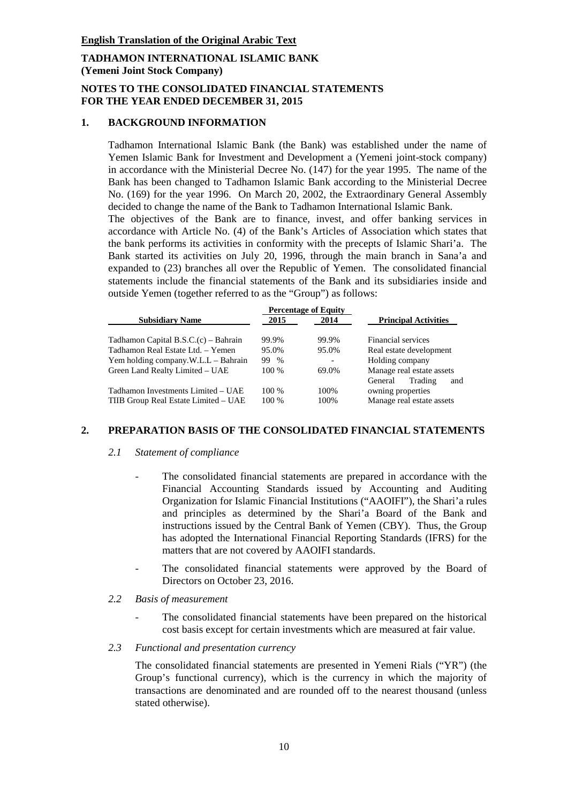# **NOTES TO THE CONSOLIDATED FINANCIAL STATEMENTS FOR THE YEAR ENDED DECEMBER 31, 2015**

# **1. BACKGROUND INFORMATION**

Tadhamon International Islamic Bank (the Bank) was established under the name of Yemen Islamic Bank for Investment and Development a (Yemeni joint-stock company) in accordance with the Ministerial Decree No. (147) for the year 1995. The name of the Bank has been changed to Tadhamon Islamic Bank according to the Ministerial Decree No. (169) for the year 1996. On March 20, 2002, the Extraordinary General Assembly decided to change the name of the Bank to Tadhamon International Islamic Bank. The objectives of the Bank are to finance, invest, and offer banking services in accordance with Article No. (4) of the Bank's Articles of Association which states that the bank performs its activities in conformity with the precepts of Islamic Shari'a. The Bank started its activities on July 20, 1996, through the main branch in Sana'a and expanded to (23) branches all over the Republic of Yemen. The consolidated financial statements include the financial statements of the Bank and its subsidiaries inside and outside Yemen (together referred to as the "Group") as follows:

| <b>Percentage of Equity</b>            |       |       |                             |  |  |
|----------------------------------------|-------|-------|-----------------------------|--|--|
| <b>Subsidiary Name</b>                 | 2015  | 2014  | <b>Principal Activities</b> |  |  |
| Tadhamon Capital $B.S.C.(c) - Bahrain$ | 99.9% | 99.9% | Financial services          |  |  |
| Tadhamon Real Estate Ltd. - Yemen      | 95.0% | 95.0% | Real estate development     |  |  |
| Yem holding company.W.L.L – Bahrain    | 99 %  |       | Holding company             |  |  |
| Green Land Realty Limited - UAE        | 100 % | 69.0% | Manage real estate assets   |  |  |
|                                        |       |       | Trading<br>General<br>and   |  |  |
| Tadhamon Investments Limited – UAE     | 100 % | 100%  | owning properties           |  |  |
| TIIB Group Real Estate Limited - UAE   | 100 % | 100%  | Manage real estate assets   |  |  |

#### **2. PREPARATION BASIS OF THE CONSOLIDATED FINANCIAL STATEMENTS**

#### *2.1 Statement of compliance*

- The consolidated financial statements are prepared in accordance with the Financial Accounting Standards issued by Accounting and Auditing Organization for Islamic Financial Institutions ("AAOIFI"), the Shari'a rules and principles as determined by the Shari'a Board of the Bank and instructions issued by the Central Bank of Yemen (CBY). Thus, the Group has adopted the International Financial Reporting Standards (IFRS) for the matters that are not covered by AAOIFI standards.
- The consolidated financial statements were approved by the Board of Directors on October 23, 2016.
- *2.2 Basis of measurement*
	- The consolidated financial statements have been prepared on the historical cost basis except for certain investments which are measured at fair value.

#### *2.3 Functional and presentation currency*

The consolidated financial statements are presented in Yemeni Rials ("YR") (the Group's functional currency), which is the currency in which the majority of transactions are denominated and are rounded off to the nearest thousand (unless stated otherwise).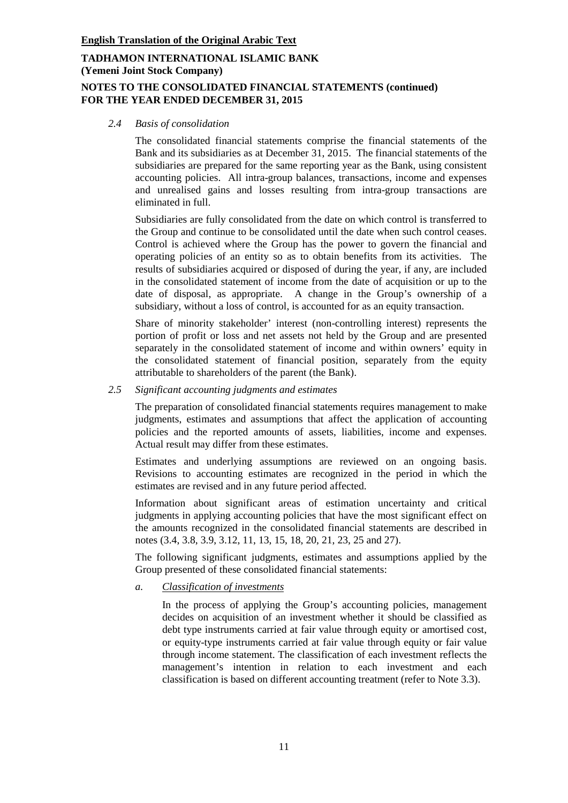# **TADHAMON INTERNATIONAL ISLAMIC BANK (Yemeni Joint Stock Company) NOTES TO THE CONSOLIDATED FINANCIAL STATEMENTS (continued)**

# **FOR THE YEAR ENDED DECEMBER 31, 2015**

*2.4 Basis of consolidation*

The consolidated financial statements comprise the financial statements of the Bank and its subsidiaries as at December 31, 2015. The financial statements of the subsidiaries are prepared for the same reporting year as the Bank, using consistent accounting policies. All intra-group balances, transactions, income and expenses and unrealised gains and losses resulting from intra-group transactions are eliminated in full.

Subsidiaries are fully consolidated from the date on which control is transferred to the Group and continue to be consolidated until the date when such control ceases. Control is achieved where the Group has the power to govern the financial and operating policies of an entity so as to obtain benefits from its activities. The results of subsidiaries acquired or disposed of during the year, if any, are included in the consolidated statement of income from the date of acquisition or up to the date of disposal, as appropriate. A change in the Group's ownership of a subsidiary, without a loss of control, is accounted for as an equity transaction.

Share of minority stakeholder' interest (non-controlling interest) represents the portion of profit or loss and net assets not held by the Group and are presented separately in the consolidated statement of income and within owners' equity in the consolidated statement of financial position, separately from the equity attributable to shareholders of the parent (the Bank).

*2.5 Significant accounting judgments and estimates*

The preparation of consolidated financial statements requires management to make judgments, estimates and assumptions that affect the application of accounting policies and the reported amounts of assets, liabilities, income and expenses. Actual result may differ from these estimates.

Estimates and underlying assumptions are reviewed on an ongoing basis. Revisions to accounting estimates are recognized in the period in which the estimates are revised and in any future period affected.

Information about significant areas of estimation uncertainty and critical judgments in applying accounting policies that have the most significant effect on the amounts recognized in the consolidated financial statements are described in notes (3.4, 3.8, 3.9, 3.12, 11, 13, 15, 18, 20, 21, 23, 25 and 27).

The following significant judgments, estimates and assumptions applied by the Group presented of these consolidated financial statements:

*a. Classification of investments*

In the process of applying the Group's accounting policies, management decides on acquisition of an investment whether it should be classified as debt type instruments carried at fair value through equity or amortised cost, or equity-type instruments carried at fair value through equity or fair value through income statement. The classification of each investment reflects the management's intention in relation to each investment and each classification is based on different accounting treatment (refer to Note 3.3).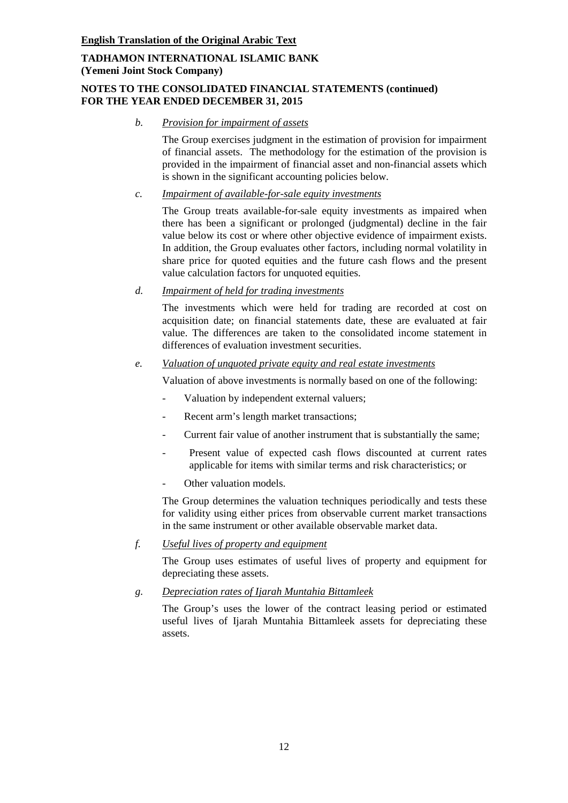# **NOTES TO THE CONSOLIDATED FINANCIAL STATEMENTS (continued) FOR THE YEAR ENDED DECEMBER 31, 2015**

*b. Provision for impairment of assets*

The Group exercises judgment in the estimation of provision for impairment of financial assets. The methodology for the estimation of the provision is provided in the impairment of financial asset and non-financial assets which is shown in the significant accounting policies below.

*c. Impairment of available-for-sale equity investments*

The Group treats available-for-sale equity investments as impaired when there has been a significant or prolonged (judgmental) decline in the fair value below its cost or where other objective evidence of impairment exists. In addition, the Group evaluates other factors, including normal volatility in share price for quoted equities and the future cash flows and the present value calculation factors for unquoted equities.

*d. Impairment of held for trading investments*

The investments which were held for trading are recorded at cost on acquisition date; on financial statements date, these are evaluated at fair value. The differences are taken to the consolidated income statement in differences of evaluation investment securities.

# *e. Valuation of unquoted private equity and real estate investments*

Valuation of above investments is normally based on one of the following:

- Valuation by independent external valuers;
- Recent arm's length market transactions;
- Current fair value of another instrument that is substantially the same;
- Present value of expected cash flows discounted at current rates applicable for items with similar terms and risk characteristics; or
- Other valuation models.

The Group determines the valuation techniques periodically and tests these for validity using either prices from observable current market transactions in the same instrument or other available observable market data.

# *f. Useful lives of property and equipment*

The Group uses estimates of useful lives of property and equipment for depreciating these assets.

*g. Depreciation rates of Ijarah Muntahia Bittamleek*

The Group's uses the lower of the contract leasing period or estimated useful lives of Ijarah Muntahia Bittamleek assets for depreciating these assets.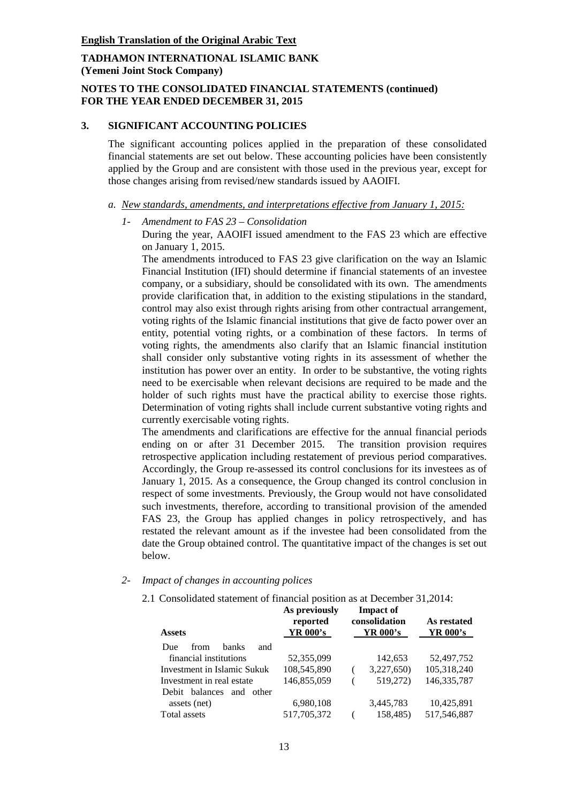### **NOTES TO THE CONSOLIDATED FINANCIAL STATEMENTS (continued) FOR THE YEAR ENDED DECEMBER 31, 2015**

#### **3. SIGNIFICANT ACCOUNTING POLICIES**

The significant accounting polices applied in the preparation of these consolidated financial statements are set out below. These accounting policies have been consistently applied by the Group and are consistent with those used in the previous year, except for those changes arising from revised/new standards issued by AAOIFI.

- *a. New standards, amendments, and interpretations effective from January 1, 2015:*
	- *1- Amendment to FAS 23 – Consolidation*

During the year, AAOIFI issued amendment to the FAS 23 which are effective on January 1, 2015.

The amendments introduced to FAS 23 give clarification on the way an Islamic Financial Institution (IFI) should determine if financial statements of an investee company, or a subsidiary, should be consolidated with its own. The amendments provide clarification that, in addition to the existing stipulations in the standard, control may also exist through rights arising from other contractual arrangement, voting rights of the Islamic financial institutions that give de facto power over an entity, potential voting rights, or a combination of these factors. In terms of voting rights, the amendments also clarify that an Islamic financial institution shall consider only substantive voting rights in its assessment of whether the institution has power over an entity. In order to be substantive, the voting rights need to be exercisable when relevant decisions are required to be made and the holder of such rights must have the practical ability to exercise those rights. Determination of voting rights shall include current substantive voting rights and currently exercisable voting rights.

The amendments and clarifications are effective for the annual financial periods ending on or after 31 December 2015. The transition provision requires retrospective application including restatement of previous period comparatives. Accordingly, the Group re-assessed its control conclusions for its investees as of January 1, 2015. As a consequence, the Group changed its control conclusion in respect of some investments. Previously, the Group would not have consolidated such investments, therefore, according to transitional provision of the amended FAS 23, the Group has applied changes in policy retrospectively, and has restated the relevant amount as if the investee had been consolidated from the date the Group obtained control. The quantitative impact of the changes is set out below.

#### *2- Impact of changes in accounting polices*

2.1 Consolidated statement of financial position as at December 31,2014:

| <b>Assets</b>                      | As previously<br>reported<br>YR 000's | <b>Impact of</b><br>consolidation<br>YR 000's | As restated<br>YR 000's |
|------------------------------------|---------------------------------------|-----------------------------------------------|-------------------------|
| <b>banks</b><br>and<br>Due<br>from |                                       |                                               |                         |
| financial institutions             | 52,355,099                            | 142,653                                       | 52,497,752              |
| Investment in Islamic Sukuk        | 108,545,890                           | 3,227,650)                                    | 105,318,240             |
| Investment in real estate          | 146,855,059                           | 519,272)                                      | 146, 335, 787           |
| Debit balances and<br>other        |                                       |                                               |                         |
| assets (net)                       | 6,980,108                             | 3,445,783                                     | 10,425,891              |
| Total assets                       | 517,705,372                           | 158,485)                                      | 517,546,887             |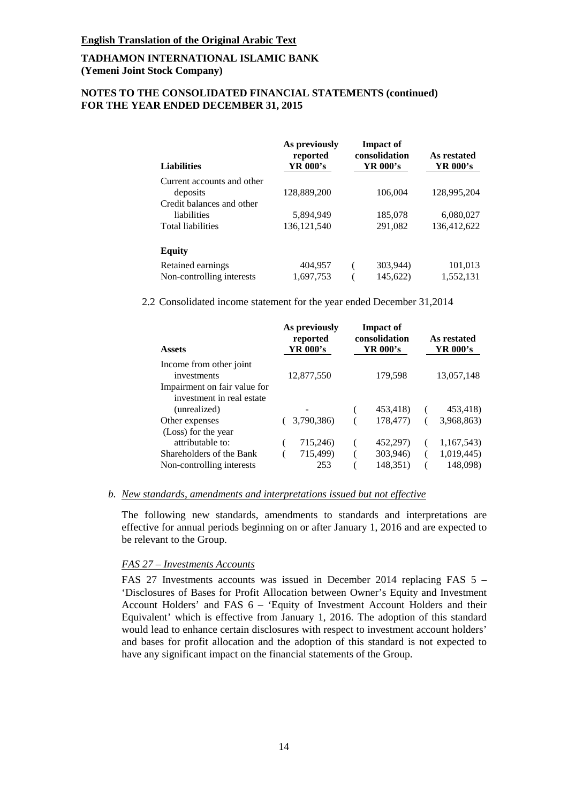# **NOTES TO THE CONSOLIDATED FINANCIAL STATEMENTS (continued) FOR THE YEAR ENDED DECEMBER 31, 2015**

| <b>Liabilities</b>         | As previously<br>reported<br>YR 000's | <b>Impact of</b><br>consolidation<br>YR 000's |          | As restated<br>YR 000's |
|----------------------------|---------------------------------------|-----------------------------------------------|----------|-------------------------|
| Current accounts and other |                                       |                                               |          |                         |
| deposits                   | 128,889,200                           |                                               | 106,004  | 128,995,204             |
| Credit balances and other  |                                       |                                               |          |                         |
| liabilities                | 5,894,949                             |                                               | 185,078  | 6,080,027               |
| <b>Total liabilities</b>   | 136, 121, 540                         |                                               | 291,082  | 136.412.622             |
| <b>Equity</b>              |                                       |                                               |          |                         |
| Retained earnings          | 404,957                               |                                               | 303,944) | 101,013                 |
| Non-controlling interests  | 1,697,753                             |                                               | 145,622) | 1,552,131               |

2.2 Consolidated income statement for the year ended December 31,2014

| <b>Assets</b>                          | As previously<br><b>Impact of</b><br>consolidation<br>reported<br>YR 000's<br>YR 000's |          | As restated<br>YR 000's |  |
|----------------------------------------|----------------------------------------------------------------------------------------|----------|-------------------------|--|
| Income from other joint<br>investments | 12,877,550                                                                             | 179,598  | 13,057,148              |  |
| Impairment on fair value for           |                                                                                        |          |                         |  |
| investment in real estate              |                                                                                        |          |                         |  |
| (unrealized)                           |                                                                                        | 453,418) | 453,418)                |  |
| Other expenses                         | 3,790,386)                                                                             | 178,477) | 3,968,863)              |  |
| (Loss) for the year                    |                                                                                        |          |                         |  |
| attributable to:                       | 715,246)                                                                               | 452,297) | 1,167,543)              |  |
| Shareholders of the Bank               | 715,499)                                                                               | 303,946) | 1,019,445)              |  |
| Non-controlling interests              | 253                                                                                    | 148,351) | 148,098)                |  |

#### *b. New standards, amendments and interpretations issued but not effective*

The following new standards, amendments to standards and interpretations are effective for annual periods beginning on or after January 1, 2016 and are expected to be relevant to the Group.

#### *FAS 27 – Investments Accounts*

FAS 27 Investments accounts was issued in December 2014 replacing FAS 5 – 'Disclosures of Bases for Profit Allocation between Owner's Equity and Investment Account Holders' and FAS 6 – 'Equity of Investment Account Holders and their Equivalent' which is effective from January 1, 2016. The adoption of this standard would lead to enhance certain disclosures with respect to investment account holders' and bases for profit allocation and the adoption of this standard is not expected to have any significant impact on the financial statements of the Group.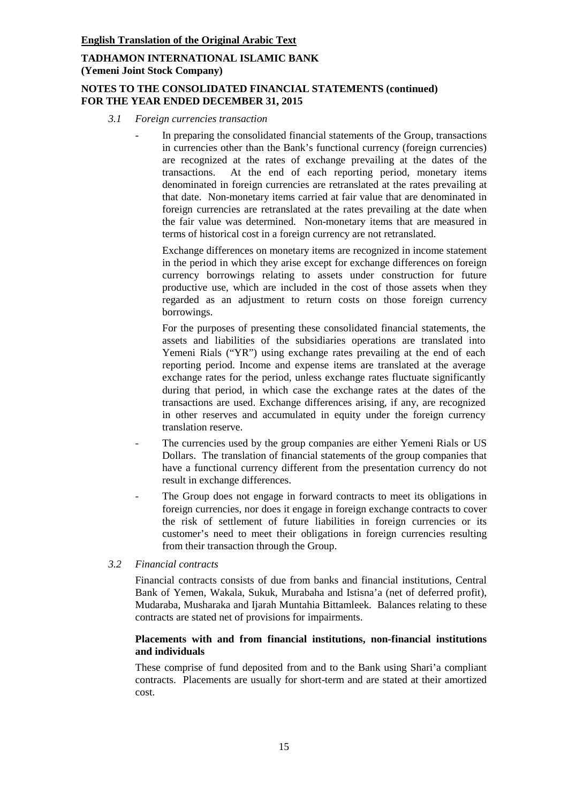### **NOTES TO THE CONSOLIDATED FINANCIAL STATEMENTS (continued) FOR THE YEAR ENDED DECEMBER 31, 2015**

- *3.1 Foreign currencies transaction* 
	- In preparing the consolidated financial statements of the Group, transactions in currencies other than the Bank's functional currency (foreign currencies) are recognized at the rates of exchange prevailing at the dates of the transactions. At the end of each reporting period, monetary items denominated in foreign currencies are retranslated at the rates prevailing at that date. Non-monetary items carried at fair value that are denominated in foreign currencies are retranslated at the rates prevailing at the date when the fair value was determined. Non-monetary items that are measured in terms of historical cost in a foreign currency are not retranslated.

Exchange differences on monetary items are recognized in income statement in the period in which they arise except for exchange differences on foreign currency borrowings relating to assets under construction for future productive use, which are included in the cost of those assets when they regarded as an adjustment to return costs on those foreign currency borrowings.

For the purposes of presenting these consolidated financial statements, the assets and liabilities of the subsidiaries operations are translated into Yemeni Rials ("YR") using exchange rates prevailing at the end of each reporting period. Income and expense items are translated at the average exchange rates for the period, unless exchange rates fluctuate significantly during that period, in which case the exchange rates at the dates of the transactions are used. Exchange differences arising, if any, are recognized in other reserves and accumulated in equity under the foreign currency translation reserve.

- The currencies used by the group companies are either Yemeni Rials or US Dollars. The translation of financial statements of the group companies that have a functional currency different from the presentation currency do not result in exchange differences.
- The Group does not engage in forward contracts to meet its obligations in foreign currencies, nor does it engage in foreign exchange contracts to cover the risk of settlement of future liabilities in foreign currencies or its customer's need to meet their obligations in foreign currencies resulting from their transaction through the Group.

#### *3.2 Financial contracts*

Financial contracts consists of due from banks and financial institutions, Central Bank of Yemen, Wakala, Sukuk, Murabaha and Istisna'a (net of deferred profit), Mudaraba, Musharaka and Ijarah Muntahia Bittamleek. Balances relating to these contracts are stated net of provisions for impairments.

#### **Placements with and from financial institutions, non-financial institutions and individuals**

These comprise of fund deposited from and to the Bank using Shari'a compliant contracts. Placements are usually for short-term and are stated at their amortized cost.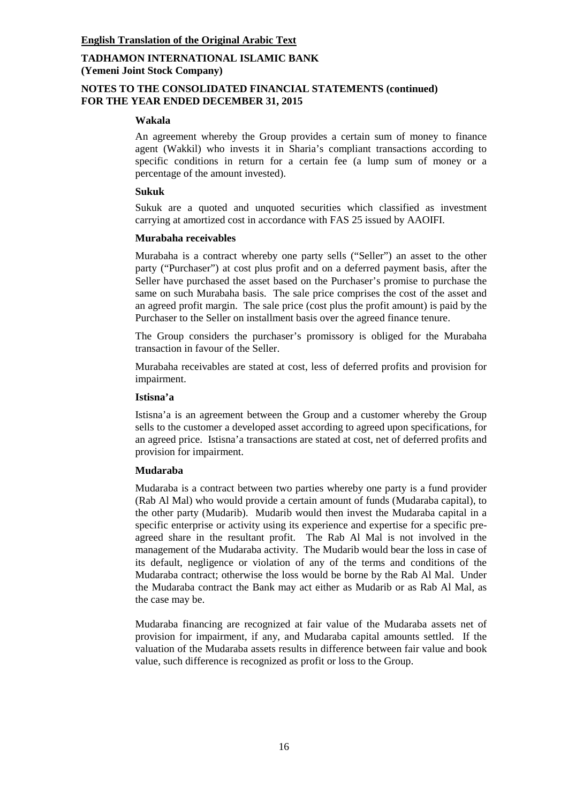### **NOTES TO THE CONSOLIDATED FINANCIAL STATEMENTS (continued) FOR THE YEAR ENDED DECEMBER 31, 2015**

#### **Wakala**

An agreement whereby the Group provides a certain sum of money to finance agent (Wakkil) who invests it in Sharia's compliant transactions according to specific conditions in return for a certain fee (a lump sum of money or a percentage of the amount invested).

#### **Sukuk**

Sukuk are a quoted and unquoted securities which classified as investment carrying at amortized cost in accordance with FAS 25 issued by AAOIFI.

### **Murabaha receivables**

Murabaha is a contract whereby one party sells ("Seller") an asset to the other party ("Purchaser") at cost plus profit and on a deferred payment basis, after the Seller have purchased the asset based on the Purchaser's promise to purchase the same on such Murabaha basis. The sale price comprises the cost of the asset and an agreed profit margin. The sale price (cost plus the profit amount) is paid by the Purchaser to the Seller on installment basis over the agreed finance tenure.

The Group considers the purchaser's promissory is obliged for the Murabaha transaction in favour of the Seller.

Murabaha receivables are stated at cost, less of deferred profits and provision for impairment.

### **Istisna'a**

Istisna'a is an agreement between the Group and a customer whereby the Group sells to the customer a developed asset according to agreed upon specifications, for an agreed price. Istisna'a transactions are stated at cost, net of deferred profits and provision for impairment.

# **Mudaraba**

Mudaraba is a contract between two parties whereby one party is a fund provider (Rab Al Mal) who would provide a certain amount of funds (Mudaraba capital), to the other party (Mudarib). Mudarib would then invest the Mudaraba capital in a specific enterprise or activity using its experience and expertise for a specific preagreed share in the resultant profit. The Rab Al Mal is not involved in the management of the Mudaraba activity. The Mudarib would bear the loss in case of its default, negligence or violation of any of the terms and conditions of the Mudaraba contract; otherwise the loss would be borne by the Rab Al Mal. Under the Mudaraba contract the Bank may act either as Mudarib or as Rab Al Mal, as the case may be.

Mudaraba financing are recognized at fair value of the Mudaraba assets net of provision for impairment, if any, and Mudaraba capital amounts settled. If the valuation of the Mudaraba assets results in difference between fair value and book value, such difference is recognized as profit or loss to the Group.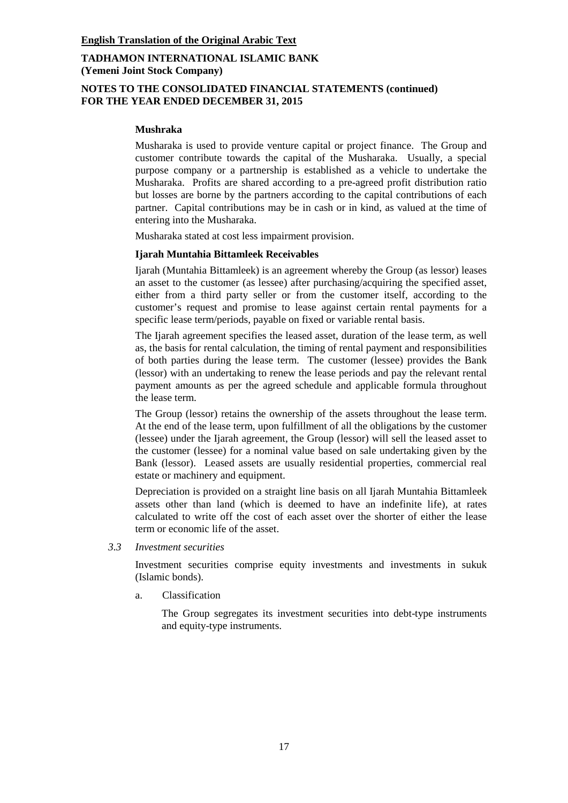# **NOTES TO THE CONSOLIDATED FINANCIAL STATEMENTS (continued) FOR THE YEAR ENDED DECEMBER 31, 2015**

### **Mushraka**

Musharaka is used to provide venture capital or project finance. The Group and customer contribute towards the capital of the Musharaka. Usually, a special purpose company or a partnership is established as a vehicle to undertake the Musharaka. Profits are shared according to a pre-agreed profit distribution ratio but losses are borne by the partners according to the capital contributions of each partner. Capital contributions may be in cash or in kind, as valued at the time of entering into the Musharaka.

Musharaka stated at cost less impairment provision.

#### **Ijarah Muntahia Bittamleek Receivables**

Ijarah (Muntahia Bittamleek) is an agreement whereby the Group (as lessor) leases an asset to the customer (as lessee) after purchasing/acquiring the specified asset, either from a third party seller or from the customer itself, according to the customer's request and promise to lease against certain rental payments for a specific lease term/periods, payable on fixed or variable rental basis.

The Ijarah agreement specifies the leased asset, duration of the lease term, as well as, the basis for rental calculation, the timing of rental payment and responsibilities of both parties during the lease term. The customer (lessee) provides the Bank (lessor) with an undertaking to renew the lease periods and pay the relevant rental payment amounts as per the agreed schedule and applicable formula throughout the lease term.

The Group (lessor) retains the ownership of the assets throughout the lease term. At the end of the lease term, upon fulfillment of all the obligations by the customer (lessee) under the Ijarah agreement, the Group (lessor) will sell the leased asset to the customer (lessee) for a nominal value based on sale undertaking given by the Bank (lessor). Leased assets are usually residential properties, commercial real estate or machinery and equipment.

Depreciation is provided on a straight line basis on all Ijarah Muntahia Bittamleek assets other than land (which is deemed to have an indefinite life), at rates calculated to write off the cost of each asset over the shorter of either the lease term or economic life of the asset.

*3.3 Investment securities*

Investment securities comprise equity investments and investments in sukuk (Islamic bonds).

a. Classification

The Group segregates its investment securities into debt-type instruments and equity-type instruments.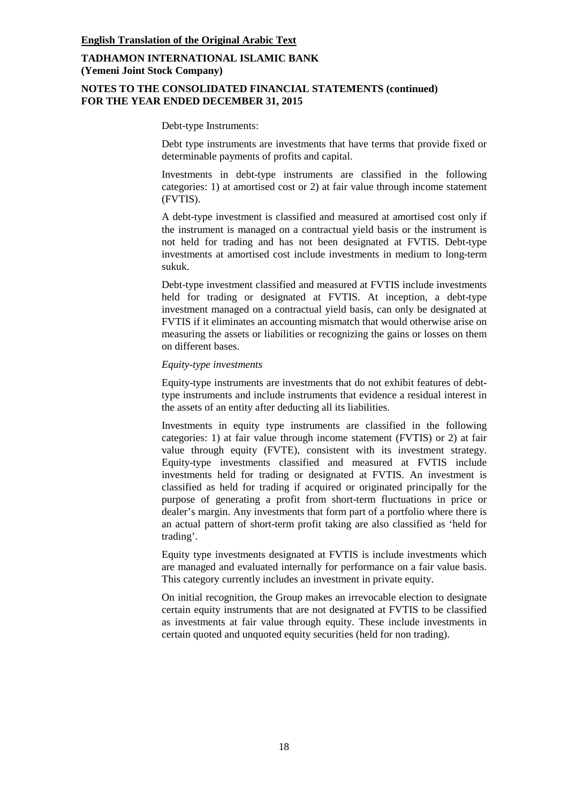### **NOTES TO THE CONSOLIDATED FINANCIAL STATEMENTS (continued) FOR THE YEAR ENDED DECEMBER 31, 2015**

Debt-type Instruments:

Debt type instruments are investments that have terms that provide fixed or determinable payments of profits and capital.

Investments in debt-type instruments are classified in the following categories: 1) at amortised cost or 2) at fair value through income statement (FVTIS).

A debt-type investment is classified and measured at amortised cost only if the instrument is managed on a contractual yield basis or the instrument is not held for trading and has not been designated at FVTIS. Debt-type investments at amortised cost include investments in medium to long-term sukuk.

Debt-type investment classified and measured at FVTIS include investments held for trading or designated at FVTIS. At inception, a debt-type investment managed on a contractual yield basis, can only be designated at FVTIS if it eliminates an accounting mismatch that would otherwise arise on measuring the assets or liabilities or recognizing the gains or losses on them on different bases.

#### *Equity-type investments*

Equity-type instruments are investments that do not exhibit features of debttype instruments and include instruments that evidence a residual interest in the assets of an entity after deducting all its liabilities.

Investments in equity type instruments are classified in the following categories: 1) at fair value through income statement (FVTIS) or 2) at fair value through equity (FVTE), consistent with its investment strategy. Equity-type investments classified and measured at FVTIS include investments held for trading or designated at FVTIS. An investment is classified as held for trading if acquired or originated principally for the purpose of generating a profit from short-term fluctuations in price or dealer's margin. Any investments that form part of a portfolio where there is an actual pattern of short-term profit taking are also classified as 'held for trading'.

Equity type investments designated at FVTIS is include investments which are managed and evaluated internally for performance on a fair value basis. This category currently includes an investment in private equity.

On initial recognition, the Group makes an irrevocable election to designate certain equity instruments that are not designated at FVTIS to be classified as investments at fair value through equity. These include investments in certain quoted and unquoted equity securities (held for non trading).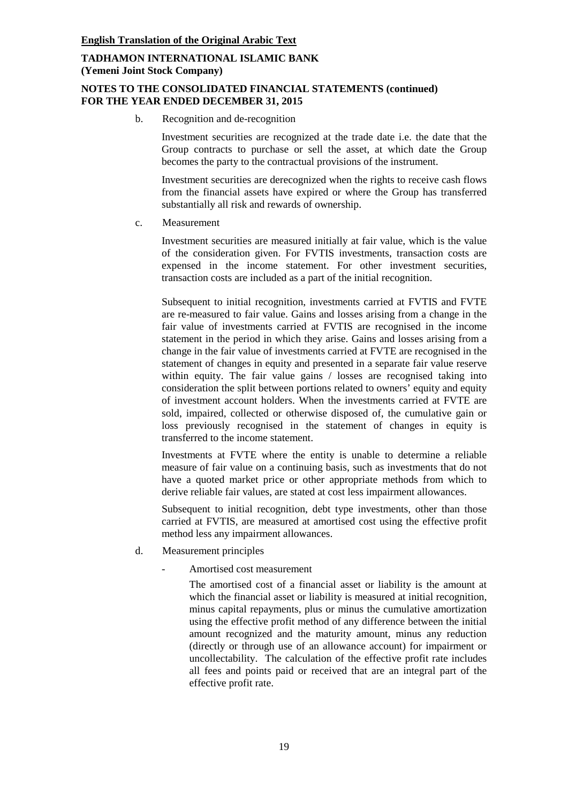# **NOTES TO THE CONSOLIDATED FINANCIAL STATEMENTS (continued) FOR THE YEAR ENDED DECEMBER 31, 2015**

b. Recognition and de-recognition

Investment securities are recognized at the trade date i.e. the date that the Group contracts to purchase or sell the asset, at which date the Group becomes the party to the contractual provisions of the instrument.

Investment securities are derecognized when the rights to receive cash flows from the financial assets have expired or where the Group has transferred substantially all risk and rewards of ownership.

c. Measurement

Investment securities are measured initially at fair value, which is the value of the consideration given. For FVTIS investments, transaction costs are expensed in the income statement. For other investment securities, transaction costs are included as a part of the initial recognition.

Subsequent to initial recognition, investments carried at FVTIS and FVTE are re-measured to fair value. Gains and losses arising from a change in the fair value of investments carried at FVTIS are recognised in the income statement in the period in which they arise. Gains and losses arising from a change in the fair value of investments carried at FVTE are recognised in the statement of changes in equity and presented in a separate fair value reserve within equity. The fair value gains / losses are recognised taking into consideration the split between portions related to owners' equity and equity of investment account holders. When the investments carried at FVTE are sold, impaired, collected or otherwise disposed of, the cumulative gain or loss previously recognised in the statement of changes in equity is transferred to the income statement.

Investments at FVTE where the entity is unable to determine a reliable measure of fair value on a continuing basis, such as investments that do not have a quoted market price or other appropriate methods from which to derive reliable fair values, are stated at cost less impairment allowances.

Subsequent to initial recognition, debt type investments, other than those carried at FVTIS, are measured at amortised cost using the effective profit method less any impairment allowances.

- d. Measurement principles
	- Amortised cost measurement

The amortised cost of a financial asset or liability is the amount at which the financial asset or liability is measured at initial recognition, minus capital repayments, plus or minus the cumulative amortization using the effective profit method of any difference between the initial amount recognized and the maturity amount, minus any reduction (directly or through use of an allowance account) for impairment or uncollectability. The calculation of the effective profit rate includes all fees and points paid or received that are an integral part of the effective profit rate.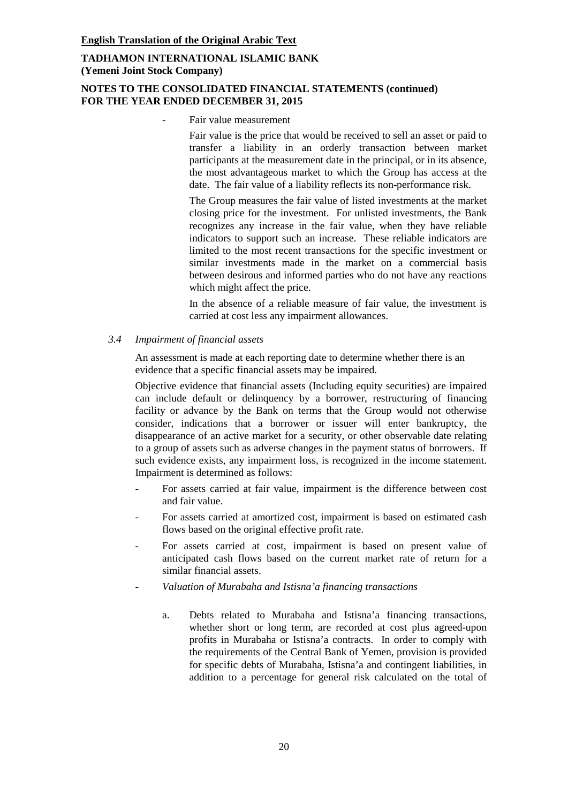# **NOTES TO THE CONSOLIDATED FINANCIAL STATEMENTS (continued) FOR THE YEAR ENDED DECEMBER 31, 2015**

Fair value measurement

Fair value is the price that would be received to sell an asset or paid to transfer a liability in an orderly transaction between market participants at the measurement date in the principal, or in its absence, the most advantageous market to which the Group has access at the date. The fair value of a liability reflects its non-performance risk.

The Group measures the fair value of listed investments at the market closing price for the investment. For unlisted investments, the Bank recognizes any increase in the fair value, when they have reliable indicators to support such an increase. These reliable indicators are limited to the most recent transactions for the specific investment or similar investments made in the market on a commercial basis between desirous and informed parties who do not have any reactions which might affect the price.

In the absence of a reliable measure of fair value, the investment is carried at cost less any impairment allowances.

*3.4 Impairment of financial assets*

An assessment is made at each reporting date to determine whether there is an evidence that a specific financial assets may be impaired.

Objective evidence that financial assets (Including equity securities) are impaired can include default or delinquency by a borrower, restructuring of financing facility or advance by the Bank on terms that the Group would not otherwise consider, indications that a borrower or issuer will enter bankruptcy, the disappearance of an active market for a security, or other observable date relating to a group of assets such as adverse changes in the payment status of borrowers. If such evidence exists, any impairment loss, is recognized in the income statement. Impairment is determined as follows:

- For assets carried at fair value, impairment is the difference between cost and fair value.
- For assets carried at amortized cost, impairment is based on estimated cash flows based on the original effective profit rate.
- For assets carried at cost, impairment is based on present value of anticipated cash flows based on the current market rate of return for a similar financial assets.
- *Valuation of Murabaha and Istisna'a financing transactions*
	- a. Debts related to Murabaha and Istisna'a financing transactions, whether short or long term, are recorded at cost plus agreed-upon profits in Murabaha or Istisna'a contracts. In order to comply with the requirements of the Central Bank of Yemen, provision is provided for specific debts of Murabaha, Istisna'a and contingent liabilities, in addition to a percentage for general risk calculated on the total of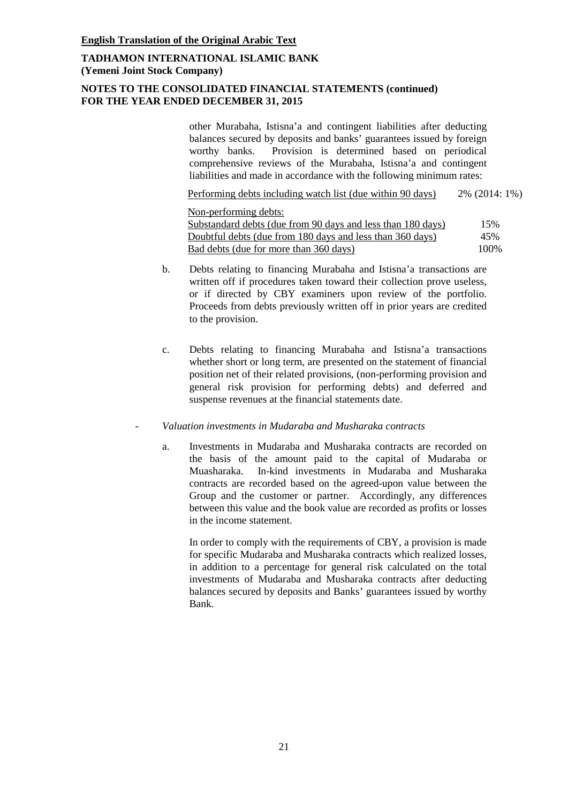# **NOTES TO THE CONSOLIDATED FINANCIAL STATEMENTS (continued) FOR THE YEAR ENDED DECEMBER 31, 2015**

other Murabaha, Istisna'a and contingent liabilities after deducting balances secured by deposits and banks' guarantees issued by foreign worthy banks. Provision is determined based on periodical comprehensive reviews of the Murabaha, Istisna'a and contingent liabilities and made in accordance with the following minimum rates:

Performing debts including watch list (due within 90 days) 2% (2014: 1%)

Non-performing debts:

Substandard debts (due from 90 days and less than 180 days) 15% Doubtful debts (due from 180 days and less than 360 days) 45% Bad debts (due for more than 360 days) 100%

- b. Debts relating to financing Murabaha and Istisna'a transactions are written off if procedures taken toward their collection prove useless, or if directed by CBY examiners upon review of the portfolio. Proceeds from debts previously written off in prior years are credited to the provision.
- c. Debts relating to financing Murabaha and Istisna'a transactions whether short or long term, are presented on the statement of financial position net of their related provisions, (non-performing provision and general risk provision for performing debts) and deferred and suspense revenues at the financial statements date.

#### - *Valuation investments in Mudaraba and Musharaka contracts*

a. Investments in Mudaraba and Musharaka contracts are recorded on the basis of the amount paid to the capital of Mudaraba or Muasharaka. In-kind investments in Mudaraba and Musharaka contracts are recorded based on the agreed-upon value between the Group and the customer or partner. Accordingly, any differences between this value and the book value are recorded as profits or losses in the income statement.

In order to comply with the requirements of CBY, a provision is made for specific Mudaraba and Musharaka contracts which realized losses, in addition to a percentage for general risk calculated on the total investments of Mudaraba and Musharaka contracts after deducting balances secured by deposits and Banks' guarantees issued by worthy Bank.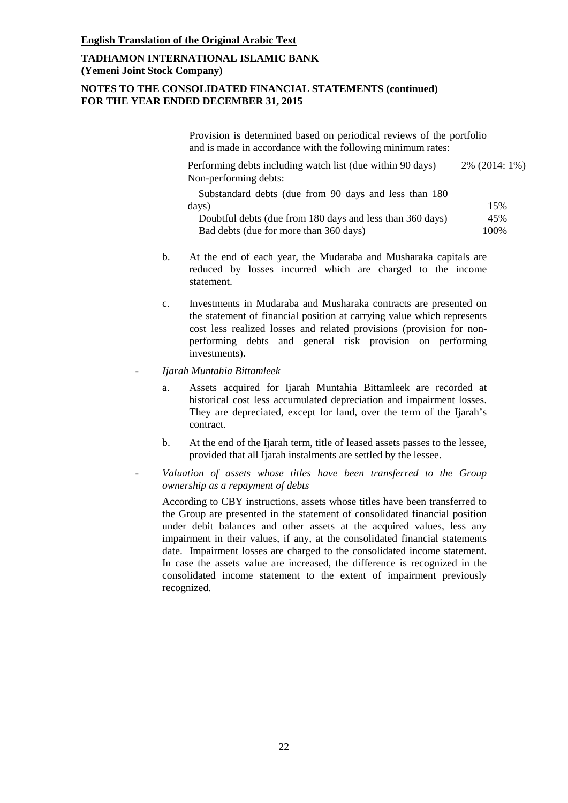# **NOTES TO THE CONSOLIDATED FINANCIAL STATEMENTS (continued) FOR THE YEAR ENDED DECEMBER 31, 2015**

Provision is determined based on periodical reviews of the portfolio and is made in accordance with the following minimum rates:

Performing debts including watch list (due within 90 days) 2% (2014: 1%) Non-performing debts:

Substandard debts (due from 90 days and less than 180  $\frac{days}{}$  15% Doubtful debts (due from 180 days and less than 360 days) 45% Bad debts (due for more than 360 days) 100%

- b. At the end of each year, the Mudaraba and Musharaka capitals are reduced by losses incurred which are charged to the income statement.
- c. Investments in Mudaraba and Musharaka contracts are presented on the statement of financial position at carrying value which represents cost less realized losses and related provisions (provision for nonperforming debts and general risk provision on performing investments).
- *Ijarah Muntahia Bittamleek*
	- a. Assets acquired for Ijarah Muntahia Bittamleek are recorded at historical cost less accumulated depreciation and impairment losses. They are depreciated, except for land, over the term of the Ijarah's contract.
	- b. At the end of the Ijarah term, title of leased assets passes to the lessee, provided that all Ijarah instalments are settled by the lessee.
- *Valuation of assets whose titles have been transferred to the Group ownership as a repayment of debts*

According to CBY instructions, assets whose titles have been transferred to the Group are presented in the statement of consolidated financial position under debit balances and other assets at the acquired values, less any impairment in their values, if any, at the consolidated financial statements date. Impairment losses are charged to the consolidated income statement. In case the assets value are increased, the difference is recognized in the consolidated income statement to the extent of impairment previously recognized.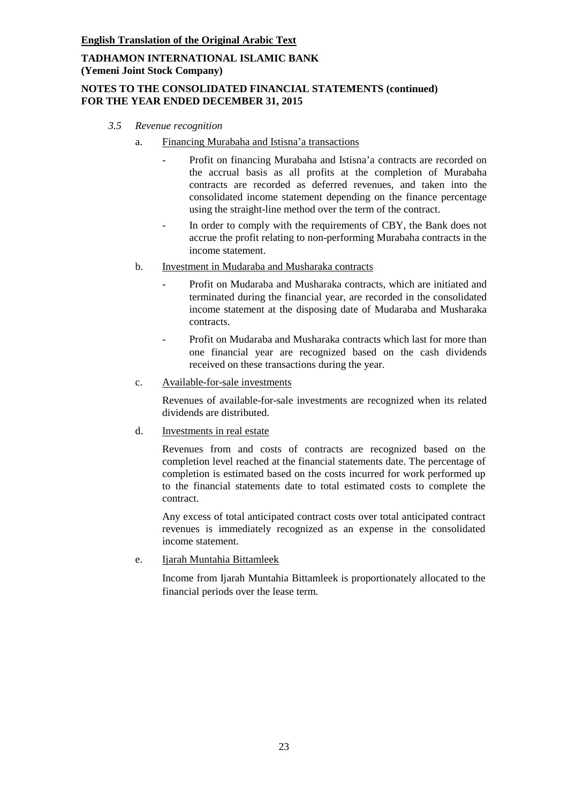# **NOTES TO THE CONSOLIDATED FINANCIAL STATEMENTS (continued) FOR THE YEAR ENDED DECEMBER 31, 2015**

- *3.5 Revenue recognition*
	- a. Financing Murabaha and Istisna'a transactions
		- Profit on financing Murabaha and Istisna'a contracts are recorded on the accrual basis as all profits at the completion of Murabaha contracts are recorded as deferred revenues, and taken into the consolidated income statement depending on the finance percentage using the straight-line method over the term of the contract.
		- In order to comply with the requirements of CBY, the Bank does not accrue the profit relating to non-performing Murabaha contracts in the income statement.
	- b. Investment in Mudaraba and Musharaka contracts
		- Profit on Mudaraba and Musharaka contracts, which are initiated and terminated during the financial year, are recorded in the consolidated income statement at the disposing date of Mudaraba and Musharaka contracts.
		- Profit on Mudaraba and Musharaka contracts which last for more than one financial year are recognized based on the cash dividends received on these transactions during the year.
	- c. Available-for-sale investments

Revenues of available-for-sale investments are recognized when its related dividends are distributed.

d. Investments in real estate

Revenues from and costs of contracts are recognized based on the completion level reached at the financial statements date. The percentage of completion is estimated based on the costs incurred for work performed up to the financial statements date to total estimated costs to complete the contract.

Any excess of total anticipated contract costs over total anticipated contract revenues is immediately recognized as an expense in the consolidated income statement.

e. Ijarah Muntahia Bittamleek

Income from Ijarah Muntahia Bittamleek is proportionately allocated to the financial periods over the lease term.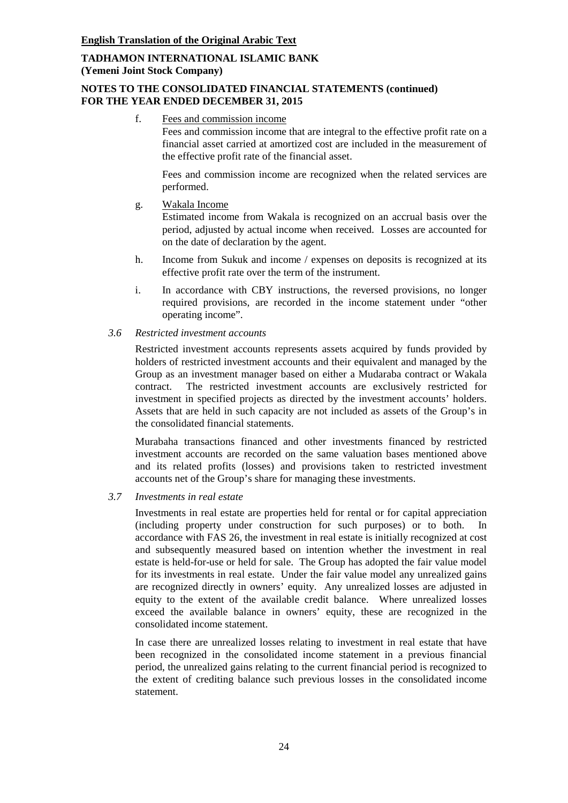# **NOTES TO THE CONSOLIDATED FINANCIAL STATEMENTS (continued) FOR THE YEAR ENDED DECEMBER 31, 2015**

f. Fees and commission income

Fees and commission income that are integral to the effective profit rate on a financial asset carried at amortized cost are included in the measurement of the effective profit rate of the financial asset.

Fees and commission income are recognized when the related services are performed.

g. Wakala Income

Estimated income from Wakala is recognized on an accrual basis over the period, adjusted by actual income when received. Losses are accounted for on the date of declaration by the agent.

- h. Income from Sukuk and income / expenses on deposits is recognized at its effective profit rate over the term of the instrument.
- i. In accordance with CBY instructions, the reversed provisions, no longer required provisions, are recorded in the income statement under "other operating income".
- *3.6 Restricted investment accounts*

Restricted investment accounts represents assets acquired by funds provided by holders of restricted investment accounts and their equivalent and managed by the Group as an investment manager based on either a Mudaraba contract or Wakala contract. The restricted investment accounts are exclusively restricted for investment in specified projects as directed by the investment accounts' holders. Assets that are held in such capacity are not included as assets of the Group's in the consolidated financial statements.

Murabaha transactions financed and other investments financed by restricted investment accounts are recorded on the same valuation bases mentioned above and its related profits (losses) and provisions taken to restricted investment accounts net of the Group's share for managing these investments.

#### *3.7 Investments in real estate*

Investments in real estate are properties held for rental or for capital appreciation (including property under construction for such purposes) or to both. accordance with FAS 26, the investment in real estate is initially recognized at cost and subsequently measured based on intention whether the investment in real estate is held-for-use or held for sale. The Group has adopted the fair value model for its investments in real estate. Under the fair value model any unrealized gains are recognized directly in owners' equity. Any unrealized losses are adjusted in equity to the extent of the available credit balance. Where unrealized losses exceed the available balance in owners' equity, these are recognized in the consolidated income statement.

In case there are unrealized losses relating to investment in real estate that have been recognized in the consolidated income statement in a previous financial period, the unrealized gains relating to the current financial period is recognized to the extent of crediting balance such previous losses in the consolidated income statement.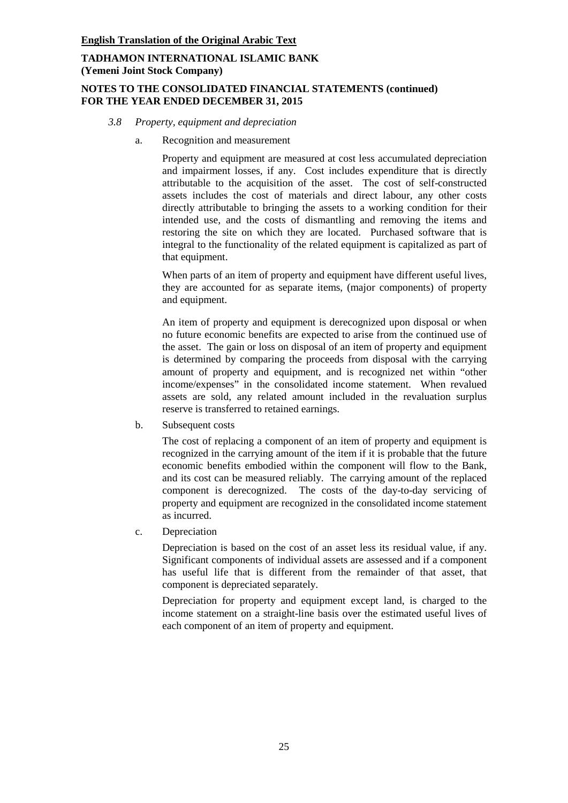# **NOTES TO THE CONSOLIDATED FINANCIAL STATEMENTS (continued) FOR THE YEAR ENDED DECEMBER 31, 2015**

### *3.8 Property, equipment and depreciation*

a. Recognition and measurement

Property and equipment are measured at cost less accumulated depreciation and impairment losses, if any. Cost includes expenditure that is directly attributable to the acquisition of the asset. The cost of self-constructed assets includes the cost of materials and direct labour, any other costs directly attributable to bringing the assets to a working condition for their intended use, and the costs of dismantling and removing the items and restoring the site on which they are located. Purchased software that is integral to the functionality of the related equipment is capitalized as part of that equipment.

When parts of an item of property and equipment have different useful lives, they are accounted for as separate items, (major components) of property and equipment.

An item of property and equipment is derecognized upon disposal or when no future economic benefits are expected to arise from the continued use of the asset. The gain or loss on disposal of an item of property and equipment is determined by comparing the proceeds from disposal with the carrying amount of property and equipment, and is recognized net within "other income/expenses" in the consolidated income statement. When revalued assets are sold, any related amount included in the revaluation surplus reserve is transferred to retained earnings.

b. Subsequent costs

The cost of replacing a component of an item of property and equipment is recognized in the carrying amount of the item if it is probable that the future economic benefits embodied within the component will flow to the Bank, and its cost can be measured reliably. The carrying amount of the replaced component is derecognized. The costs of the day-to-day servicing of property and equipment are recognized in the consolidated income statement as incurred.

c. Depreciation

Depreciation is based on the cost of an asset less its residual value, if any. Significant components of individual assets are assessed and if a component has useful life that is different from the remainder of that asset, that component is depreciated separately.

Depreciation for property and equipment except land, is charged to the income statement on a straight-line basis over the estimated useful lives of each component of an item of property and equipment.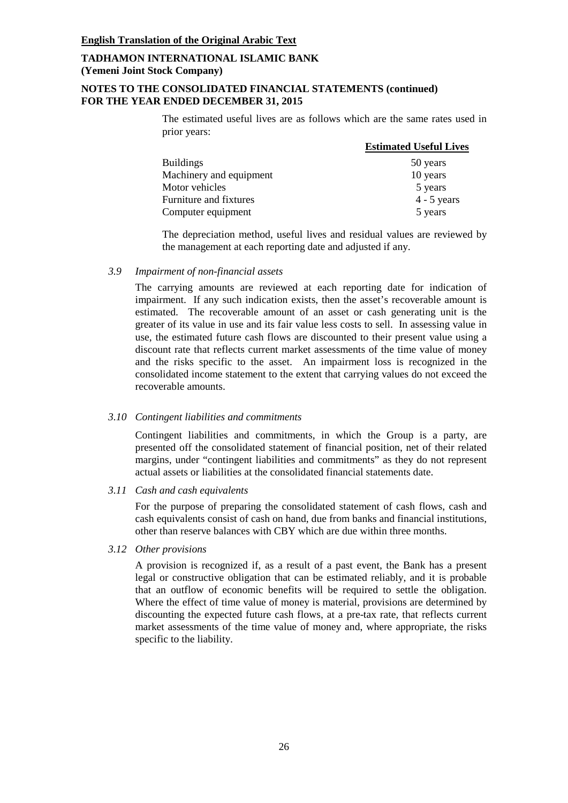# **NOTES TO THE CONSOLIDATED FINANCIAL STATEMENTS (continued) FOR THE YEAR ENDED DECEMBER 31, 2015**

The estimated useful lives are as follows which are the same rates used in prior years:

|                         | <b>Estimated Useful Lives</b> |
|-------------------------|-------------------------------|
| <b>Buildings</b>        | 50 years                      |
| Machinery and equipment | 10 years                      |
| Motor vehicles          | 5 years                       |
| Furniture and fixtures  | $4 - 5$ years                 |
| Computer equipment      | 5 years                       |

The depreciation method, useful lives and residual values are reviewed by the management at each reporting date and adjusted if any.

#### *3.9 Impairment of non-financial assets*

The carrying amounts are reviewed at each reporting date for indication of impairment. If any such indication exists, then the asset's recoverable amount is estimated. The recoverable amount of an asset or cash generating unit is the greater of its value in use and its fair value less costs to sell. In assessing value in use, the estimated future cash flows are discounted to their present value using a discount rate that reflects current market assessments of the time value of money and the risks specific to the asset. An impairment loss is recognized in the consolidated income statement to the extent that carrying values do not exceed the recoverable amounts.

#### *3.10 Contingent liabilities and commitments*

Contingent liabilities and commitments, in which the Group is a party, are presented off the consolidated statement of financial position, net of their related margins, under "contingent liabilities and commitments" as they do not represent actual assets or liabilities at the consolidated financial statements date.

#### *3.11 Cash and cash equivalents*

For the purpose of preparing the consolidated statement of cash flows, cash and cash equivalents consist of cash on hand, due from banks and financial institutions, other than reserve balances with CBY which are due within three months.

#### *3.12 Other provisions*

A provision is recognized if, as a result of a past event, the Bank has a present legal or constructive obligation that can be estimated reliably, and it is probable that an outflow of economic benefits will be required to settle the obligation. Where the effect of time value of money is material, provisions are determined by discounting the expected future cash flows, at a pre-tax rate, that reflects current market assessments of the time value of money and, where appropriate, the risks specific to the liability.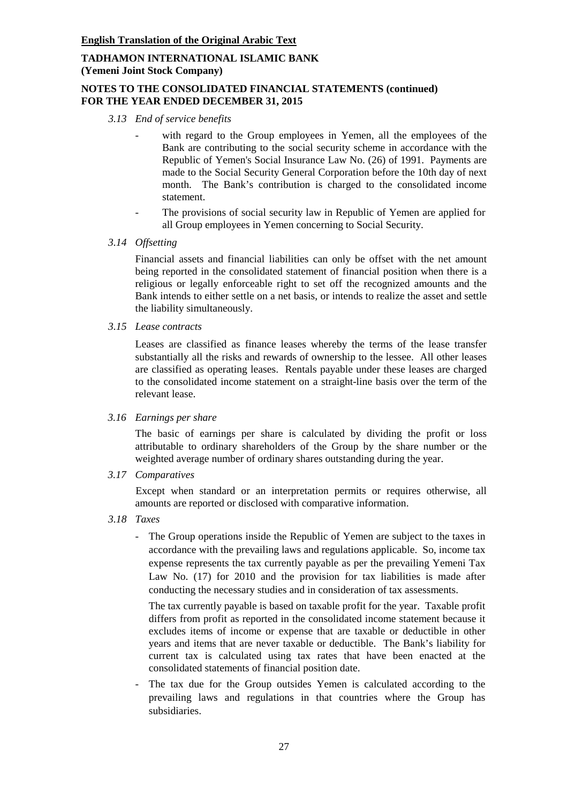# **NOTES TO THE CONSOLIDATED FINANCIAL STATEMENTS (continued) FOR THE YEAR ENDED DECEMBER 31, 2015**

- *3.13 End of service benefits*
	- with regard to the Group employees in Yemen, all the employees of the Bank are contributing to the social security scheme in accordance with the Republic of Yemen's Social Insurance Law No. (26) of 1991. Payments are made to the Social Security General Corporation before the 10th day of next month. The Bank's contribution is charged to the consolidated income statement.
	- The provisions of social security law in Republic of Yemen are applied for all Group employees in Yemen concerning to Social Security.
- *3.14 Offsetting*

Financial assets and financial liabilities can only be offset with the net amount being reported in the consolidated statement of financial position when there is a religious or legally enforceable right to set off the recognized amounts and the Bank intends to either settle on a net basis, or intends to realize the asset and settle the liability simultaneously.

*3.15 Lease contracts*

Leases are classified as finance leases whereby the terms of the lease transfer substantially all the risks and rewards of ownership to the lessee. All other leases are classified as operating leases. Rentals payable under these leases are charged to the consolidated income statement on a straight-line basis over the term of the relevant lease.

*3.16 Earnings per share*

The basic of earnings per share is calculated by dividing the profit or loss attributable to ordinary shareholders of the Group by the share number or the weighted average number of ordinary shares outstanding during the year.

*3.17 Comparatives*

Except when standard or an interpretation permits or requires otherwise, all amounts are reported or disclosed with comparative information.

- *3.18 Taxes*
	- The Group operations inside the Republic of Yemen are subject to the taxes in accordance with the prevailing laws and regulations applicable. So, income tax expense represents the tax currently payable as per the prevailing Yemeni Tax Law No. (17) for 2010 and the provision for tax liabilities is made after conducting the necessary studies and in consideration of tax assessments.

The tax currently payable is based on taxable profit for the year. Taxable profit differs from profit as reported in the consolidated income statement because it excludes items of income or expense that are taxable or deductible in other years and items that are never taxable or deductible. The Bank's liability for current tax is calculated using tax rates that have been enacted at the consolidated statements of financial position date.

The tax due for the Group outsides Yemen is calculated according to the prevailing laws and regulations in that countries where the Group has subsidiaries.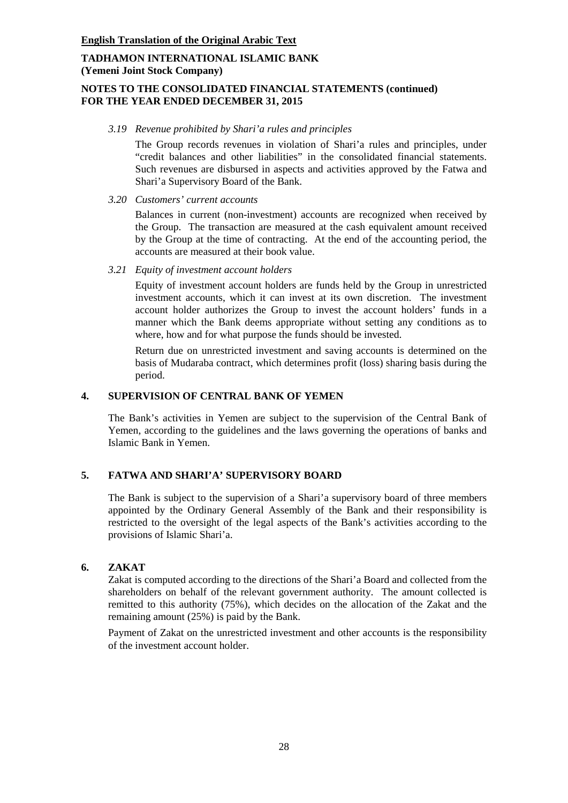# **NOTES TO THE CONSOLIDATED FINANCIAL STATEMENTS (continued) FOR THE YEAR ENDED DECEMBER 31, 2015**

#### *3.19 Revenue prohibited by Shari'a rules and principles*

The Group records revenues in violation of Shari'a rules and principles, under "credit balances and other liabilities" in the consolidated financial statements. Such revenues are disbursed in aspects and activities approved by the Fatwa and Shari'a Supervisory Board of the Bank.

*3.20 Customers' current accounts*

Balances in current (non-investment) accounts are recognized when received by the Group. The transaction are measured at the cash equivalent amount received by the Group at the time of contracting. At the end of the accounting period, the accounts are measured at their book value.

*3.21 Equity of investment account holders*

Equity of investment account holders are funds held by the Group in unrestricted investment accounts, which it can invest at its own discretion. The investment account holder authorizes the Group to invest the account holders' funds in a manner which the Bank deems appropriate without setting any conditions as to where, how and for what purpose the funds should be invested.

Return due on unrestricted investment and saving accounts is determined on the basis of Mudaraba contract, which determines profit (loss) sharing basis during the period.

# **4. SUPERVISION OF CENTRAL BANK OF YEMEN**

The Bank's activities in Yemen are subject to the supervision of the Central Bank of Yemen, according to the guidelines and the laws governing the operations of banks and Islamic Bank in Yemen.

# **5. FATWA AND SHARI'A' SUPERVISORY BOARD**

The Bank is subject to the supervision of a Shari'a supervisory board of three members appointed by the Ordinary General Assembly of the Bank and their responsibility is restricted to the oversight of the legal aspects of the Bank's activities according to the provisions of Islamic Shari'a.

#### **6. ZAKAT**

Zakat is computed according to the directions of the Shari'a Board and collected from the shareholders on behalf of the relevant government authority. The amount collected is remitted to this authority (75%), which decides on the allocation of the Zakat and the remaining amount (25%) is paid by the Bank.

Payment of Zakat on the unrestricted investment and other accounts is the responsibility of the investment account holder.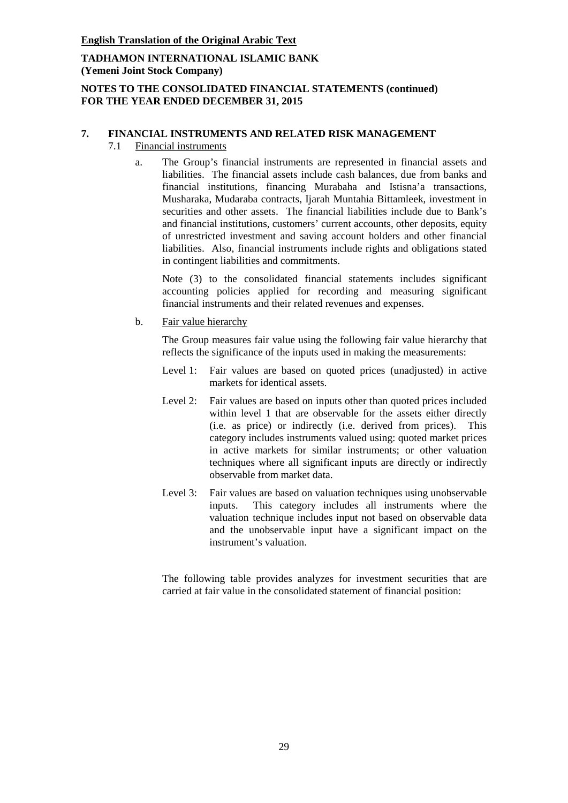# **TADHAMON INTERNATIONAL ISLAMIC BANK (Yemeni Joint Stock Company)**

# **NOTES TO THE CONSOLIDATED FINANCIAL STATEMENTS (continued) FOR THE YEAR ENDED DECEMBER 31, 2015**

# **7. FINANCIAL INSTRUMENTS AND RELATED RISK MANAGEMENT**

- 7.1 Financial instruments
	- a. The Group's financial instruments are represented in financial assets and liabilities. The financial assets include cash balances, due from banks and financial institutions, financing Murabaha and Istisna'a transactions, Musharaka, Mudaraba contracts, Ijarah Muntahia Bittamleek, investment in securities and other assets. The financial liabilities include due to Bank's and financial institutions, customers' current accounts, other deposits, equity of unrestricted investment and saving account holders and other financial liabilities. Also, financial instruments include rights and obligations stated in contingent liabilities and commitments.

Note (3) to the consolidated financial statements includes significant accounting policies applied for recording and measuring significant financial instruments and their related revenues and expenses.

b. Fair value hierarchy

The Group measures fair value using the following fair value hierarchy that reflects the significance of the inputs used in making the measurements:

- Level 1: Fair values are based on quoted prices (unadjusted) in active markets for identical assets.
- Level 2: Fair values are based on inputs other than quoted prices included within level 1 that are observable for the assets either directly (i.e. as price) or indirectly (i.e. derived from prices). This category includes instruments valued using: quoted market prices in active markets for similar instruments; or other valuation techniques where all significant inputs are directly or indirectly observable from market data.
- Level 3: Fair values are based on valuation techniques using unobservable inputs. This category includes all instruments where the valuation technique includes input not based on observable data and the unobservable input have a significant impact on the instrument's valuation.

The following table provides analyzes for investment securities that are carried at fair value in the consolidated statement of financial position: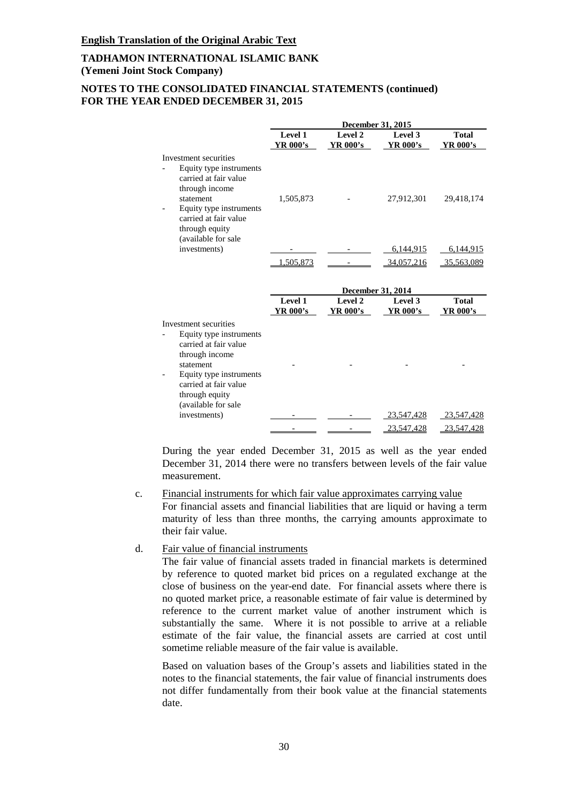### **NOTES TO THE CONSOLIDATED FINANCIAL STATEMENTS (continued) FOR THE YEAR ENDED DECEMBER 31, 2015**

|                                                                                                                                                                                                       |                     |                     | <b>December 31, 2015</b>                 |                          |
|-------------------------------------------------------------------------------------------------------------------------------------------------------------------------------------------------------|---------------------|---------------------|------------------------------------------|--------------------------|
|                                                                                                                                                                                                       | Level 1<br>YR 000's | Level 2<br>YR 000's | Level 3<br>YR 000's                      | <b>Total</b><br>YR 000's |
| Investment securities<br>Equity type instruments<br>carried at fair value<br>through income<br>statement<br>Equity type instruments<br>carried at fair value<br>through equity<br>(available for sale | 1,505,873           |                     | 27,912,301                               | 29,418,174               |
| investments)                                                                                                                                                                                          | 1,505,873           |                     | 6,144,915<br>34,057,216                  | 6,144,915<br>35,563,089  |
|                                                                                                                                                                                                       | Level 1<br>YR 000's | Level 2<br>YR 000's | December 31, 2014<br>Level 3<br>YR 000's | <b>Total</b><br>YR 000's |
| Investment securities<br>Equity type instruments<br>carried at fair value<br>through income<br>statement<br>Equity type instruments<br>carried at fair value<br>through equity<br>(available for sale |                     |                     |                                          |                          |
| investments)                                                                                                                                                                                          |                     |                     | 23,547,428                               | 23,547,428               |
|                                                                                                                                                                                                       |                     |                     | 23,547,428                               | 23,547,428               |

During the year ended December 31, 2015 as well as the year ended December 31, 2014 there were no transfers between levels of the fair value measurement.

- c. Financial instruments for which fair value approximates carrying value For financial assets and financial liabilities that are liquid or having a term maturity of less than three months, the carrying amounts approximate to their fair value.
- d. Fair value of financial instruments

The fair value of financial assets traded in financial markets is determined by reference to quoted market bid prices on a regulated exchange at the close of business on the year-end date. For financial assets where there is no quoted market price, a reasonable estimate of fair value is determined by reference to the current market value of another instrument which is substantially the same. Where it is not possible to arrive at a reliable estimate of the fair value, the financial assets are carried at cost until sometime reliable measure of the fair value is available.

Based on valuation bases of the Group's assets and liabilities stated in the notes to the financial statements, the fair value of financial instruments does not differ fundamentally from their book value at the financial statements date.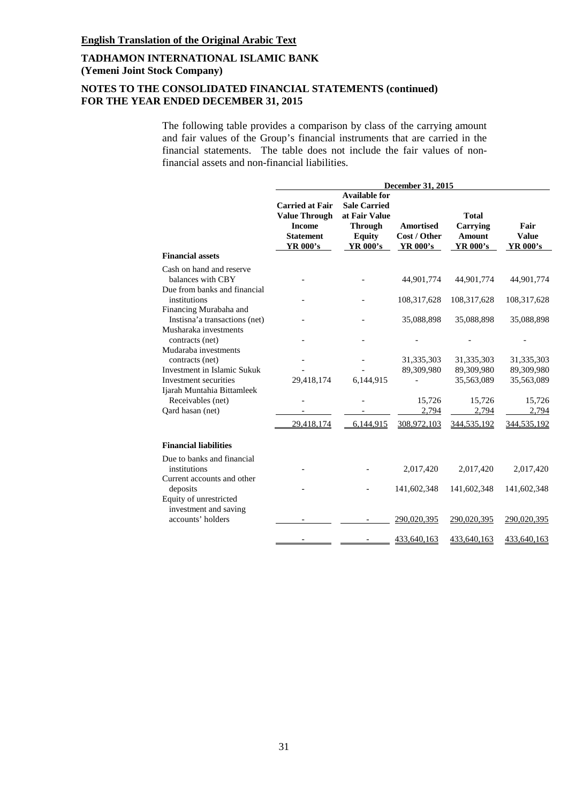# **NOTES TO THE CONSOLIDATED FINANCIAL STATEMENTS (continued) FOR THE YEAR ENDED DECEMBER 31, 2015**

The following table provides a comparison by class of the carrying amount and fair values of the Group's financial instruments that are carried in the financial statements. The table does not include the fair values of nonfinancial assets and non-financial liabilities.

|                                                                               | December 31, 2015                                                                                      |                                                                                                                    |                                                     |                                                       |                                         |
|-------------------------------------------------------------------------------|--------------------------------------------------------------------------------------------------------|--------------------------------------------------------------------------------------------------------------------|-----------------------------------------------------|-------------------------------------------------------|-----------------------------------------|
|                                                                               | <b>Carried at Fair</b><br><b>Value Through</b><br><b>Income</b><br><b>Statement</b><br><b>YR 000's</b> | <b>Available for</b><br><b>Sale Carried</b><br>at Fair Value<br><b>Through</b><br><b>Equity</b><br><b>YR 000's</b> | <b>Amortised</b><br>Cost / Other<br><b>YR 000's</b> | <b>Total</b><br>Carrying<br><b>Amount</b><br>YR 000's | Fair<br><b>Value</b><br><b>YR 000's</b> |
| <b>Financial assets</b>                                                       |                                                                                                        |                                                                                                                    |                                                     |                                                       |                                         |
| Cash on hand and reserve<br>balances with CBY<br>Due from banks and financial |                                                                                                        |                                                                                                                    | 44,901,774                                          | 44,901,774                                            | 44,901,774                              |
| institutions                                                                  |                                                                                                        |                                                                                                                    | 108,317,628                                         | 108,317,628                                           | 108,317,628                             |
| Financing Murabaha and<br>Instisna'a transactions (net)                       |                                                                                                        |                                                                                                                    | 35,088,898                                          | 35,088,898                                            | 35,088,898                              |
| Musharaka investments<br>contracts (net)<br>Mudaraba investments              |                                                                                                        |                                                                                                                    |                                                     |                                                       |                                         |
| contracts (net)<br><b>Investment in Islamic Sukuk</b>                         |                                                                                                        |                                                                                                                    | 31,335,303<br>89,309,980                            | 31, 335, 303<br>89,309,980                            | 31,335,303<br>89,309,980                |
| Investment securities<br>Ijarah Muntahia Bittamleek                           | 29,418,174                                                                                             | 6,144,915                                                                                                          |                                                     | 35,563,089                                            | 35,563,089                              |
| Receivables (net)<br>Qard hasan (net)                                         |                                                                                                        |                                                                                                                    | 15,726<br>2,794                                     | 15,726<br>2,794                                       | 15,726<br>2,794                         |
|                                                                               | 29,418,174                                                                                             | 6,144,915                                                                                                          | 308,972,103                                         | 344,535,192                                           | 344,535,192                             |
| <b>Financial liabilities</b>                                                  |                                                                                                        |                                                                                                                    |                                                     |                                                       |                                         |
| Due to banks and financial<br>institutions                                    |                                                                                                        |                                                                                                                    | 2,017,420                                           | 2,017,420                                             | 2,017,420                               |
| Current accounts and other<br>deposits                                        |                                                                                                        |                                                                                                                    | 141,602,348                                         | 141,602,348                                           | 141,602,348                             |
| Equity of unrestricted<br>investment and saving<br>accounts' holders          |                                                                                                        |                                                                                                                    | 290,020,395                                         | 290,020,395                                           | 290,020,395                             |
|                                                                               |                                                                                                        |                                                                                                                    | 433,640,163                                         | 433,640,163                                           | 433,640,163                             |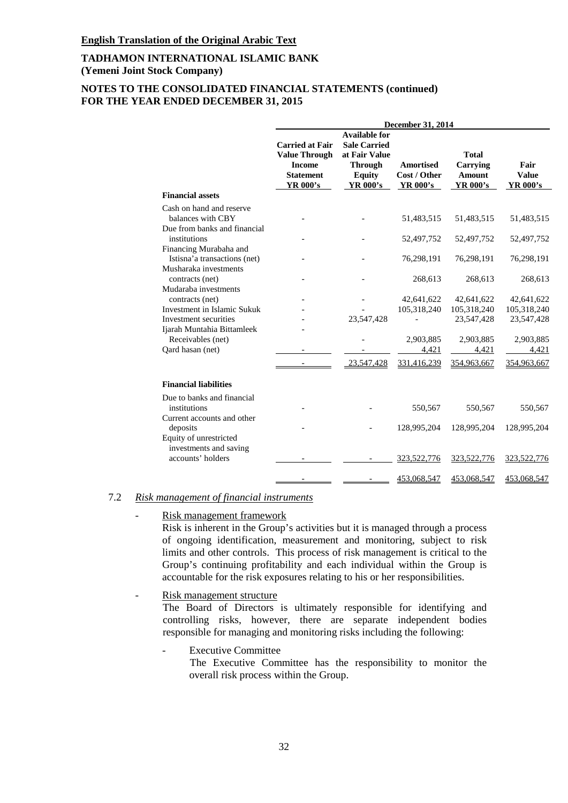# **NOTES TO THE CONSOLIDATED FINANCIAL STATEMENTS (continued) FOR THE YEAR ENDED DECEMBER 31, 2015**

|                                                                                 | December 31, 2014                                                                               |                                                                                                                    |                                              |                                                       |                                  |
|---------------------------------------------------------------------------------|-------------------------------------------------------------------------------------------------|--------------------------------------------------------------------------------------------------------------------|----------------------------------------------|-------------------------------------------------------|----------------------------------|
|                                                                                 | <b>Carried at Fair</b><br><b>Value Through</b><br><b>Income</b><br><b>Statement</b><br>YR 000's | <b>Available for</b><br><b>Sale Carried</b><br>at Fair Value<br><b>Through</b><br><b>Equity</b><br><b>YR 000's</b> | <b>Amortised</b><br>Cost / Other<br>YR 000's | <b>Total</b><br>Carrying<br><b>Amount</b><br>YR 000's | Fair<br><b>Value</b><br>YR 000's |
| <b>Financial assets</b>                                                         |                                                                                                 |                                                                                                                    |                                              |                                                       |                                  |
| Cash on hand and reserve<br>balances with CBY<br>Due from banks and financial   |                                                                                                 |                                                                                                                    | 51,483,515                                   | 51,483,515                                            | 51,483,515                       |
| institutions                                                                    |                                                                                                 |                                                                                                                    | 52,497,752                                   | 52,497,752                                            | 52,497,752                       |
| Financing Murabaha and<br>Istisna'a transactions (net)<br>Musharaka investments |                                                                                                 |                                                                                                                    | 76,298,191                                   | 76,298,191                                            | 76,298,191                       |
| contracts (net)<br>Mudaraba investments                                         |                                                                                                 |                                                                                                                    | 268,613                                      | 268,613                                               | 268,613                          |
| contracts (net)<br>Investment in Islamic Sukuk                                  |                                                                                                 |                                                                                                                    | 42,641,622<br>105,318,240                    | 42,641,622<br>105,318,240                             | 42,641,622<br>105,318,240        |
| Investment securities<br>Ijarah Muntahia Bittamleek                             |                                                                                                 | 23,547,428                                                                                                         |                                              | 23,547,428                                            | 23,547,428                       |
| Receivables (net)<br>Qard hasan (net)                                           |                                                                                                 |                                                                                                                    | 2,903,885<br>4,421                           | 2,903,885<br>4,421                                    | 2,903,885<br>4,421               |
|                                                                                 |                                                                                                 | 23,547,428                                                                                                         | 331,416,239                                  | 354,963,667                                           | 354,963,667                      |
| <b>Financial liabilities</b>                                                    |                                                                                                 |                                                                                                                    |                                              |                                                       |                                  |
| Due to banks and financial<br>institutions                                      |                                                                                                 |                                                                                                                    | 550,567                                      | 550,567                                               | 550,567                          |
| Current accounts and other<br>deposits<br>Equity of unrestricted                |                                                                                                 |                                                                                                                    | 128,995,204                                  | 128,995,204                                           | 128,995,204                      |
| investments and saving<br>accounts' holders                                     |                                                                                                 |                                                                                                                    | 323,522,776                                  | 323,522,776                                           | 323,522,776                      |
|                                                                                 |                                                                                                 |                                                                                                                    | 453,068,547                                  | 453,068,547                                           | 453,068,547                      |

# 7.2 *Risk management of financial instruments*

# Risk management framework

Risk is inherent in the Group's activities but it is managed through a process of ongoing identification, measurement and monitoring, subject to risk limits and other controls. This process of risk management is critical to the Group's continuing profitability and each individual within the Group is accountable for the risk exposures relating to his or her responsibilities.

#### Risk management structure

The Board of Directors is ultimately responsible for identifying and controlling risks, however, there are separate independent bodies responsible for managing and monitoring risks including the following:

#### **Executive Committee**

The Executive Committee has the responsibility to monitor the overall risk process within the Group.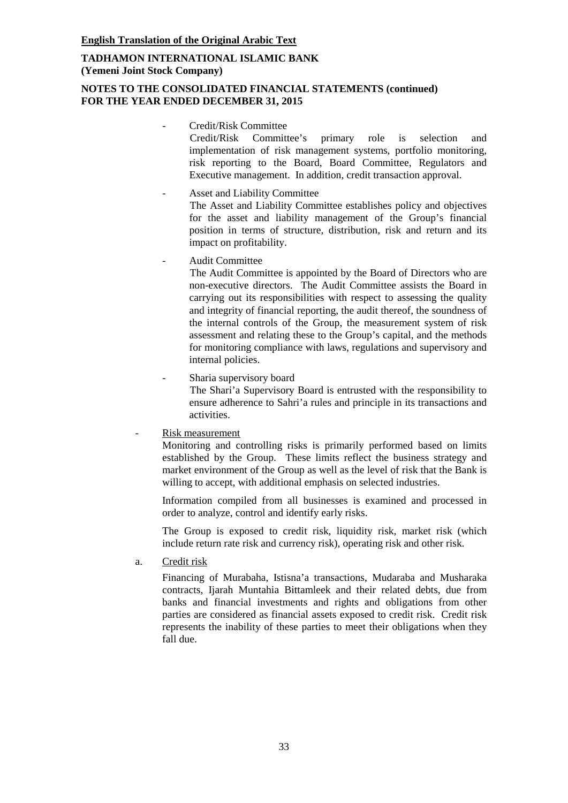# **NOTES TO THE CONSOLIDATED FINANCIAL STATEMENTS (continued) FOR THE YEAR ENDED DECEMBER 31, 2015**

#### - Credit/Risk Committee

Credit/Risk Committee's primary role is selection and implementation of risk management systems, portfolio monitoring, risk reporting to the Board, Board Committee, Regulators and Executive management. In addition, credit transaction approval.

- Asset and Liability Committee The Asset and Liability Committee establishes policy and objectives for the asset and liability management of the Group's financial position in terms of structure, distribution, risk and return and its impact on profitability.

### - Audit Committee

The Audit Committee is appointed by the Board of Directors who are non-executive directors. The Audit Committee assists the Board in carrying out its responsibilities with respect to assessing the quality and integrity of financial reporting, the audit thereof, the soundness of the internal controls of the Group, the measurement system of risk assessment and relating these to the Group's capital, and the methods for monitoring compliance with laws, regulations and supervisory and internal policies.

- Sharia supervisory board

The Shari'a Supervisory Board is entrusted with the responsibility to ensure adherence to Sahri'a rules and principle in its transactions and activities.

Risk measurement

Monitoring and controlling risks is primarily performed based on limits established by the Group. These limits reflect the business strategy and market environment of the Group as well as the level of risk that the Bank is willing to accept, with additional emphasis on selected industries.

Information compiled from all businesses is examined and processed in order to analyze, control and identify early risks.

The Group is exposed to credit risk, liquidity risk, market risk (which include return rate risk and currency risk), operating risk and other risk.

a. Credit risk

Financing of Murabaha, Istisna'a transactions, Mudaraba and Musharaka contracts, Ijarah Muntahia Bittamleek and their related debts, due from banks and financial investments and rights and obligations from other parties are considered as financial assets exposed to credit risk. Credit risk represents the inability of these parties to meet their obligations when they fall due.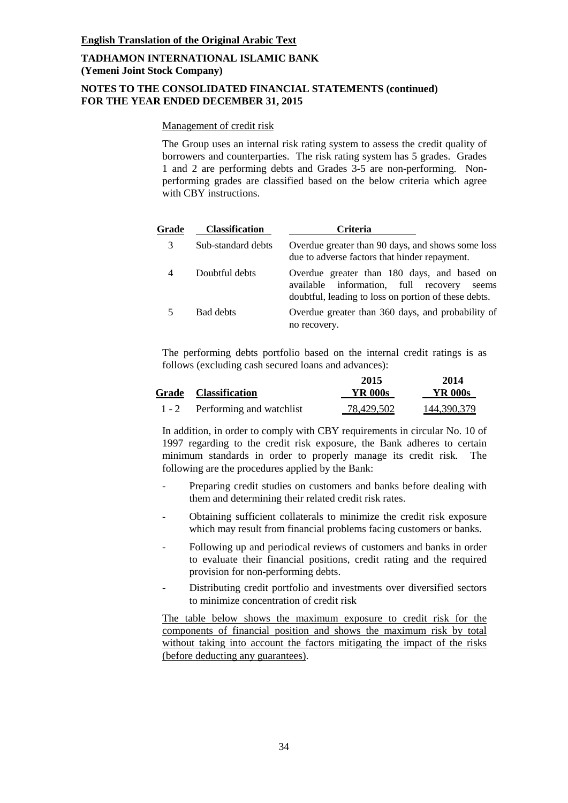# **NOTES TO THE CONSOLIDATED FINANCIAL STATEMENTS (continued) FOR THE YEAR ENDED DECEMBER 31, 2015**

### Management of credit risk

The Group uses an internal risk rating system to assess the credit quality of borrowers and counterparties. The risk rating system has 5 grades. Grades 1 and 2 are performing debts and Grades 3-5 are non-performing. Nonperforming grades are classified based on the below criteria which agree with CBY instructions.

| Grade | <b>Classification</b> | <b>Criteria</b>                                                                                                                                      |
|-------|-----------------------|------------------------------------------------------------------------------------------------------------------------------------------------------|
| 3     | Sub-standard debts    | Overdue greater than 90 days, and shows some loss<br>due to adverse factors that hinder repayment.                                                   |
|       | Doubtful debts        | Overdue greater than 180 days, and based on<br>available information, full recovery<br>seems<br>doubtful, leading to loss on portion of these debts. |
|       | Bad debts             | Overdue greater than 360 days, and probability of<br>no recovery.                                                                                    |

The performing debts portfolio based on the internal credit ratings is as follows (excluding cash secured loans and advances):

|         |                             | 2015              | 2014        |
|---------|-----------------------------|-------------------|-------------|
|         | <b>Grade Classification</b> | YR 000s           | YR 000s     |
| $1 - 2$ | Performing and watchlist    | <u>78,429,502</u> | 144,390,379 |

In addition, in order to comply with CBY requirements in circular No. 10 of 1997 regarding to the credit risk exposure, the Bank adheres to certain minimum standards in order to properly manage its credit risk. The following are the procedures applied by the Bank:

- Preparing credit studies on customers and banks before dealing with them and determining their related credit risk rates.
- Obtaining sufficient collaterals to minimize the credit risk exposure which may result from financial problems facing customers or banks.
- Following up and periodical reviews of customers and banks in order to evaluate their financial positions, credit rating and the required provision for non-performing debts.
- Distributing credit portfolio and investments over diversified sectors to minimize concentration of credit risk

The table below shows the maximum exposure to credit risk for the components of financial position and shows the maximum risk by total without taking into account the factors mitigating the impact of the risks (before deducting any guarantees).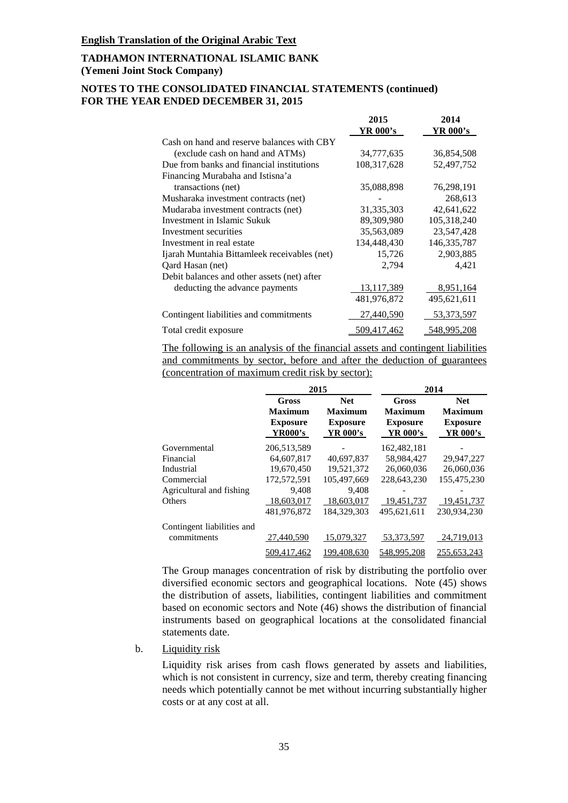### **NOTES TO THE CONSOLIDATED FINANCIAL STATEMENTS (continued) FOR THE YEAR ENDED DECEMBER 31, 2015**

|                                              | 2015          | 2014          |
|----------------------------------------------|---------------|---------------|
|                                              | YR 000's      | YR 000's      |
| Cash on hand and reserve balances with CBY   |               |               |
| (exclude cash on hand and ATMs)              | 34,777,635    | 36,854,508    |
| Due from banks and financial institutions    | 108, 317, 628 | 52,497,752    |
| Financing Murabaha and Istisna'a             |               |               |
| transactions (net)                           | 35,088,898    | 76,298,191    |
| Musharaka investment contracts (net)         |               | 268,613       |
| Mudaraba investment contracts (net)          | 31,335,303    | 42,641,622    |
| Investment in Islamic Sukuk                  | 89,309,980    | 105,318,240   |
| Investment securities                        | 35,563,089    | 23,547,428    |
| Investment in real estate                    | 134,448,430   | 146, 335, 787 |
| Ijarah Muntahia Bittamleek receivables (net) | 15,726        | 2,903,885     |
| Oard Hasan (net)                             | 2,794         | 4,421         |
| Debit balances and other assets (net) after  |               |               |
| deducting the advance payments               | 13,117,389    | 8,951,164     |
|                                              | 481,976,872   | 495,621,611   |
| Contingent liabilities and commitments       | 27,440,590    | 53,373,597    |
| Total credit exposure                        | 509,417,462   | 548,995,208   |

The following is an analysis of the financial assets and contingent liabilities and commitments by sector, before and after the deduction of guarantees (concentration of maximum credit risk by sector):

|                            |                                                       | 2015                                                        | 2014                                                          |                                                             |  |
|----------------------------|-------------------------------------------------------|-------------------------------------------------------------|---------------------------------------------------------------|-------------------------------------------------------------|--|
|                            | Gross<br><b>Maximum</b><br><b>Exposure</b><br>YR000's | <b>Net</b><br><b>Maximum</b><br><b>Exposure</b><br>YR 000's | <b>Gross</b><br><b>Maximum</b><br><b>Exposure</b><br>YR 000's | <b>Net</b><br><b>Maximum</b><br><b>Exposure</b><br>YR 000's |  |
| Governmental               | 206,513,589                                           |                                                             | 162,482,181                                                   |                                                             |  |
| Financial                  | 64,607,817                                            | 40,697,837                                                  | 58.984.427                                                    | 29,947,227                                                  |  |
| Industrial                 | 19,670,450                                            | 19.521.372                                                  | 26,060,036                                                    | 26,060,036                                                  |  |
| Commercial                 | 172,572,591                                           | 105,497,669                                                 | 228,643,230                                                   | 155,475,230                                                 |  |
| Agricultural and fishing   | 9,408                                                 | 9,408                                                       |                                                               |                                                             |  |
| <b>Others</b>              | 18,603,017                                            | 18,603,017                                                  | 19,451,737                                                    | 19,451,737                                                  |  |
|                            | 481,976,872                                           | 184,329,303                                                 | 495,621,611                                                   | 230,934,230                                                 |  |
| Contingent liabilities and |                                                       |                                                             |                                                               |                                                             |  |
| commitments                | 27,440,590                                            | 15,079,327                                                  | 53,373,597                                                    | 24,719,013                                                  |  |
|                            | 509,417,462                                           | 199,408,630                                                 | 548,995,208                                                   | 255,653,243                                                 |  |

The Group manages concentration of risk by distributing the portfolio over diversified economic sectors and geographical locations. Note (45) shows the distribution of assets, liabilities, contingent liabilities and commitment based on economic sectors and Note (46) shows the distribution of financial instruments based on geographical locations at the consolidated financial statements date.

#### b. Liquidity risk

Liquidity risk arises from cash flows generated by assets and liabilities, which is not consistent in currency, size and term, thereby creating financing needs which potentially cannot be met without incurring substantially higher costs or at any cost at all.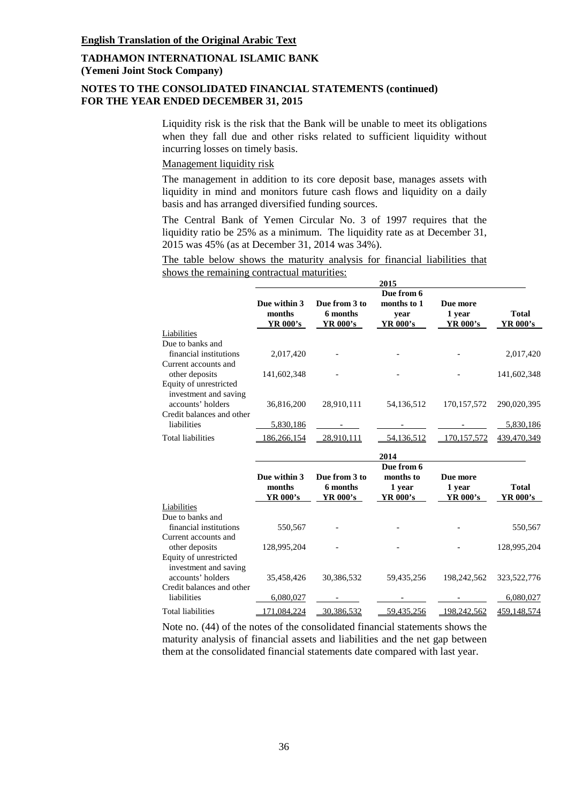# **NOTES TO THE CONSOLIDATED FINANCIAL STATEMENTS (continued) FOR THE YEAR ENDED DECEMBER 31, 2015**

Liquidity risk is the risk that the Bank will be unable to meet its obligations when they fall due and other risks related to sufficient liquidity without incurring losses on timely basis.

#### Management liquidity risk

The management in addition to its core deposit base, manages assets with liquidity in mind and monitors future cash flows and liquidity on a daily basis and has arranged diversified funding sources.

The Central Bank of Yemen Circular No. 3 of 1997 requires that the liquidity ratio be 25% as a minimum. The liquidity rate as at December 31, 2015 was 45% (as at December 31, 2014 was 34%).

The table below shows the maturity analysis for financial liabilities that shows the remaining contractual maturities:

|                                                                      |                                           |                                       | 2015                                          |                                |                          |
|----------------------------------------------------------------------|-------------------------------------------|---------------------------------------|-----------------------------------------------|--------------------------------|--------------------------|
|                                                                      | Due within 3<br>months<br><b>YR 000's</b> | Due from 3 to<br>6 months<br>YR 000's | Due from 6<br>months to 1<br>year<br>YR 000's | Due more<br>1 year<br>YR 000's | <b>Total</b><br>YR 000's |
| Liabilities                                                          |                                           |                                       |                                               |                                |                          |
| Due to banks and<br>financial institutions                           | 2,017,420                                 |                                       |                                               |                                | 2,017,420                |
| Current accounts and                                                 |                                           |                                       |                                               |                                |                          |
| other deposits<br>Equity of unrestricted                             | 141,602,348                               |                                       |                                               |                                | 141,602,348              |
| investment and saving<br>accounts' holders                           | 36,816,200                                | 28,910,111                            | 54,136,512                                    | 170,157,572                    | 290,020,395              |
| Credit balances and other                                            |                                           |                                       |                                               |                                |                          |
| liabilities                                                          | 5,830,186                                 |                                       |                                               |                                | 5,830,186                |
| <b>Total liabilities</b>                                             | 186,266,154                               | 28,910,111                            | 54,136,512                                    | 170, 157, 572                  | 439,470,349              |
|                                                                      |                                           |                                       | 2014                                          |                                |                          |
|                                                                      | Due within 3<br>months<br>YR 000's        | Due from 3 to<br>6 months<br>YR 000's | Due from 6<br>months to<br>1 year<br>YR 000's | Due more<br>1 year<br>YR 000's | <b>Total</b><br>YR 000's |
| Liabilities                                                          |                                           |                                       |                                               |                                |                          |
| Due to banks and                                                     |                                           |                                       |                                               |                                |                          |
| financial institutions                                               | 550,567                                   |                                       |                                               |                                | 550,567                  |
| Current accounts and<br>other deposits                               | 128,995,204                               |                                       |                                               |                                | 128,995,204              |
| Equity of unrestricted<br>investment and saving<br>accounts' holders | 35,458,426                                | 30,386,532                            | 59,435,256                                    | 198,242,562                    | 323,522,776              |
| Credit balances and other<br>liabilities                             | 6,080,027                                 |                                       |                                               |                                | 6,080,027                |
| <b>Total liabilities</b>                                             | 171,084,224                               | 30,386,532                            | 59,435,256                                    | 198,242,562                    | 459,148,574              |
|                                                                      |                                           |                                       |                                               |                                |                          |

Note no. (44) of the notes of the consolidated financial statements shows the maturity analysis of financial assets and liabilities and the net gap between them at the consolidated financial statements date compared with last year.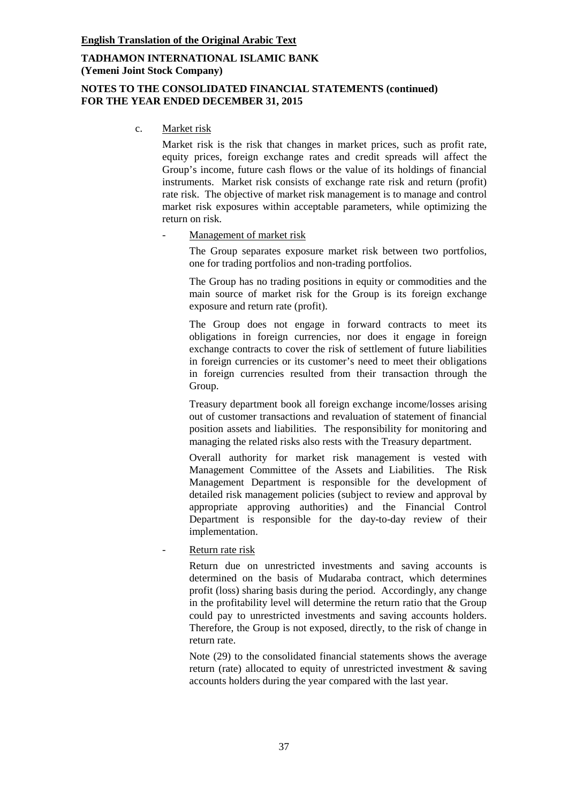### **NOTES TO THE CONSOLIDATED FINANCIAL STATEMENTS (continued) FOR THE YEAR ENDED DECEMBER 31, 2015**

c. Market risk

Market risk is the risk that changes in market prices, such as profit rate, equity prices, foreign exchange rates and credit spreads will affect the Group's income, future cash flows or the value of its holdings of financial instruments. Market risk consists of exchange rate risk and return (profit) rate risk. The objective of market risk management is to manage and control market risk exposures within acceptable parameters, while optimizing the return on risk.

Management of market risk

The Group separates exposure market risk between two portfolios, one for trading portfolios and non-trading portfolios.

The Group has no trading positions in equity or commodities and the main source of market risk for the Group is its foreign exchange exposure and return rate (profit).

The Group does not engage in forward contracts to meet its obligations in foreign currencies, nor does it engage in foreign exchange contracts to cover the risk of settlement of future liabilities in foreign currencies or its customer's need to meet their obligations in foreign currencies resulted from their transaction through the Group.

Treasury department book all foreign exchange income/losses arising out of customer transactions and revaluation of statement of financial position assets and liabilities. The responsibility for monitoring and managing the related risks also rests with the Treasury department.

Overall authority for market risk management is vested with Management Committee of the Assets and Liabilities. The Risk Management Department is responsible for the development of detailed risk management policies (subject to review and approval by appropriate approving authorities) and the Financial Control Department is responsible for the day-to-day review of their implementation.

Return rate risk

Return due on unrestricted investments and saving accounts is determined on the basis of Mudaraba contract, which determines profit (loss) sharing basis during the period. Accordingly, any change in the profitability level will determine the return ratio that the Group could pay to unrestricted investments and saving accounts holders. Therefore, the Group is not exposed, directly, to the risk of change in return rate.

Note (29) to the consolidated financial statements shows the average return (rate) allocated to equity of unrestricted investment & saving accounts holders during the year compared with the last year.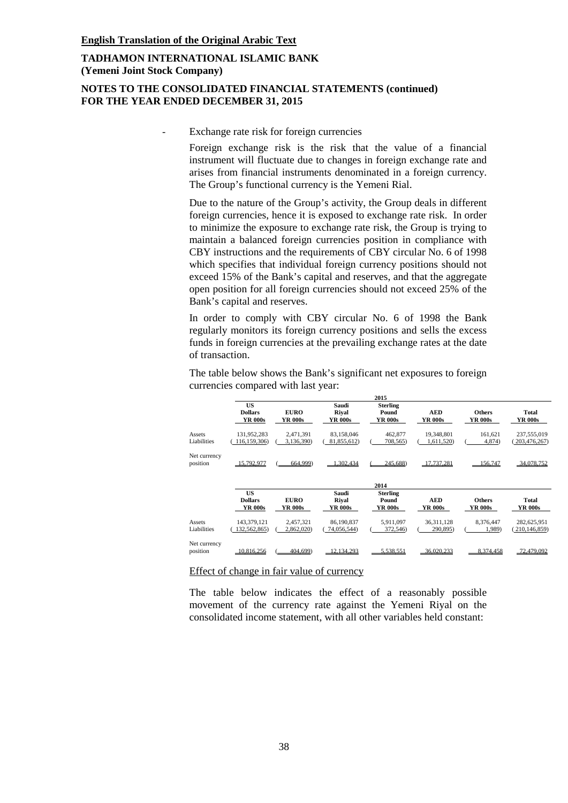### **NOTES TO THE CONSOLIDATED FINANCIAL STATEMENTS (continued) FOR THE YEAR ENDED DECEMBER 31, 2015**

Exchange rate risk for foreign currencies

Foreign exchange risk is the risk that the value of a financial instrument will fluctuate due to changes in foreign exchange rate and arises from financial instruments denominated in a foreign currency. The Group's functional currency is the Yemeni Rial.

Due to the nature of the Group's activity, the Group deals in different foreign currencies, hence it is exposed to exchange rate risk. In order to minimize the exposure to exchange rate risk, the Group is trying to maintain a balanced foreign currencies position in compliance with CBY instructions and the requirements of CBY circular No. 6 of 1998 which specifies that individual foreign currency positions should not exceed 15% of the Bank's capital and reserves, and that the aggregate open position for all foreign currencies should not exceed 25% of the Bank's capital and reserves.

In order to comply with CBY circular No. 6 of 1998 the Bank regularly monitors its foreign currency positions and sells the excess funds in foreign currencies at the prevailing exchange rates at the date of transaction.

The table below shows the Bank's significant net exposures to foreign currencies compared with last year:

|                          |                                        |                         |                           | 2015                                |                              |                          |                               |
|--------------------------|----------------------------------------|-------------------------|---------------------------|-------------------------------------|------------------------------|--------------------------|-------------------------------|
|                          | <b>US</b><br><b>Dollars</b><br>YR 000s | <b>EURO</b><br>YR 000s  | Saudi<br>Rival<br>YR 000s | <b>Sterling</b><br>Pound<br>YR 000s | <b>AED</b><br><b>YR 000s</b> | <b>Others</b><br>YR 000s | <b>Total</b><br>YR 000s       |
| Assets<br>Liabilities    | 131,952,283<br>116, 159, 306)          | 2,471,391<br>3,136,390) | 83,158,046<br>81,855,612) | 462,877<br>708,565)                 | 19,348,801<br>1,611,520)     | 161,621<br>4,874)        | 237,555,019<br>203,476,267)   |
| Net currency<br>position | 15.792.977                             | 664.999)                | 302.434                   | 245.688)                            | $\mathbf{17}$<br>.737.281    | 156.747                  | 34,078,752                    |
|                          |                                        |                         |                           |                                     |                              |                          |                               |
|                          |                                        |                         |                           | 2014                                |                              |                          |                               |
|                          | <b>US</b><br><b>Dollars</b><br>YR 000s | <b>EURO</b><br>YR 000s  | Saudi<br>Rival<br>YR 000s | <b>Sterling</b><br>Pound<br>YR 000s | <b>AED</b><br>YR 000s        | <b>Others</b><br>YR 000s | <b>Total</b><br>YR 000s       |
| Assets<br>Liabilities    | 143,379,121<br>132,562,865)            | 2,457,321<br>2,862,020) | 86.190.837<br>74,056,544) | 5.911.097<br>372,546)               | 36,311,128<br>290,895)       | 8,376,447<br>1,989)      | 282,625,951<br>210, 146, 859) |

#### Effect of change in fair value of currency

The table below indicates the effect of a reasonably possible movement of the currency rate against the Yemeni Riyal on the consolidated income statement, with all other variables held constant: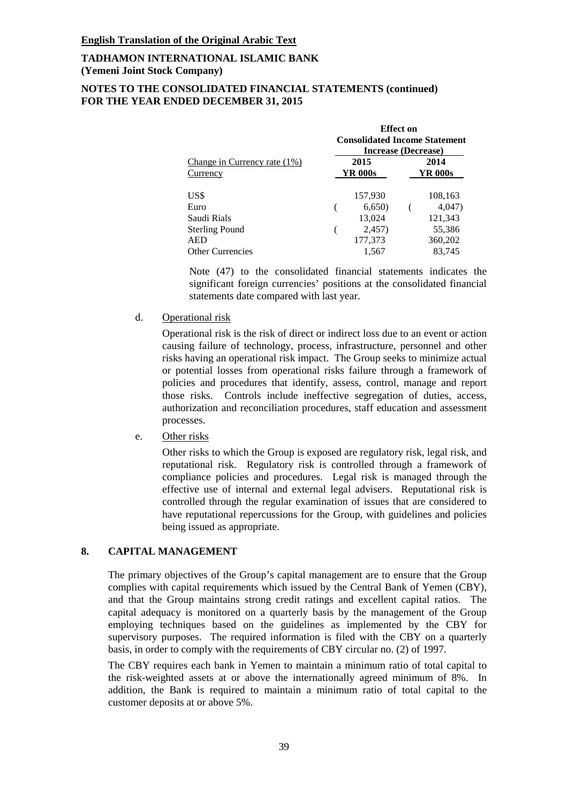#### **NOTES TO THE CONSOLIDATED FINANCIAL STATEMENTS (continued) FOR THE YEAR ENDED DECEMBER 31, 2015**

|                              | .<br><b>Consolidated Income Statement</b><br><b>Increase (Decrease)</b> |         |                |         |  |  |
|------------------------------|-------------------------------------------------------------------------|---------|----------------|---------|--|--|
| Change in Currency rate (1%) | 2015                                                                    |         | 2014           |         |  |  |
| Currency                     |                                                                         | YR 000s | <b>YR 000s</b> |         |  |  |
| US\$                         |                                                                         | 157,930 |                | 108,163 |  |  |
| Euro                         |                                                                         | 6,650   |                | 4,047)  |  |  |
| Saudi Rials                  |                                                                         | 13,024  |                | 121,343 |  |  |
| <b>Sterling Pound</b>        |                                                                         | 2,457)  |                | 55,386  |  |  |
| <b>AED</b>                   |                                                                         | 177,373 |                | 360,202 |  |  |
| <b>Other Currencies</b>      |                                                                         | 1.567   |                | 83,745  |  |  |

**Effect on** 

Note (47) to the consolidated financial statements indicates the significant foreign currencies' positions at the consolidated financial statements date compared with last year.

#### d. Operational risk

Operational risk is the risk of direct or indirect loss due to an event or action causing failure of technology, process, infrastructure, personnel and other risks having an operational risk impact. The Group seeks to minimize actual or potential losses from operational risks failure through a framework of policies and procedures that identify, assess, control, manage and report those risks. Controls include ineffective segregation of duties, access, authorization and reconciliation procedures, staff education and assessment processes.

#### e. Other risks

Other risks to which the Group is exposed are regulatory risk, legal risk, and reputational risk. Regulatory risk is controlled through a framework of compliance policies and procedures. Legal risk is managed through the effective use of internal and external legal advisers. Reputational risk is controlled through the regular examination of issues that are considered to have reputational repercussions for the Group, with guidelines and policies being issued as appropriate.

### **8. CAPITAL MANAGEMENT**

The primary objectives of the Group's capital management are to ensure that the Group complies with capital requirements which issued by the Central Bank of Yemen (CBY), and that the Group maintains strong credit ratings and excellent capital ratios. The capital adequacy is monitored on a quarterly basis by the management of the Group employing techniques based on the guidelines as implemented by the CBY for supervisory purposes. The required information is filed with the CBY on a quarterly basis, in order to comply with the requirements of CBY circular no. (2) of 1997.

The CBY requires each bank in Yemen to maintain a minimum ratio of total capital to the risk-weighted assets at or above the internationally agreed minimum of 8%. In addition, the Bank is required to maintain a minimum ratio of total capital to the customer deposits at or above 5%.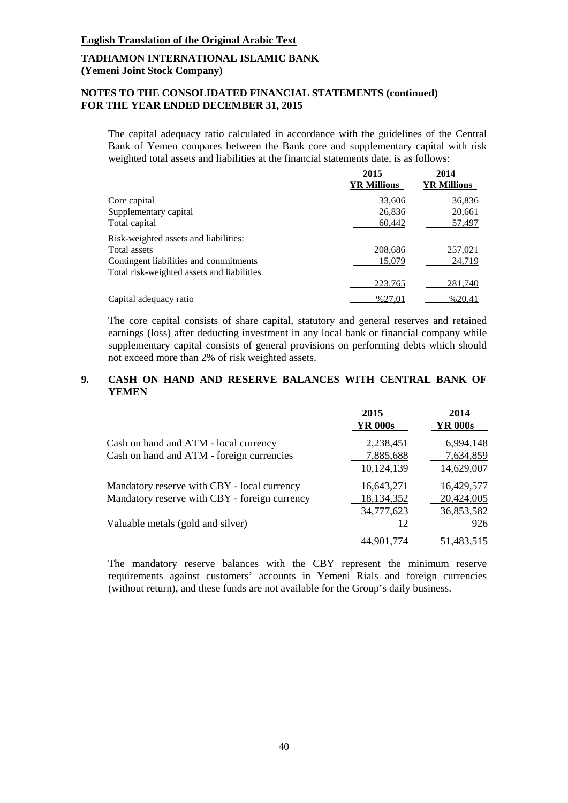# **NOTES TO THE CONSOLIDATED FINANCIAL STATEMENTS (continued) FOR THE YEAR ENDED DECEMBER 31, 2015**

The capital adequacy ratio calculated in accordance with the guidelines of the Central Bank of Yemen compares between the Bank core and supplementary capital with risk weighted total assets and liabilities at the financial statements date, is as follows:

|                                            | 2015<br><b>YR Millions</b> | 2014<br><b>YR Millions</b> |
|--------------------------------------------|----------------------------|----------------------------|
| Core capital                               | 33,606                     | 36,836                     |
| Supplementary capital                      | 26,836                     | 20,661                     |
| Total capital                              | 60,442                     | 57,497                     |
| Risk-weighted assets and liabilities:      |                            |                            |
| Total assets                               | 208,686                    | 257,021                    |
| Contingent liabilities and commitments     | 15,079                     | 24,719                     |
| Total risk-weighted assets and liabilities |                            |                            |
|                                            | 223,765                    | 281,740                    |
| Capital adequacy ratio                     | %27,01                     | %20,41                     |

The core capital consists of share capital, statutory and general reserves and retained earnings (loss) after deducting investment in any local bank or financial company while supplementary capital consists of general provisions on performing debts which should not exceed more than 2% of risk weighted assets.

### **9. CASH ON HAND AND RESERVE BALANCES WITH CENTRAL BANK OF YEMEN**

|                                               | 2015<br>YR 000s | 2014<br><b>YR 000s</b> |
|-----------------------------------------------|-----------------|------------------------|
| Cash on hand and ATM - local currency         | 2,238,451       | 6,994,148              |
| Cash on hand and ATM - foreign currencies     | 7,885,688       | 7,634,859              |
|                                               | 10,124,139      | 14,629,007             |
| Mandatory reserve with CBY - local currency   | 16,643,271      | 16,429,577             |
| Mandatory reserve with CBY - foreign currency | 18,134,352      | 20,424,005             |
|                                               | 34,777,623      | 36,853,582             |
| Valuable metals (gold and silver)             | 12              | 926                    |
|                                               |                 | 51,483,515             |

The mandatory reserve balances with the CBY represent the minimum reserve requirements against customers' accounts in Yemeni Rials and foreign currencies (without return), and these funds are not available for the Group's daily business.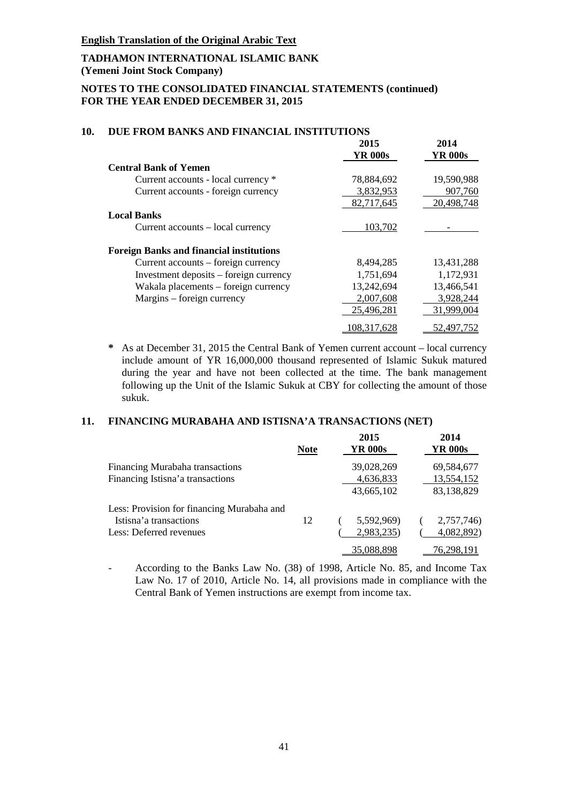### **TADHAMON INTERNATIONAL ISLAMIC BANK (Yemeni Joint Stock Company)**

### **NOTES TO THE CONSOLIDATED FINANCIAL STATEMENTS (continued) FOR THE YEAR ENDED DECEMBER 31, 2015**

|                                                 | 2015           | 2014       |
|-------------------------------------------------|----------------|------------|
|                                                 | <b>YR 000s</b> | YR 000s    |
| <b>Central Bank of Yemen</b>                    |                |            |
| Current accounts - local currency *             | 78,884,692     | 19,590,988 |
| Current accounts - foreign currency             | 3,832,953      | 907,760    |
|                                                 | 82,717,645     | 20,498,748 |
| <b>Local Banks</b>                              |                |            |
| Current accounts – local currency               | 103,702        |            |
| <b>Foreign Banks and financial institutions</b> |                |            |
| Current accounts – foreign currency             | 8,494,285      | 13,431,288 |
| Investment deposits – foreign currency          | 1,751,694      | 1,172,931  |
| Wakala placements – foreign currency            | 13,242,694     | 13,466,541 |
| Margins – foreign currency                      | 2,007,608      | 3,928,244  |
|                                                 | 25,496,281     | 31,999,004 |
|                                                 | 108,317,628    | 52,497,752 |

#### **10. DUE FROM BANKS AND FINANCIAL INSTITUTIONS**

**\*** As at December 31, 2015 the Central Bank of Yemen current account – local currency include amount of YR 16,000,000 thousand represented of Islamic Sukuk matured during the year and have not been collected at the time. The bank management following up the Unit of the Islamic Sukuk at CBY for collecting the amount of those sukuk.

#### **11. FINANCING MURABAHA AND ISTISNA'A TRANSACTIONS (NET)**

|                                            | <b>Note</b> | 2015<br>YR 000s | 2014<br><b>YR 000s</b> |
|--------------------------------------------|-------------|-----------------|------------------------|
| Financing Murabaha transactions            |             | 39,028,269      | 69,584,677             |
| Financing Istisna'a transactions           |             | 4,636,833       | 13,554,152             |
|                                            |             | 43,665,102      | 83,138,829             |
| Less: Provision for financing Murabaha and |             |                 |                        |
| Istisna'a transactions                     | 12          | 5,592,969)      | 2,757,746)             |
| Less: Deferred revenues                    |             | 2,983,235)      | 4,082,892)             |
|                                            |             | 35,088,898      | 76,298,191             |

- According to the Banks Law No. (38) of 1998, Article No. 85, and Income Tax Law No. 17 of 2010, Article No. 14, all provisions made in compliance with the Central Bank of Yemen instructions are exempt from income tax.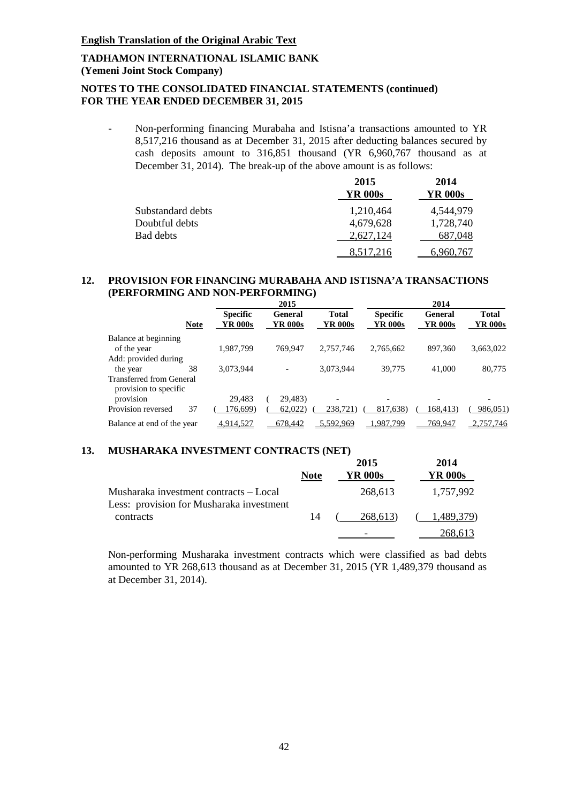### **NOTES TO THE CONSOLIDATED FINANCIAL STATEMENTS (continued) FOR THE YEAR ENDED DECEMBER 31, 2015**

- Non-performing financing Murabaha and Istisna'a transactions amounted to YR 8,517,216 thousand as at December 31, 2015 after deducting balances secured by cash deposits amount to 316,851 thousand (YR 6,960,767 thousand as at December 31, 2014). The break-up of the above amount is as follows:

|                   | 2015<br><b>YR 000s</b> | 2014<br>YR 000s |
|-------------------|------------------------|-----------------|
| Substandard debts | 1,210,464              | 4,544,979       |
| Doubtful debts    | 4,679,628              | 1,728,740       |
| <b>Bad debts</b>  | 2,627,124              | 687,048         |
|                   | 8,517,216              | 6,960,767       |

### **12. PROVISION FOR FINANCING MURABAHA AND ISTISNA'A TRANSACTIONS**  (PERFORMING AND NON-PERFORMING)

|                                             |                                           | 2015                      |                         |                            | 2014                      |                         |
|---------------------------------------------|-------------------------------------------|---------------------------|-------------------------|----------------------------|---------------------------|-------------------------|
|                                             | <b>Specific</b><br>YR 000s<br><b>Note</b> | <b>General</b><br>YR 000s | <b>Total</b><br>YR 000s | <b>Specific</b><br>YR 000s | <b>General</b><br>YR 000s | <b>Total</b><br>YR 000s |
| Balance at beginning<br>of the year         | 1,987,799                                 | 769,947                   | 2,757,746               | 2,765,662                  | 897,360                   | 3,663,022               |
| Add: provided during                        |                                           |                           |                         |                            |                           |                         |
| the year<br><b>Transferred from General</b> | 3,073,944<br>38                           |                           | 3,073,944               | 39,775                     | 41,000                    | 80,775                  |
| provision to specific                       |                                           |                           |                         |                            |                           |                         |
| provision                                   | 29.483                                    | 29,483)                   |                         |                            |                           |                         |
| Provision reversed                          | 37<br>176,699)                            | 62,022                    | 238.721)                | 817,638)                   | 168,413)                  | 986,051)                |
| Balance at end of the year                  | 4,914,527                                 | 678,442                   | 5,592,969               | .987,799                   | 769,947                   | 2,757,746               |

# **13. MUSHARAKA INVESTMENT CONTRACTS (NET)**

|                                                                                    | <b>Note</b> | 2015<br>YR 000s | 2014<br>YR 000s |
|------------------------------------------------------------------------------------|-------------|-----------------|-----------------|
| Musharaka investment contracts – Local<br>Less: provision for Musharaka investment |             | 268,613         | 1.757.992       |
| contracts                                                                          | 14          | 268.613)        | 1.489.379)      |
|                                                                                    |             |                 | 268.613         |

Non-performing Musharaka investment contracts which were classified as bad debts amounted to YR 268,613 thousand as at December 31, 2015 (YR 1,489,379 thousand as at December 31, 2014).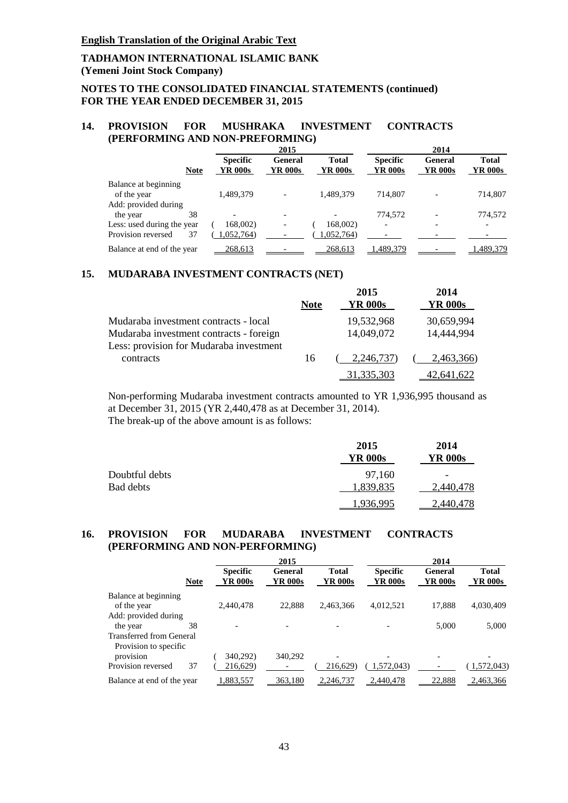# **NOTES TO THE CONSOLIDATED FINANCIAL STATEMENTS (continued) FOR THE YEAR ENDED DECEMBER 31, 2015**

#### **14. PROVISION FOR MUSHRAKA INVESTMENT CONTRACTS (PERFORMING AND NON-PREFORMING)**

|                            |                            | 2015               |                         |                            | 2014                             |                         |  |  |
|----------------------------|----------------------------|--------------------|-------------------------|----------------------------|----------------------------------|-------------------------|--|--|
| <b>Note</b>                | <b>Specific</b><br>YR 000s | General<br>YR 000s | <b>Total</b><br>YR 000s | <b>Specific</b><br>YR 000s | <b>General</b><br><b>YR 000s</b> | <b>Total</b><br>YR 000s |  |  |
| Balance at beginning       |                            |                    |                         |                            |                                  |                         |  |  |
| of the year                | 1,489,379                  |                    | 1,489,379               | 714.807                    |                                  | 714,807                 |  |  |
| Add: provided during       |                            |                    |                         |                            |                                  |                         |  |  |
| 38<br>the year             |                            |                    |                         | 774,572                    |                                  | 774,572                 |  |  |
| Less: used during the year | 168,002)                   |                    | 168,002)                |                            |                                  |                         |  |  |
| Provision reversed<br>37   | 1.052.764)                 |                    | ,052,764)               |                            |                                  |                         |  |  |
| Balance at end of the year | 268,613                    |                    | 268,613                 | ,489,379                   |                                  | ,489,379                |  |  |

#### **15. MUDARABA INVESTMENT CONTRACTS (NET)**

|                                         | <b>Note</b> | 2015<br><b>YR 000s</b> | 2014<br><b>YR 000s</b> |
|-----------------------------------------|-------------|------------------------|------------------------|
| Mudaraba investment contracts - local   |             | 19,532,968             | 30,659,994             |
| Mudaraba investment contracts - foreign |             | 14,049,072             | 14,444,994             |
| Less: provision for Mudaraba investment |             |                        |                        |
| contracts                               | 16          | 2,246,737)             | 2,463,366)             |
|                                         |             | <u>31,335,303</u>      | 42.641.622             |

Non-performing Mudaraba investment contracts amounted to YR 1,936,995 thousand as at December 31, 2015 (YR 2,440,478 as at December 31, 2014).

The break-up of the above amount is as follows:

|                | 2015<br><b>YR 000s</b> | 2014<br>YR 000s |
|----------------|------------------------|-----------------|
| Doubtful debts | 97.160                 | -               |
| Bad debts      | 1,839,835              | 2,440,478       |
|                | 1.936.995              | 2.440.478       |

### **16. PROVISION FOR MUDARABA INVESTMENT CONTRACTS (PERFORMING AND NON-PERFORMING)**

|                                                                     |             |                            | 2015                             |                         |                            | 2014                             |                         |
|---------------------------------------------------------------------|-------------|----------------------------|----------------------------------|-------------------------|----------------------------|----------------------------------|-------------------------|
|                                                                     | <b>Note</b> | <b>Specific</b><br>YR 000s | <b>General</b><br><b>YR 000s</b> | <b>Total</b><br>YR 000s | <b>Specific</b><br>YR 000s | <b>General</b><br><b>YR 000s</b> | <b>Total</b><br>YR 000s |
| Balance at beginning<br>of the year                                 |             | 2,440,478                  | 22,888                           | 2,463,366               | 4,012,521                  | 17,888                           | 4,030,409               |
| Add: provided during<br>the year<br><b>Transferred from General</b> | 38          |                            |                                  |                         |                            | 5,000                            | 5,000                   |
| Provision to specific<br>provision<br>Provision reversed            | 37          | 340,292)<br>216,629)       | 340,292                          | 216,629)                | 1,572,043)                 |                                  | 1,572,043)              |
| Balance at end of the year                                          |             | 1,883,557                  | 363,180                          | 2,246,737               | 2,440,478                  | 22,888                           | 2,463,366               |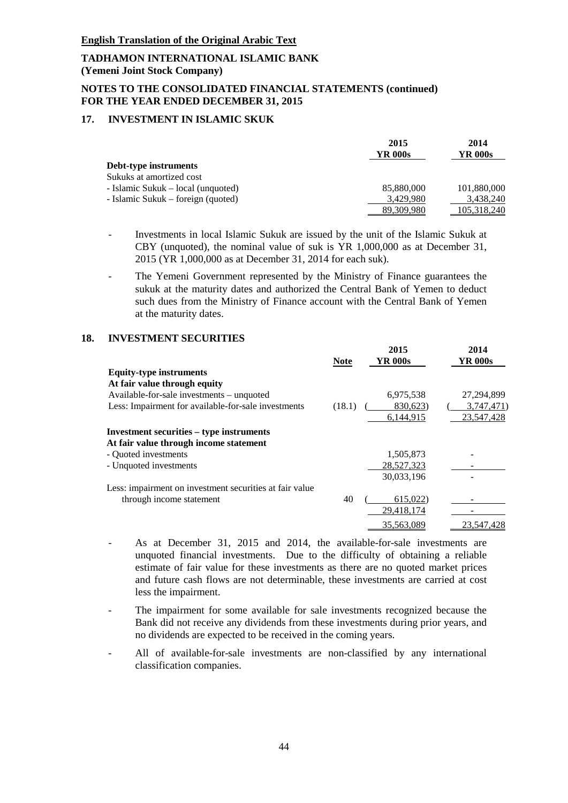#### **NOTES TO THE CONSOLIDATED FINANCIAL STATEMENTS (continued) FOR THE YEAR ENDED DECEMBER 31, 2015**

### **17. INVESTMENT IN ISLAMIC SKUK**

|                                    | 2015<br>YR 000s | 2014<br>YR 000s |
|------------------------------------|-----------------|-----------------|
| Debt-type instruments              |                 |                 |
| Sukuks at amortized cost           |                 |                 |
| - Islamic Sukuk – local (unquoted) | 85,880,000      | 101,880,000     |
| - Islamic Sukuk – foreign (quoted) | 3,429,980       | 3,438,240       |
|                                    | 89.309.980      | 105,318,240     |

- Investments in local Islamic Sukuk are issued by the unit of the Islamic Sukuk at CBY (unquoted), the nominal value of suk is YR 1,000,000 as at December 31, 2015 (YR 1,000,000 as at December 31, 2014 for each suk).
- The Yemeni Government represented by the Ministry of Finance guarantees the sukuk at the maturity dates and authorized the Central Bank of Yemen to deduct such dues from the Ministry of Finance account with the Central Bank of Yemen at the maturity dates.

### **18. INVESTMENT SECURITIES**

|                                                         | <b>Note</b> | 2015<br><b>YR 000s</b> | 2014<br>YR 000s |
|---------------------------------------------------------|-------------|------------------------|-----------------|
| <b>Equity-type instruments</b>                          |             |                        |                 |
| At fair value through equity                            |             |                        |                 |
| Available-for-sale investments – unquoted               |             | 6,975,538              | 27, 294, 899    |
| Less: Impairment for available-for-sale investments     | (18.1)      | 830,623)               | 3,747,471)      |
|                                                         |             | 6,144,915              | 23,547,428      |
| Investment securities – type instruments                |             |                        |                 |
| At fair value through income statement                  |             |                        |                 |
| - Quoted investments                                    |             | 1,505,873              |                 |
| - Unquoted investments                                  |             | 28,527,323             |                 |
|                                                         |             | 30,033,196             |                 |
| Less: impairment on investment securities at fair value |             |                        |                 |
| through income statement                                | 40          | 615,022)               |                 |
|                                                         |             | 29.418.174             |                 |
|                                                         |             | 35,563,089             | 23.547.428      |

- As at December 31, 2015 and 2014, the available-for-sale investments are unquoted financial investments. Due to the difficulty of obtaining a reliable estimate of fair value for these investments as there are no quoted market prices and future cash flows are not determinable, these investments are carried at cost less the impairment.
- The impairment for some available for sale investments recognized because the Bank did not receive any dividends from these investments during prior years, and no dividends are expected to be received in the coming years.
- All of available-for-sale investments are non-classified by any international classification companies.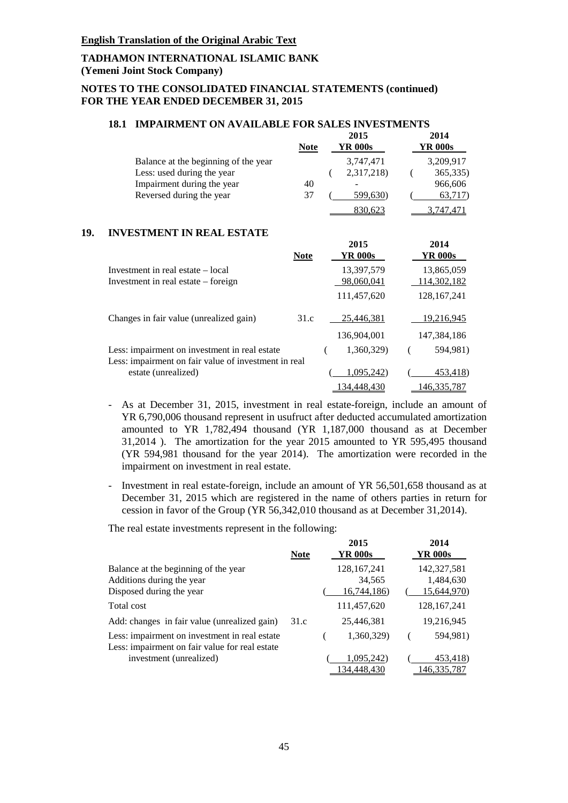#### **NOTES TO THE CONSOLIDATED FINANCIAL STATEMENTS (continued) FOR THE YEAR ENDED DECEMBER 31, 2015**

# **18.1 IMPAIRMENT ON AVAILABLE FOR SALES INVESTMENTS**

|                                      | <b>Note</b> | 2015<br>YR 000s | 2014<br>YR 000s |
|--------------------------------------|-------------|-----------------|-----------------|
| Balance at the beginning of the year |             | 3.747.471       | 3,209,917       |
| Less: used during the year           |             | 2,317,218)      | 365,335)        |
| Impairment during the year           | 40          |                 | 966,606         |
| Reversed during the year             | 37          | 599,630)        | 63,717)         |
|                                      |             | 830.623         |                 |

#### **19. INVESTMENT IN REAL ESTATE**

|                                                                                                       | <b>Note</b> | 2015<br>YR 000s | 2014<br>YR 000s    |
|-------------------------------------------------------------------------------------------------------|-------------|-----------------|--------------------|
| Investment in real estate – local                                                                     |             | 13,397,579      | 13,865,059         |
| Investment in real estate – foreign                                                                   |             | 98,060,041      | <u>114,302,182</u> |
|                                                                                                       |             | 111,457,620     | 128, 167, 241      |
| Changes in fair value (unrealized gain)                                                               | 31.c        | 25.446.381      | 19,216,945         |
|                                                                                                       |             | 136,904,001     | 147.384.186        |
| Less: impairment on investment in real estate<br>Less: impairment on fair value of investment in real |             | 1,360,329)      | 594,981)           |
| estate (unrealized)                                                                                   |             | 1,095,242)      | 453,418)           |
|                                                                                                       |             | 134,448,430     | 146,335,787        |

- As at December 31, 2015, investment in real estate-foreign, include an amount of YR 6,790,006 thousand represent in usufruct after deducted accumulated amortization amounted to YR 1,782,494 thousand (YR 1,187,000 thousand as at December 31,2014 ). The amortization for the year 2015 amounted to YR 595,495 thousand (YR 594,981 thousand for the year 2014). The amortization were recorded in the impairment on investment in real estate.
- Investment in real estate-foreign, include an amount of YR 56,501,658 thousand as at December 31, 2015 which are registered in the name of others parties in return for cession in favor of the Group (YR 56,342,010 thousand as at December 31,2014).

The real estate investments represent in the following:

|                                                                                                 | <b>Note</b> | 2015<br>YR 000s                        | 2014<br>YR 000s                         |
|-------------------------------------------------------------------------------------------------|-------------|----------------------------------------|-----------------------------------------|
| Balance at the beginning of the year<br>Additions during the year<br>Disposed during the year   |             | 128, 167, 241<br>34,565<br>16,744,186) | 142,327,581<br>1,484,630<br>15,644,970) |
| Total cost                                                                                      |             | 111,457,620                            | 128, 167, 241                           |
| Add: changes in fair value (unrealized gain)                                                    | 31.c        | 25,446,381                             | 19,216,945                              |
| Less: impairment on investment in real estate<br>Less: impairment on fair value for real estate |             | 1,360,329)                             | 594,981)                                |
| investment (unrealized)                                                                         |             | 1,095,242)<br>134,448,430              | 453,418)<br>146,335,787                 |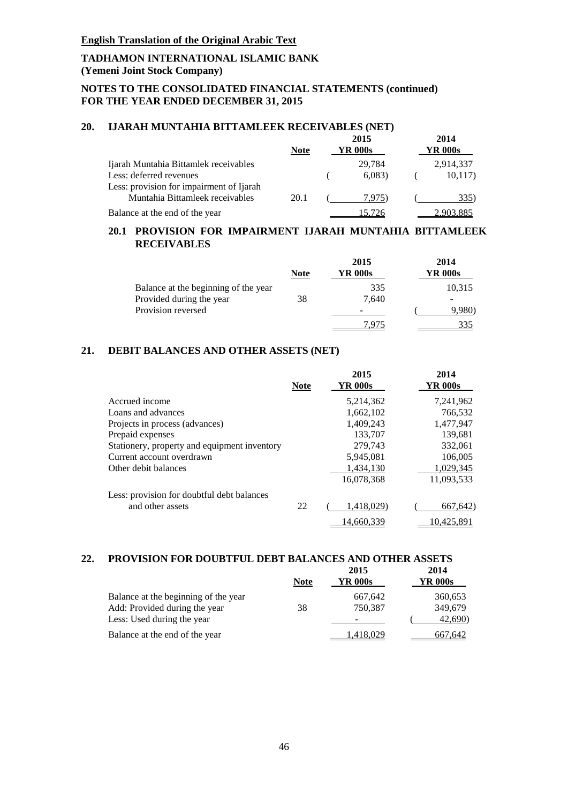### **NOTES TO THE CONSOLIDATED FINANCIAL STATEMENTS (continued) FOR THE YEAR ENDED DECEMBER 31, 2015**

## **20. IJARAH MUNTAHIA BITTAMLEEK RECEIVABLES (NET)**

|                                          | <b>Note</b> | 2015<br>YR 000s | 2014<br>YR 000s |
|------------------------------------------|-------------|-----------------|-----------------|
| Ijarah Muntahia Bittamlek receivables    |             | 29.784          | 2,914,337       |
| Less: deferred revenues                  |             | 6,083           | 10,117)         |
| Less: provision for impairment of Ijarah |             |                 |                 |
| Muntahia Bittamleek receivables          | 20.1        | 7.975)          | 335)            |
| Balance at the end of the year           |             |                 |                 |

### **20.1 PROVISION FOR IMPAIRMENT IJARAH MUNTAHIA BITTAMLEEK RECEIVABLES**

|                                      | <b>Note</b> | 2015<br>YR 000s | 2014<br>YR 000s |
|--------------------------------------|-------------|-----------------|-----------------|
| Balance at the beginning of the year |             | 335             | 10,315          |
| Provided during the year             | 38          | 7.640           |                 |
| Provision reversed                   |             |                 | 9,980)          |
|                                      |             | U.              |                 |

# **21. DEBIT BALANCES AND OTHER ASSETS (NET)**

|                                              | <b>Note</b> | 2015<br>YR 000s | 2014<br>YR 000s |
|----------------------------------------------|-------------|-----------------|-----------------|
| Accrued income                               |             | 5,214,362       | 7,241,962       |
| Loans and advances                           |             | 1,662,102       | 766,532         |
| Projects in process (advances)               |             | 1,409,243       | 1,477,947       |
| Prepaid expenses                             |             | 133,707         | 139,681         |
| Stationery, property and equipment inventory |             | 279,743         | 332,061         |
| Current account overdrawn                    |             | 5,945,081       | 106,005         |
| Other debit balances                         |             | 1.434.130       | 1,029,345       |
|                                              |             | 16.078.368      | 11,093,533      |
| Less: provision for doubtful debt balances   |             |                 |                 |
| and other assets                             | 22          | 1,418,029)      | 667,642)        |
|                                              |             | 14.660.339      | 10.425.891      |

# **22. PROVISION FOR DOUBTFUL DEBT BALANCES AND OTHER ASSETS**

|                                      |             | 2015    | 2014    |
|--------------------------------------|-------------|---------|---------|
|                                      | <b>Note</b> | YR 000s | YR 000s |
| Balance at the beginning of the year |             | 667,642 | 360,653 |
| Add: Provided during the year        | 38          | 750.387 | 349,679 |
| Less: Used during the year           |             |         | 42,690) |
| Balance at the end of the year       |             | 418.029 | 667.642 |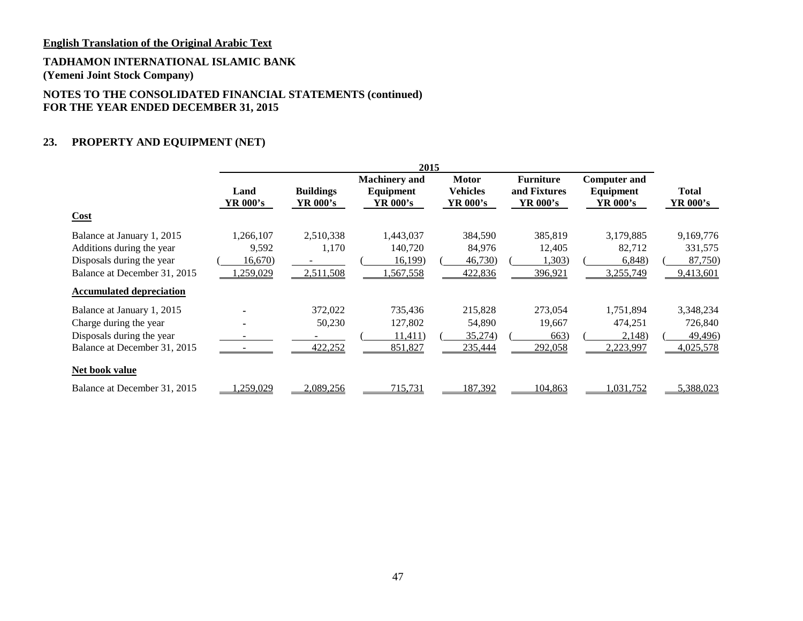# **TADHAMON INTERNATIONAL ISLAMIC BANK**

**(Yemeni Joint Stock Company)**

# **NOTES TO THE CONSOLIDATED FINANCIAL STATEMENTS (continued) FOR THE YEAR ENDED DECEMBER 31, 2015**

# **23. PROPERTY AND EQUIPMENT (NET)**

|                                                                                                                                                      | 2015                                             |                                 |                                               |                                             |                                              |                                              |                                              |
|------------------------------------------------------------------------------------------------------------------------------------------------------|--------------------------------------------------|---------------------------------|-----------------------------------------------|---------------------------------------------|----------------------------------------------|----------------------------------------------|----------------------------------------------|
| Cost                                                                                                                                                 | Land<br>YR 000's                                 | <b>Buildings</b><br>YR 000's    | <b>Machinery and</b><br>Equipment<br>YR 000's | <b>Motor</b><br><b>Vehicles</b><br>YR 000's | <b>Furniture</b><br>and Fixtures<br>YR 000's | <b>Computer and</b><br>Equipment<br>YR 000's | <b>Total</b><br>YR 000's                     |
| Balance at January 1, 2015<br>Additions during the year<br>Disposals during the year<br>Balance at December 31, 2015                                 | 1,266,107<br>9,592<br>16,670)<br><u>,259,029</u> | 2,510,338<br>1,170<br>2,511,508 | 1,443,037<br>140,720<br>16,199)<br>,567,558   | 384,590<br>84,976<br>46,730)<br>422,836     | 385,819<br>12,405<br>1,303)<br>396,921       | 3,179,885<br>82,712<br>6,848)<br>3,255,749   | 9,169,776<br>331,575<br>87,750)<br>9,413,601 |
| <b>Accumulated depreciation</b><br>Balance at January 1, 2015<br>Charge during the year<br>Disposals during the year<br>Balance at December 31, 2015 |                                                  | 372,022<br>50,230<br>422,252    | 735,436<br>127,802<br>11,411)<br>851,827      | 215,828<br>54,890<br>35,274)<br>235,444     | 273,054<br>19,667<br>663)<br>292,058         | 1,751,894<br>474,251<br>2,148)<br>2,223,997  | 3,348,234<br>726,840<br>49,496)<br>4,025,578 |
| <b>Net book value</b><br>Balance at December 31, 2015                                                                                                | .259,029                                         | 2,089,256                       | 715,731                                       | 187,392                                     | 104,863                                      | 1,031,752                                    | 5,388,023                                    |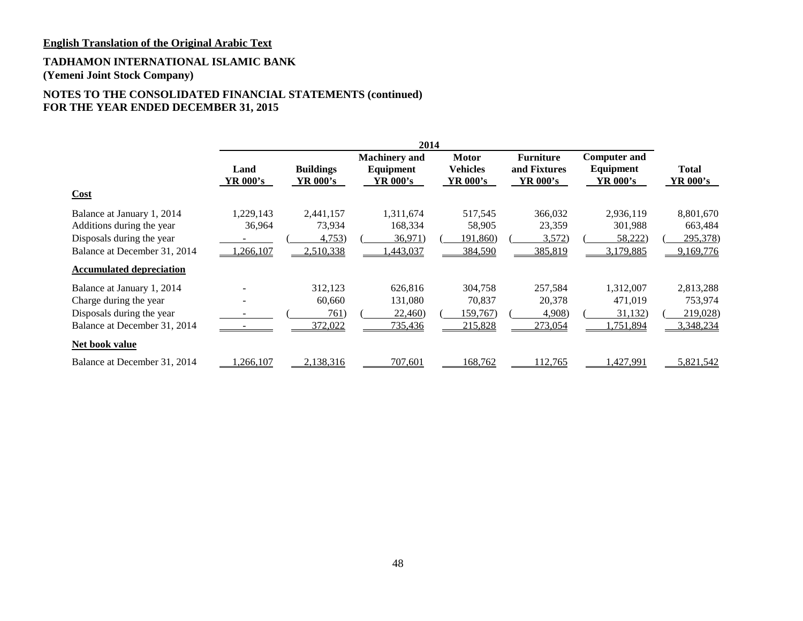### **TADHAMON INTERNATIONAL ISLAMIC BANK (Yemeni Joint Stock Company)**

# **NOTES TO THE CONSOLIDATED FINANCIAL STATEMENTS (continued) FOR THE YEAR ENDED DECEMBER 31, 2015**

|                                                                                                                      |                                 |                                            | 2014                                          |                                             |                                                     |                                              |                                               |
|----------------------------------------------------------------------------------------------------------------------|---------------------------------|--------------------------------------------|-----------------------------------------------|---------------------------------------------|-----------------------------------------------------|----------------------------------------------|-----------------------------------------------|
|                                                                                                                      | Land<br>YR 000's                | <b>Buildings</b><br>YR 000's               | <b>Machinery</b> and<br>Equipment<br>YR 000's | <b>Motor</b><br><b>Vehicles</b><br>YR 000's | <b>Furniture</b><br>and Fixtures<br><b>YR 000's</b> | <b>Computer and</b><br>Equipment<br>YR 000's | <b>Total</b><br><b>YR 000's</b>               |
| Cost                                                                                                                 |                                 |                                            |                                               |                                             |                                                     |                                              |                                               |
| Balance at January 1, 2014<br>Additions during the year<br>Disposals during the year<br>Balance at December 31, 2014 | 1,229,143<br>36,964<br>,266,107 | 2,441,157<br>73,934<br>4,753)<br>2,510,338 | 1,311,674<br>168,334<br>36,971)<br>,443,037   | 517,545<br>58,905<br>191,860)<br>384,590    | 366,032<br>23,359<br>3,572)<br>385,819              | 2,936,119<br>301,988<br>58,222)<br>3,179,885 | 8,801,670<br>663,484<br>295,378)<br>9,169,776 |
| <b>Accumulated depreciation</b>                                                                                      |                                 |                                            |                                               |                                             |                                                     |                                              |                                               |
| Balance at January 1, 2014<br>Charge during the year<br>Disposals during the year<br>Balance at December 31, 2014    |                                 | 312,123<br>60.660<br>761)<br>372,022       | 626,816<br>131,080<br>22,460)<br>735,436      | 304,758<br>70,837<br>159,767)<br>215,828    | 257,584<br>20,378<br>4,908)<br>273,054              | 1,312,007<br>471,019<br>31,132)<br>1,751,894 | 2,813,288<br>753,974<br>219,028)<br>3,348,234 |
| Net book value                                                                                                       |                                 |                                            |                                               |                                             |                                                     |                                              |                                               |
| Balance at December 31, 2014                                                                                         | .266,107                        | 2,138,316                                  | 707.601                                       | 168.762                                     | 112,765                                             | .427,991                                     | 5,821,542                                     |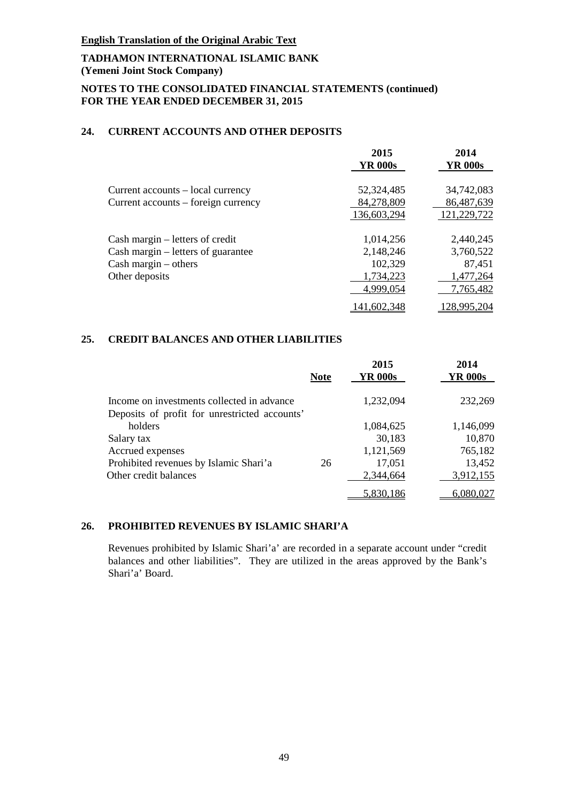# **TADHAMON INTERNATIONAL ISLAMIC BANK (Yemeni Joint Stock Company)**

# **NOTES TO THE CONSOLIDATED FINANCIAL STATEMENTS (continued) FOR THE YEAR ENDED DECEMBER 31, 2015**

# **24. CURRENT ACCOUNTS AND OTHER DEPOSITS**

|                                     | 2015           | 2014           |
|-------------------------------------|----------------|----------------|
|                                     | <b>YR 000s</b> | <b>YR 000s</b> |
| Current accounts – local currency   | 52,324,485     | 34,742,083     |
| Current accounts – foreign currency | 84,278,809     | 86,487,639     |
|                                     | 136,603,294    | 121,229,722    |
| Cash margin – letters of credit     | 1,014,256      | 2,440,245      |
| Cash margin – letters of guarantee  | 2,148,246      | 3,760,522      |
| Cash margin $-$ others              | 102,329        | 87,451         |
| Other deposits                      | 1,734,223      | 1,477,264      |
|                                     | 4,999,054      | 7,765,482      |
|                                     | 141,602,348    | 128,995,204    |

# **25. CREDIT BALANCES AND OTHER LIABILITIES**

|                                               |             | 2015           | 2014           |
|-----------------------------------------------|-------------|----------------|----------------|
|                                               | <b>Note</b> | <b>YR 000s</b> | <b>YR 000s</b> |
| Income on investments collected in advance    |             | 1,232,094      | 232,269        |
| Deposits of profit for unrestricted accounts' |             |                |                |
| holders                                       |             | 1,084,625      | 1,146,099      |
| Salary tax                                    |             | 30,183         | 10,870         |
| Accrued expenses                              |             | 1,121,569      | 765,182        |
| Prohibited revenues by Islamic Shari'a        | 26          | 17,051         | 13,452         |
| Other credit balances                         |             | 2,344,664      | 3,912,155      |
|                                               |             | 5.830.186      | 6.080.027      |

# **26. PROHIBITED REVENUES BY ISLAMIC SHARI'A**

Revenues prohibited by Islamic Shari'a' are recorded in a separate account under "credit balances and other liabilities". They are utilized in the areas approved by the Bank's Shari'a' Board.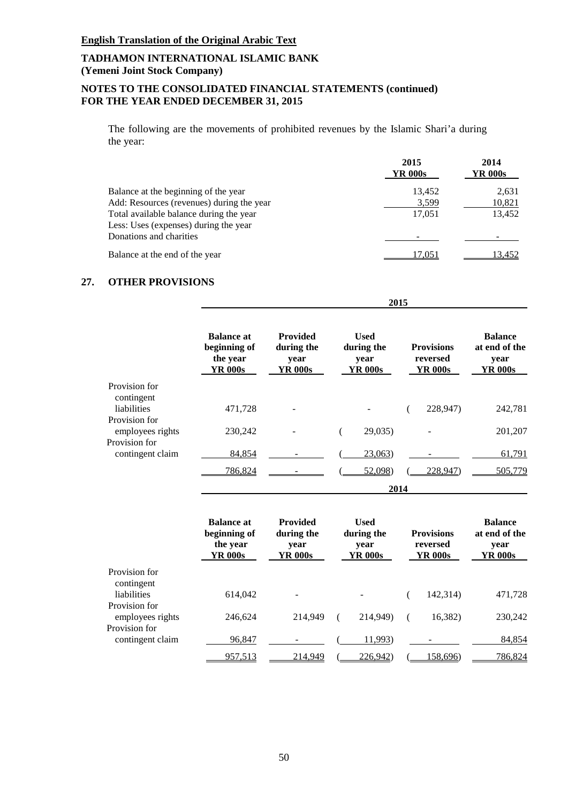# **NOTES TO THE CONSOLIDATED FINANCIAL STATEMENTS (continued) FOR THE YEAR ENDED DECEMBER 31, 2015**

The following are the movements of prohibited revenues by the Islamic Shari'a during the year:

|                                           | 2015<br>YR 000s | 2014<br>YR 000s |
|-------------------------------------------|-----------------|-----------------|
| Balance at the beginning of the year      | 13,452          | 2,631           |
| Add: Resources (revenues) during the year | 3,599           | 10,821          |
| Total available balance during the year   | 17,051          | 13,452          |
| Less: Uses (expenses) during the year     |                 |                 |
| Donations and charities                   |                 |                 |
| Balance at the end of the year            | 17.051          | 13,452          |

 **2015**

# **27. OTHER PROVISIONS**

|                                                   | <b>Balance at</b><br>beginning of<br>the year<br>YR 000s | <b>Provided</b><br>during the<br>year<br>YR 000s | <b>Used</b><br>during the<br>year<br>YR 000s | <b>Provisions</b><br>reversed<br>YR 000s | <b>Balance</b><br>at end of the<br>year<br>YR 000s |
|---------------------------------------------------|----------------------------------------------------------|--------------------------------------------------|----------------------------------------------|------------------------------------------|----------------------------------------------------|
| Provision for<br>contingent<br><i>liabilities</i> | 471,728                                                  |                                                  |                                              | 228,947)                                 | 242,781                                            |
| Provision for<br>employees rights                 | 230,242                                                  |                                                  | 29,035                                       |                                          | 201,207                                            |
| Provision for<br>contingent claim                 | 84,854                                                   |                                                  | 23,063)                                      |                                          | 61,791                                             |
|                                                   | 786,824                                                  |                                                  | 52,098)                                      | 228,947)                                 | 505,779                                            |
|                                                   |                                                          |                                                  |                                              | 2014                                     |                                                    |

|                                   | <b>Balance at</b><br>beginning of<br>the year<br>YR 000s | <b>Provided</b><br>during the<br>vear<br>YR 000s | <b>Used</b><br>during the<br>vear<br>YR 000s | <b>Provisions</b><br>reversed<br>YR 000s | <b>Balance</b><br>at end of the<br>vear<br>YR 000s |
|-----------------------------------|----------------------------------------------------------|--------------------------------------------------|----------------------------------------------|------------------------------------------|----------------------------------------------------|
| Provision for<br>contingent       |                                                          |                                                  |                                              |                                          |                                                    |
| liabilities                       | 614,042                                                  |                                                  |                                              | 142,314)                                 | 471,728                                            |
| Provision for<br>employees rights | 246,624                                                  | 214.949                                          | 214,949)                                     | 16,382)                                  | 230,242                                            |
| Provision for<br>contingent claim | 96,847                                                   |                                                  | 11,993)                                      |                                          | 84,854                                             |
|                                   | 957,513                                                  | 214.949                                          | 226,942)                                     | 158,696)                                 | 786,824                                            |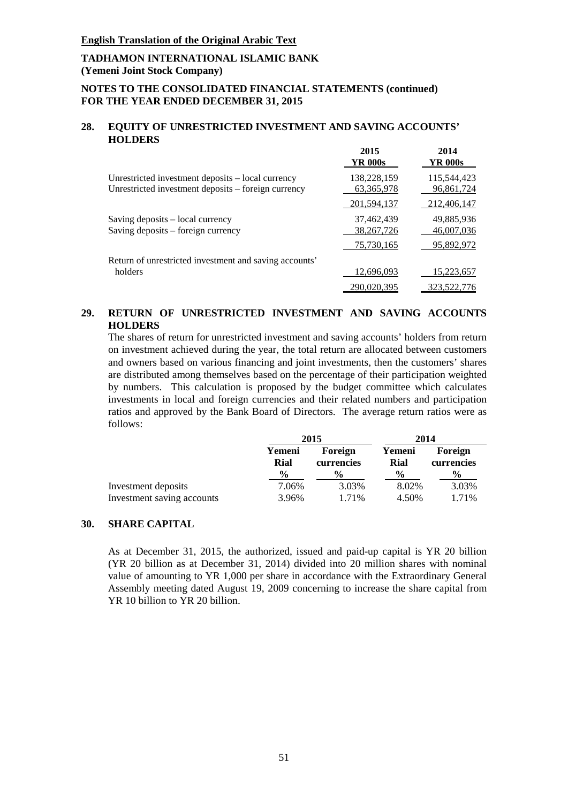### **NOTES TO THE CONSOLIDATED FINANCIAL STATEMENTS (continued) FOR THE YEAR ENDED DECEMBER 31, 2015**

#### **28. EQUITY OF UNRESTRICTED INVESTMENT AND SAVING ACCOUNTS' HOLDERS**

|                                                                                                          | 2015<br>YR 000s             | 2014<br>YR 000s           |
|----------------------------------------------------------------------------------------------------------|-----------------------------|---------------------------|
| Unrestricted investment deposits - local currency<br>Unrestricted investment deposits – foreign currency | 138,228,159<br>63, 365, 978 | 115,544,423<br>96,861,724 |
|                                                                                                          | 201,594,137                 | 212,406,147               |
| Saving deposits – local currency<br>Saving deposits – foreign currency                                   | 37,462,439<br>38, 267, 726  | 49,885,936<br>46,007,036  |
|                                                                                                          | 75,730,165                  | 95,892,972                |
| Return of unrestricted investment and saving accounts'                                                   |                             |                           |
| holders                                                                                                  | 12,696,093                  | 15,223,657                |
|                                                                                                          | 290.020.395                 | 323.522.776               |

### **29. RETURN OF UNRESTRICTED INVESTMENT AND SAVING ACCOUNTS HOLDERS**

The shares of return for unrestricted investment and saving accounts' holders from return on investment achieved during the year, the total return are allocated between customers and owners based on various financing and joint investments, then the customers' shares are distributed among themselves based on the percentage of their participation weighted by numbers. This calculation is proposed by the budget committee which calculates investments in local and foreign currencies and their related numbers and participation ratios and approved by the Bank Board of Directors. The average return ratios were as follows:

|                            | 2015           |                       | 2014           |                       |  |
|----------------------------|----------------|-----------------------|----------------|-----------------------|--|
|                            | Yemeni<br>Rial | Foreign<br>currencies | Yemeni<br>Rial | Foreign<br>currencies |  |
|                            | $\frac{0}{0}$  | $\frac{6}{10}$        | $\frac{0}{0}$  | $\frac{6}{9}$         |  |
| Investment deposits        | 7.06%          | 3.03%                 | 8.02%          | 3.03%                 |  |
| Investment saving accounts | 3.96%          | 1.71%                 | 4.50%          | 1.71%                 |  |

#### **30. SHARE CAPITAL**

As at December 31, 2015, the authorized, issued and paid-up capital is YR 20 billion (YR 20 billion as at December 31, 2014) divided into 20 million shares with nominal value of amounting to YR 1,000 per share in accordance with the Extraordinary General Assembly meeting dated August 19, 2009 concerning to increase the share capital from YR 10 billion to YR 20 billion.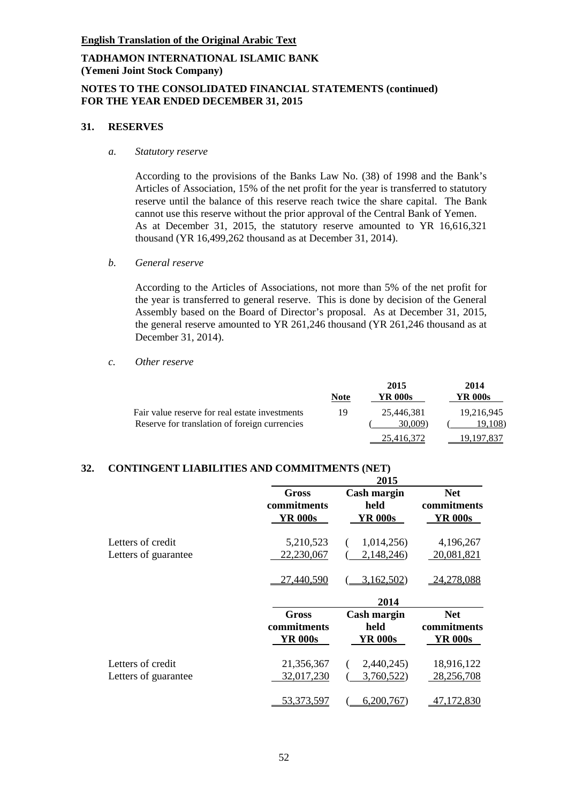### **NOTES TO THE CONSOLIDATED FINANCIAL STATEMENTS (continued) FOR THE YEAR ENDED DECEMBER 31, 2015**

#### **31. RESERVES**

*a. Statutory reserve*

According to the provisions of the Banks Law No. (38) of 1998 and the Bank's Articles of Association, 15% of the net profit for the year is transferred to statutory reserve until the balance of this reserve reach twice the share capital. The Bank cannot use this reserve without the prior approval of the Central Bank of Yemen. As at December 31, 2015, the statutory reserve amounted to YR 16,616,321 thousand (YR 16,499,262 thousand as at December 31, 2014).

*b. General reserve*

According to the Articles of Associations, not more than 5% of the net profit for the year is transferred to general reserve. This is done by decision of the General Assembly based on the Board of Director's proposal. As at December 31, 2015, the general reserve amounted to YR 261,246 thousand (YR 261,246 thousand as at December 31, 2014).

*c. Other reserve* 

|                                                                                                 | <b>Note</b> | 2015<br>YR 000s       | 2014<br>YR 000s       |
|-------------------------------------------------------------------------------------------------|-------------|-----------------------|-----------------------|
| Fair value reserve for real estate investments<br>Reserve for translation of foreign currencies | 19          | 25.446.381<br>30,009) | 19,216,945<br>19.108) |
|                                                                                                 |             | 25.416.372            | 19.197.837            |

# **32. CONTINGENT LIABILITIES AND COMMITMENTS (NET)**

|                      |                                               | 2015                                  |                                             |
|----------------------|-----------------------------------------------|---------------------------------------|---------------------------------------------|
|                      | <b>Gross</b><br>commitments<br><b>YR 000s</b> | Cash margin<br>held<br><b>YR 000s</b> | <b>Net</b><br>commitments<br><b>YR 000s</b> |
| Letters of credit    | 5,210,523                                     | 1,014,256)                            | 4,196,267                                   |
| Letters of guarantee | 22,230,067                                    | 2,148,246)                            | 20,081,821                                  |
|                      | 27,440,590                                    | 3,162,502)                            | 24,278,088                                  |
|                      |                                               | 2014                                  |                                             |
|                      | <b>Gross</b><br>commitments<br><b>YR 000s</b> | Cash margin<br>held<br>YR 000s        | <b>Net</b><br>commitments<br><b>YR 000s</b> |
| Letters of credit    | 21,356,367                                    | 2,440,245)                            | 18,916,122                                  |
| Letters of guarantee | 32,017,230                                    | 3,760,522)                            | 28,256,708                                  |
|                      | 53.373.597                                    | 6,200,767                             | 72,830                                      |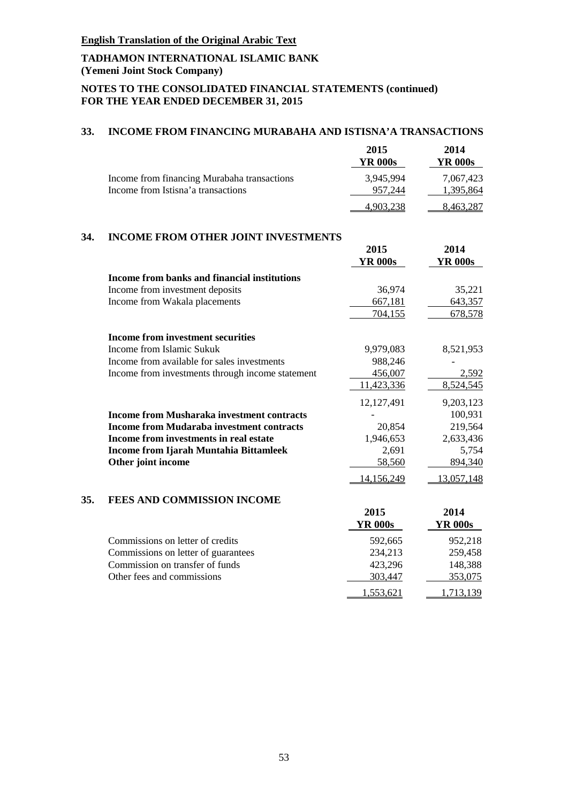# **TADHAMON INTERNATIONAL ISLAMIC BANK (Yemeni Joint Stock Company)**

# **NOTES TO THE CONSOLIDATED FINANCIAL STATEMENTS (continued) FOR THE YEAR ENDED DECEMBER 31, 2015**

### **33. INCOME FROM FINANCING MURABAHA AND ISTISNA'A TRANSACTIONS**

|                                             | 2015      | 2014      |
|---------------------------------------------|-----------|-----------|
|                                             | YR 000s   | YR 000s   |
| Income from financing Murabaha transactions | 3.945.994 | 7.067.423 |
| Income from Istisna'a transactions          | 957.244   | 1.395.864 |
|                                             | 4,903,238 | 8,463,287 |

## **34. INCOME FROM OTHER JOINT INVESTMENTS**

|     |                                                   | 2015           | 2014           |
|-----|---------------------------------------------------|----------------|----------------|
|     |                                                   | <b>YR 000s</b> | <b>YR 000s</b> |
|     | Income from banks and financial institutions      |                |                |
|     | Income from investment deposits                   | 36,974         | 35,221         |
|     | Income from Wakala placements                     | 667,181        | 643,357        |
|     |                                                   | 704,155        | 678,578        |
|     | <b>Income from investment securities</b>          |                |                |
|     | Income from Islamic Sukuk                         | 9,979,083      | 8,521,953      |
|     | Income from available for sales investments       | 988,246        |                |
|     | Income from investments through income statement  | 456,007        | 2,592          |
|     |                                                   | 11,423,336     | 8,524,545      |
|     |                                                   | 12,127,491     | 9,203,123      |
|     | <b>Income from Musharaka investment contracts</b> |                | 100,931        |
|     | <b>Income from Mudaraba investment contracts</b>  | 20,854         | 219,564        |
|     | Income from investments in real estate            | 1,946,653      | 2,633,436      |
|     | <b>Income from Ijarah Muntahia Bittamleek</b>     | 2,691          | 5,754          |
|     | Other joint income                                | 58,560         | 894,340        |
|     |                                                   | 14,156,249     | 13,057,148     |
| 35. | <b>FEES AND COMMISSION INCOME</b>                 |                |                |
|     |                                                   | 2015           | 2014           |
|     |                                                   | <b>YR 000s</b> | <b>YR 000s</b> |
|     | Commissions on letter of credits                  | 592,665        | 952,218        |
|     | Commissions on letter of quarantees               | 234 213        | 259 458        |

| Commissions on letter of credits    | <b>292.002</b> | 952.218   |
|-------------------------------------|----------------|-----------|
| Commissions on letter of guarantees | 234.213        | 259.458   |
| Commission on transfer of funds     | 423.296        | 148.388   |
| Other fees and commissions          | 303.447        | 353,075   |
|                                     | 1.553.621      | 1.713.139 |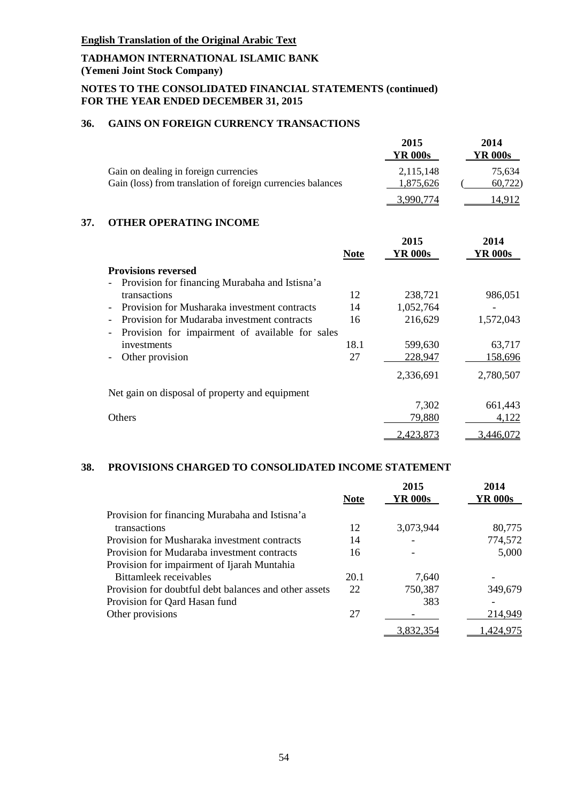### **NOTES TO THE CONSOLIDATED FINANCIAL STATEMENTS (continued) FOR THE YEAR ENDED DECEMBER 31, 2015**

# **36. GAINS ON FOREIGN CURRENCY TRANSACTIONS**

|                                                                                                      | 2015<br>YR 000s        | 2014<br>YR 000s  |
|------------------------------------------------------------------------------------------------------|------------------------|------------------|
| Gain on dealing in foreign currencies<br>Gain (loss) from translation of foreign currencies balances | 2.115.148<br>1.875.626 | 75.634<br>60,722 |
|                                                                                                      |                        |                  |

#### **37. OTHER OPERATING INCOME**

|                                                      | <b>Note</b> | 2015<br><b>YR 000s</b> | 2014<br><b>YR 000s</b> |
|------------------------------------------------------|-------------|------------------------|------------------------|
| <b>Provisions reversed</b>                           |             |                        |                        |
| Provision for financing Murabaha and Istisna'a       |             |                        |                        |
| transactions                                         | 12          | 238,721                | 986,051                |
| Provision for Musharaka investment contracts         | 14          | 1,052,764              |                        |
| Provision for Mudaraba investment contracts          | 16          | 216,629                | 1,572,043              |
| Provision for impairment of available for sales<br>- |             |                        |                        |
| investments                                          | 18.1        | 599,630                | 63,717                 |
| Other provision                                      | 27          | 228,947                | 158,696                |
|                                                      |             | 2,336,691              | 2,780,507              |
| Net gain on disposal of property and equipment       |             |                        |                        |
|                                                      |             | 7,302                  | 661,443                |
| <b>Others</b>                                        |             | 79,880                 | 4,122                  |
|                                                      |             | 2,423,873              | 3,446,072              |

# **38. PROVISIONS CHARGED TO CONSOLIDATED INCOME STATEMENT**

|                                                       | <b>Note</b> | 2015<br>YR 000s | 2014<br><b>YR 000s</b> |
|-------------------------------------------------------|-------------|-----------------|------------------------|
| Provision for financing Murabaha and Istisna'a        |             |                 |                        |
| transactions                                          | 12          | 3,073,944       | 80,775                 |
| Provision for Musharaka investment contracts          | 14          |                 | 774,572                |
| Provision for Mudaraba investment contracts           | 16          |                 | 5,000                  |
| Provision for impairment of Ijarah Muntahia           |             |                 |                        |
| <b>Bittamleek</b> receivables                         | 20.1        | 7.640           |                        |
| Provision for doubtful debt balances and other assets | 22          | 750,387         | 349,679                |
| Provision for Qard Hasan fund                         |             | 383             |                        |
| Other provisions                                      | 27          |                 | 214,949                |
|                                                       |             | 3,832,354       | 1,424,975              |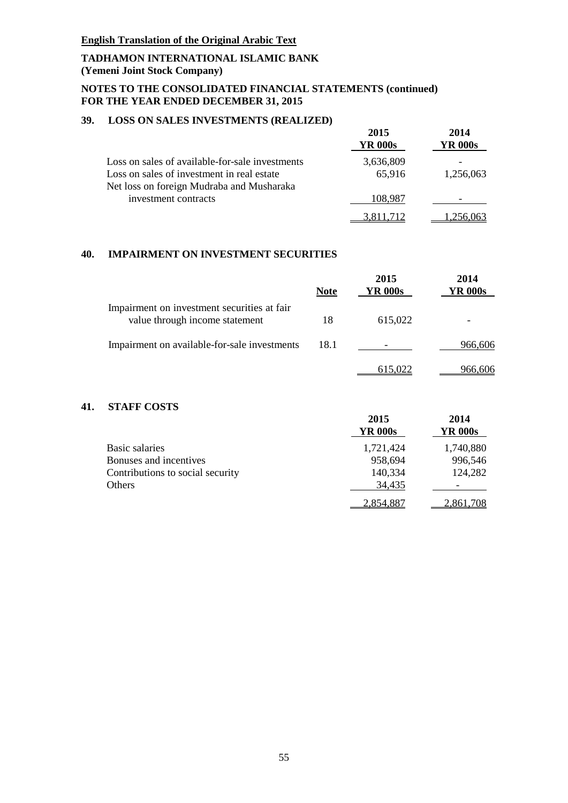# **TADHAMON INTERNATIONAL ISLAMIC BANK (Yemeni Joint Stock Company)**

## **NOTES TO THE CONSOLIDATED FINANCIAL STATEMENTS (continued) FOR THE YEAR ENDED DECEMBER 31, 2015**

### **39. LOSS ON SALES INVESTMENTS (REALIZED)**

|                                                 | 2015<br>YR 000s | 2014<br>YR 000s |
|-------------------------------------------------|-----------------|-----------------|
| Loss on sales of available-for-sale investments | 3,636,809       |                 |
| Loss on sales of investment in real estate      | 65,916          | 1,256,063       |
| Net loss on foreign Mudraba and Musharaka       |                 |                 |
| investment contracts                            | 108,987         |                 |
|                                                 |                 |                 |

#### **40. IMPAIRMENT ON INVESTMENT SECURITIES**

|                                                                               | <b>Note</b> | 2015<br><b>YR 000s</b> | 2014<br><b>YR 000s</b> |
|-------------------------------------------------------------------------------|-------------|------------------------|------------------------|
| Impairment on investment securities at fair<br>value through income statement | 18          | 615,022                |                        |
| Impairment on available-for-sale investments                                  | 18.1        |                        | 966.606                |
|                                                                               |             |                        | 966.                   |

# **41. STAFF COSTS**

|                                  | 2015<br><b>YR 000s</b> | 2014<br><b>YR 000s</b>   |
|----------------------------------|------------------------|--------------------------|
| Basic salaries                   | 1,721,424              | 1,740,880                |
| Bonuses and incentives           | 958,694                | 996,546                  |
| Contributions to social security | 140,334                | 124,282                  |
| Others                           | 34,435                 | $\overline{\phantom{0}}$ |
|                                  | 2.854.887              | 2.861.708                |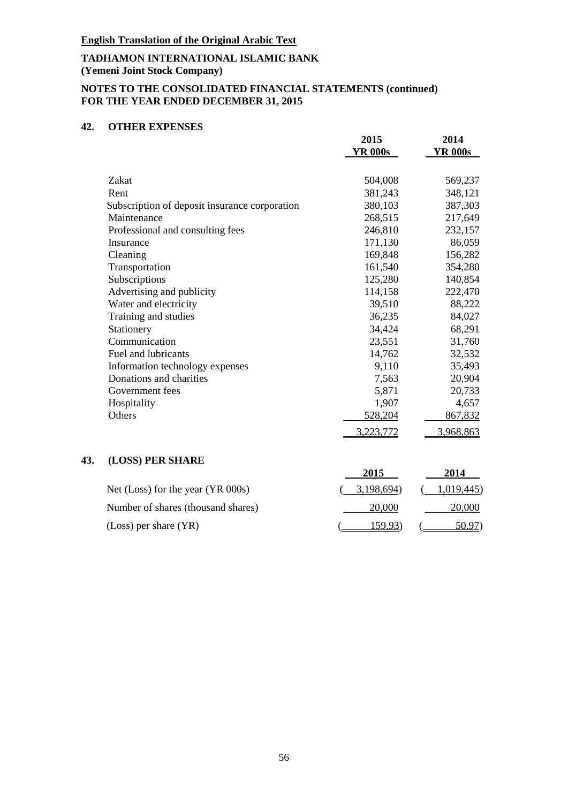# **TADHAMON INTERNATIONAL ISLAMIC BANK (Yemeni Joint Stock Company)**

# **NOTES TO THE CONSOLIDATED FINANCIAL STATEMENTS (continued) FOR THE YEAR ENDED DECEMBER 31, 2015**

### **42. OTHER EXPENSES**

|                                                              | 2015<br><b>YR 000s</b> | 2014<br><b>YR 000s</b> |
|--------------------------------------------------------------|------------------------|------------------------|
| Zakat                                                        | 504,008                | 569,237                |
| Rent                                                         | 381,243                | 348,121                |
|                                                              | 380,103                | 387,303                |
| Subscription of deposit insurance corporation<br>Maintenance |                        |                        |
|                                                              | 268,515                | 217,649                |
| Professional and consulting fees                             | 246,810                | 232,157                |
| Insurance                                                    | 171,130                | 86,059                 |
| Cleaning                                                     | 169,848                | 156,282                |
| Transportation                                               | 161,540                | 354,280                |
| Subscriptions                                                | 125,280                | 140,854                |
| Advertising and publicity                                    | 114,158                | 222,470                |
| Water and electricity                                        | 39,510                 | 88,222                 |
| Training and studies                                         | 36,235                 | 84,027                 |
| Stationery                                                   | 34,424                 | 68,291                 |
| Communication                                                | 23,551                 | 31,760                 |
| Fuel and lubricants                                          | 14,762                 | 32,532                 |
| Information technology expenses                              | 9,110                  | 35,493                 |
| Donations and charities                                      | 7,563                  | 20,904                 |
| Government fees                                              | 5,871                  | 20,733                 |
| Hospitality                                                  | 1,907                  | 4,657                  |
| Others                                                       | 528,204                | 867,832                |
|                                                              | 3,223,772              | 3,968,863              |

# **43. (LOSS) PER SHARE**

|                                     | 2015       | 2014       |
|-------------------------------------|------------|------------|
| Net (Loss) for the year $(YR 000s)$ | 3.198.694) | 1.019.445) |
| Number of shares (thousand shares)  | 20,000     | 20,000     |
| $(Loss)$ per share $(YR)$           | 159.93)    | 50.97)     |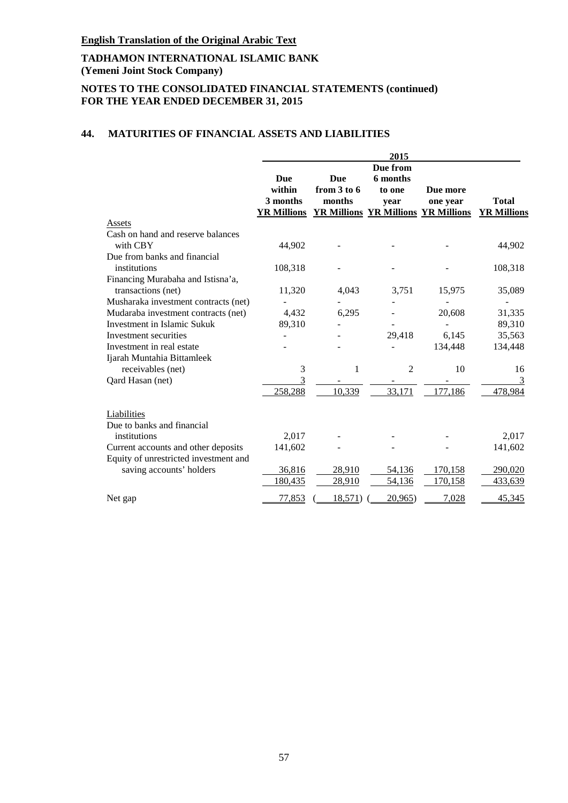# **TADHAMON INTERNATIONAL ISLAMIC BANK (Yemeni Joint Stock Company)**

# **NOTES TO THE CONSOLIDATED FINANCIAL STATEMENTS (continued) FOR THE YEAR ENDED DECEMBER 31, 2015**

# **44. MATURITIES OF FINANCIAL ASSETS AND LIABILITIES**

|                                       |                    |                 | 2015                                |          |                    |
|---------------------------------------|--------------------|-----------------|-------------------------------------|----------|--------------------|
|                                       |                    |                 | Due from                            |          |                    |
|                                       | Due                | <b>Due</b>      | 6 months                            |          |                    |
|                                       | within             | from $3$ to $6$ | to one                              | Due more |                    |
|                                       | 3 months           | months          | year                                | one year | <b>Total</b>       |
|                                       | <b>YR Millions</b> |                 | YR Millions YR Millions YR Millions |          | <b>YR Millions</b> |
| Assets                                |                    |                 |                                     |          |                    |
| Cash on hand and reserve balances     |                    |                 |                                     |          |                    |
| with CBY                              | 44,902             |                 |                                     |          | 44,902             |
| Due from banks and financial          |                    |                 |                                     |          |                    |
| institutions                          | 108,318            |                 |                                     |          | 108,318            |
| Financing Murabaha and Istisna'a,     |                    |                 |                                     |          |                    |
| transactions (net)                    | 11,320             | 4,043           | 3,751                               | 15,975   | 35,089             |
| Musharaka investment contracts (net)  |                    |                 |                                     |          |                    |
| Mudaraba investment contracts (net)   | 4,432              | 6,295           |                                     | 20,608   | 31,335             |
| <b>Investment in Islamic Sukuk</b>    | 89,310             |                 |                                     |          | 89,310             |
| Investment securities                 |                    |                 | 29,418                              | 6,145    | 35,563             |
| Investment in real estate             |                    |                 |                                     | 134,448  | 134,448            |
| Ijarah Muntahia Bittamleek            |                    |                 |                                     |          |                    |
| receivables (net)                     | 3                  | 1               | 2                                   | 10       | 16                 |
| Qard Hasan (net)                      | 3                  |                 |                                     |          | 3                  |
|                                       | 258,288            | 10,339          | 33,171                              | 177,186  | 478,984            |
| Liabilities                           |                    |                 |                                     |          |                    |
| Due to banks and financial            |                    |                 |                                     |          |                    |
| institutions                          | 2,017              |                 |                                     |          | 2,017              |
| Current accounts and other deposits   | 141,602            |                 |                                     |          | 141,602            |
| Equity of unrestricted investment and |                    |                 |                                     |          |                    |
| saving accounts' holders              | 36,816             | 28,910          | 54,136                              | 170,158  | 290,020            |
|                                       | 180,435            | 28,910          | 54,136                              | 170,158  | 433,639            |
| Net gap                               | <u>77,853</u>      | <u>18,571</u> ) | 20,965)                             | 7,028    | 45,345             |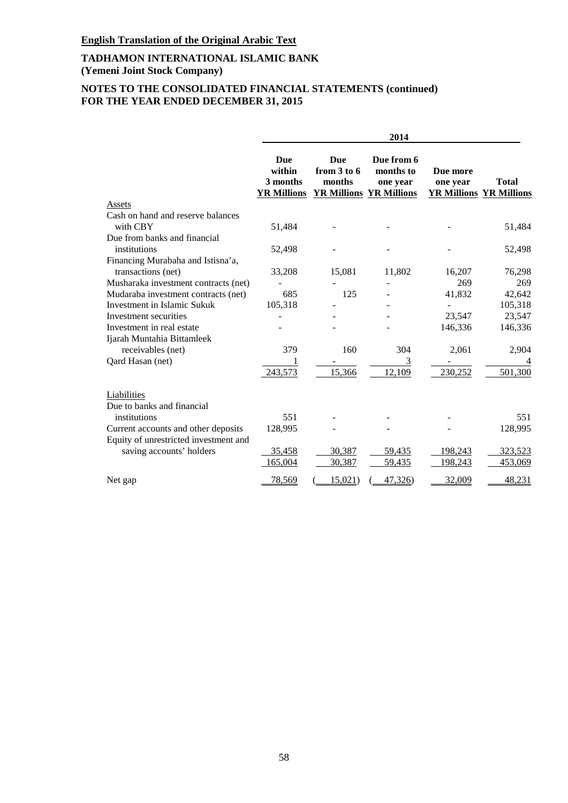# **NOTES TO THE CONSOLIDATED FINANCIAL STATEMENTS (continued) FOR THE YEAR ENDED DECEMBER 31, 2015**

|                                       | 2014                                                   |                                         |                                                                       |                      |                                                |
|---------------------------------------|--------------------------------------------------------|-----------------------------------------|-----------------------------------------------------------------------|----------------------|------------------------------------------------|
|                                       | <b>Due</b><br>within<br>3 months<br><b>YR Millions</b> | <b>Due</b><br>from $3$ to $6$<br>months | Due from 6<br>months to<br>one year<br><b>YR Millions YR Millions</b> | Due more<br>one year | <b>Total</b><br><b>YR Millions YR Millions</b> |
| Assets                                |                                                        |                                         |                                                                       |                      |                                                |
| Cash on hand and reserve balances     |                                                        |                                         |                                                                       |                      |                                                |
| with CBY                              | 51,484                                                 |                                         |                                                                       |                      | 51,484                                         |
| Due from banks and financial          |                                                        |                                         |                                                                       |                      |                                                |
| institutions                          | 52,498                                                 |                                         |                                                                       |                      | 52,498                                         |
| Financing Murabaha and Istisna'a,     |                                                        |                                         |                                                                       |                      |                                                |
| transactions (net)                    | 33,208                                                 | 15,081                                  | 11,802                                                                | 16,207               | 76,298                                         |
| Musharaka investment contracts (net)  |                                                        |                                         |                                                                       | 269                  | 269                                            |
| Mudaraba investment contracts (net)   | 685                                                    | 125                                     |                                                                       | 41,832               | 42,642                                         |
| <b>Investment in Islamic Sukuk</b>    | 105,318                                                |                                         |                                                                       |                      | 105,318                                        |
| Investment securities                 |                                                        |                                         |                                                                       | 23,547               | 23,547                                         |
| Investment in real estate             |                                                        |                                         |                                                                       | 146,336              | 146,336                                        |
| Ijarah Muntahia Bittamleek            |                                                        |                                         |                                                                       |                      |                                                |
| receivables (net)                     | 379                                                    | 160                                     | 304                                                                   | 2,061                | 2,904                                          |
| Qard Hasan (net)                      |                                                        |                                         | 3                                                                     |                      | 4                                              |
|                                       | 243,573                                                | 15,366                                  | 12,109                                                                | 230,252              | 501,300                                        |
| Liabilities                           |                                                        |                                         |                                                                       |                      |                                                |
| Due to banks and financial            |                                                        |                                         |                                                                       |                      |                                                |
| institutions                          | 551                                                    |                                         |                                                                       |                      | 551                                            |
| Current accounts and other deposits   | 128,995                                                |                                         |                                                                       |                      | 128,995                                        |
| Equity of unrestricted investment and |                                                        |                                         |                                                                       |                      |                                                |
| saving accounts' holders              | 35,458                                                 | 30,387                                  | 59,435                                                                | 198,243              | 323,523                                        |
|                                       | 165,004                                                | 30,387                                  | 59,435                                                                | 198,243              | 453,069                                        |
| Net gap                               | 78,569                                                 | 15,021                                  | 47,326)                                                               | 32,009               | 48,231                                         |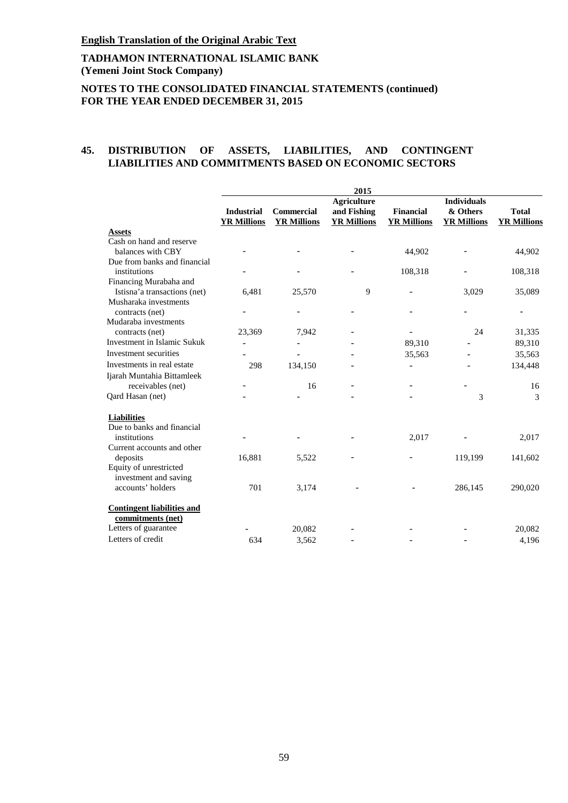# **TADHAMON INTERNATIONAL ISLAMIC BANK (Yemeni Joint Stock Company)**

# **NOTES TO THE CONSOLIDATED FINANCIAL STATEMENTS (continued) FOR THE YEAR ENDED DECEMBER 31, 2015**

#### **45. DISTRIBUTION OF ASSETS, LIABILITIES, AND CONTINGENT LIABILITIES AND COMMITMENTS BASED ON ECONOMIC SECTORS**

|                                                        | 2015                                    |                                         |                                                         |                                        |                                                      |                                    |  |
|--------------------------------------------------------|-----------------------------------------|-----------------------------------------|---------------------------------------------------------|----------------------------------------|------------------------------------------------------|------------------------------------|--|
|                                                        | <b>Industrial</b><br><b>YR Millions</b> | <b>Commercial</b><br><b>YR Millions</b> | <b>Agriculture</b><br>and Fishing<br><b>YR Millions</b> | <b>Financial</b><br><b>YR Millions</b> | <b>Individuals</b><br>& Others<br><b>YR Millions</b> | <b>Total</b><br><b>YR Millions</b> |  |
| <b>Assets</b>                                          |                                         |                                         |                                                         |                                        |                                                      |                                    |  |
| Cash on hand and reserve                               |                                         |                                         |                                                         |                                        |                                                      |                                    |  |
| balances with CBY                                      |                                         |                                         |                                                         | 44,902                                 |                                                      | 44,902                             |  |
| Due from banks and financial                           |                                         |                                         |                                                         |                                        |                                                      |                                    |  |
| institutions                                           |                                         |                                         |                                                         | 108,318                                |                                                      | 108,318                            |  |
| Financing Murabaha and                                 |                                         |                                         |                                                         |                                        |                                                      |                                    |  |
| Istisna'a transactions (net)                           | 6,481                                   | 25,570                                  | 9                                                       |                                        | 3,029                                                | 35,089                             |  |
| Musharaka investments                                  |                                         |                                         |                                                         |                                        |                                                      |                                    |  |
| contracts (net)                                        |                                         |                                         |                                                         |                                        |                                                      |                                    |  |
| Mudaraba investments                                   |                                         |                                         |                                                         |                                        |                                                      |                                    |  |
| contracts (net)                                        | 23,369                                  | 7,942                                   |                                                         |                                        | 24                                                   | 31,335                             |  |
| Investment in Islamic Sukuk                            |                                         | $\overline{\phantom{a}}$                |                                                         | 89,310                                 |                                                      | 89,310                             |  |
| Investment securities                                  |                                         |                                         |                                                         | 35,563                                 |                                                      | 35,563                             |  |
| Investments in real estate                             | 298                                     | 134,150                                 |                                                         | ÷,                                     |                                                      | 134,448                            |  |
| Ijarah Muntahia Bittamleek                             |                                         |                                         |                                                         |                                        |                                                      |                                    |  |
| receivables (net)                                      |                                         | 16                                      |                                                         |                                        |                                                      | 16                                 |  |
| Qard Hasan (net)                                       |                                         |                                         |                                                         |                                        | 3                                                    | 3                                  |  |
| <b>Liabilities</b>                                     |                                         |                                         |                                                         |                                        |                                                      |                                    |  |
| Due to banks and financial                             |                                         |                                         |                                                         |                                        |                                                      |                                    |  |
| institutions                                           |                                         |                                         |                                                         | 2,017                                  |                                                      | 2,017                              |  |
| Current accounts and other                             |                                         |                                         |                                                         |                                        |                                                      |                                    |  |
| deposits                                               | 16,881                                  | 5,522                                   |                                                         |                                        | 119,199                                              | 141,602                            |  |
| Equity of unrestricted                                 |                                         |                                         |                                                         |                                        |                                                      |                                    |  |
| investment and saving                                  |                                         |                                         |                                                         |                                        |                                                      |                                    |  |
| accounts' holders                                      | 701                                     | 3,174                                   |                                                         |                                        | 286,145                                              | 290,020                            |  |
| <b>Contingent liabilities and</b><br>commitments (net) |                                         |                                         |                                                         |                                        |                                                      |                                    |  |
| Letters of guarantee                                   |                                         | 20,082                                  |                                                         |                                        |                                                      | 20,082                             |  |
| Letters of credit                                      | 634                                     | 3.562                                   |                                                         |                                        |                                                      | 4,196                              |  |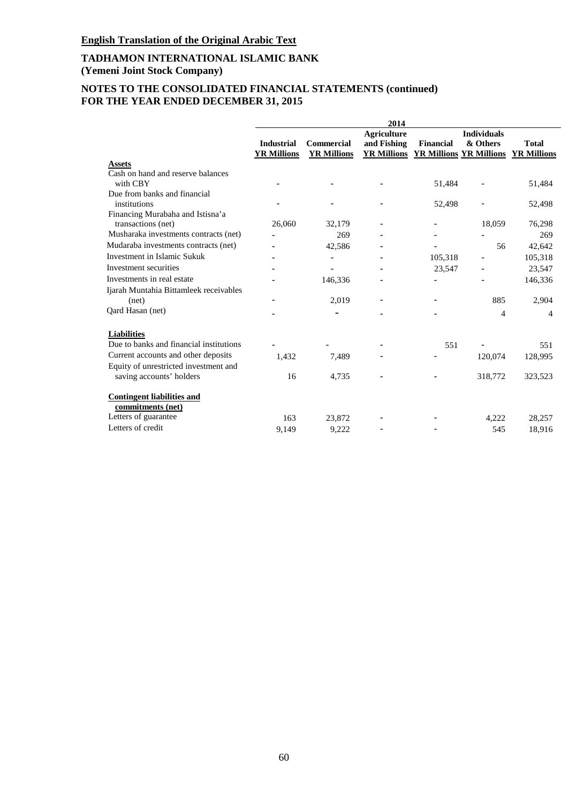# **NOTES TO THE CONSOLIDATED FINANCIAL STATEMENTS (continued) FOR THE YEAR ENDED DECEMBER 31, 2015**

|                                         |                    |                    | 2014               |                                                        |                    |              |
|-----------------------------------------|--------------------|--------------------|--------------------|--------------------------------------------------------|--------------------|--------------|
|                                         |                    |                    | <b>Agriculture</b> |                                                        | <b>Individuals</b> |              |
|                                         | <b>Industrial</b>  | Commercial         | and Fishing        | <b>Financial</b>                                       | & Others           | <b>Total</b> |
|                                         | <b>YR Millions</b> | <b>YR Millions</b> |                    | <b>YR Millions YR Millions YR Millions YR Millions</b> |                    |              |
| <b>Assets</b>                           |                    |                    |                    |                                                        |                    |              |
| Cash on hand and reserve balances       |                    |                    |                    |                                                        |                    |              |
| with CBY                                |                    |                    |                    | 51,484                                                 |                    | 51,484       |
| Due from banks and financial            |                    |                    |                    |                                                        |                    |              |
| institutions                            |                    |                    |                    | 52,498                                                 |                    | 52,498       |
| Financing Murabaha and Istisna'a        |                    |                    |                    |                                                        |                    |              |
| transactions (net)                      | 26,060             | 32,179             |                    |                                                        | 18,059             | 76,298       |
| Musharaka investments contracts (net)   |                    | 269                |                    |                                                        |                    | 269          |
| Mudaraba investments contracts (net)    |                    | 42,586             |                    |                                                        | 56                 | 42,642       |
| Investment in Islamic Sukuk             |                    |                    |                    | 105,318                                                |                    | 105,318      |
| Investment securities                   |                    |                    |                    | 23,547                                                 |                    | 23,547       |
| Investments in real estate              |                    | 146,336            |                    |                                                        |                    | 146,336      |
| Ijarah Muntahia Bittamleek receivables  |                    |                    |                    |                                                        |                    |              |
| (net)                                   |                    | 2,019              |                    |                                                        | 885                | 2,904        |
| Qard Hasan (net)                        |                    |                    |                    |                                                        | 4                  | 4            |
| <b>Liabilities</b>                      |                    |                    |                    |                                                        |                    |              |
| Due to banks and financial institutions |                    |                    |                    | 551                                                    |                    | 551          |
| Current accounts and other deposits     | 1,432              | 7,489              |                    |                                                        | 120,074            | 128,995      |
| Equity of unrestricted investment and   |                    |                    |                    |                                                        |                    |              |
| saving accounts' holders                | 16                 | 4,735              |                    |                                                        | 318,772            | 323,523      |
|                                         |                    |                    |                    |                                                        |                    |              |
| <b>Contingent liabilities and</b>       |                    |                    |                    |                                                        |                    |              |
| commitments (net)                       |                    |                    |                    |                                                        |                    |              |
| Letters of guarantee                    | 163                | 23,872             |                    |                                                        | 4,222              | 28,257       |
| Letters of credit                       | 9.149              | 9,222              |                    |                                                        | 545                | 18,916       |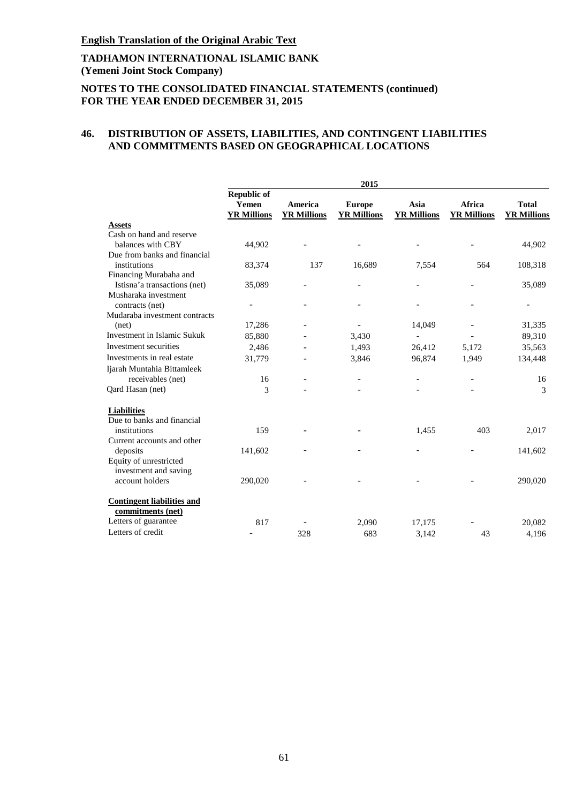# **TADHAMON INTERNATIONAL ISLAMIC BANK (Yemeni Joint Stock Company)**

# **NOTES TO THE CONSOLIDATED FINANCIAL STATEMENTS (continued) FOR THE YEAR ENDED DECEMBER 31, 2015**

# **46. DISTRIBUTION OF ASSETS, LIABILITIES, AND CONTINGENT LIABILITIES AND COMMITMENTS BASED ON GEOGRAPHICAL LOCATIONS**

|                                                        | 2015                                              |                               |                                     |                            |                              |                                    |  |  |
|--------------------------------------------------------|---------------------------------------------------|-------------------------------|-------------------------------------|----------------------------|------------------------------|------------------------------------|--|--|
|                                                        | <b>Republic of</b><br>Yemen<br><b>YR Millions</b> | America<br><b>YR Millions</b> | <b>Europe</b><br><b>YR Millions</b> | Asia<br><b>YR Millions</b> | Africa<br><b>YR Millions</b> | <b>Total</b><br><b>YR Millions</b> |  |  |
| <b>Assets</b>                                          |                                                   |                               |                                     |                            |                              |                                    |  |  |
| Cash on hand and reserve                               |                                                   |                               |                                     |                            |                              |                                    |  |  |
| balances with CBY                                      | 44,902                                            |                               |                                     |                            |                              | 44,902                             |  |  |
| Due from banks and financial                           |                                                   |                               |                                     |                            |                              |                                    |  |  |
| institutions                                           | 83,374                                            | 137                           | 16,689                              | 7,554                      | 564                          | 108,318                            |  |  |
| Financing Murabaha and                                 |                                                   |                               |                                     |                            |                              |                                    |  |  |
| Istisna'a transactions (net)                           | 35,089                                            |                               |                                     |                            |                              | 35,089                             |  |  |
| Musharaka investment                                   |                                                   |                               |                                     |                            |                              |                                    |  |  |
| contracts (net)                                        |                                                   |                               |                                     |                            |                              |                                    |  |  |
| Mudaraba investment contracts                          |                                                   |                               |                                     |                            |                              |                                    |  |  |
| (net)                                                  | 17,286                                            |                               |                                     | 14,049                     |                              | 31,335                             |  |  |
| <b>Investment in Islamic Sukuk</b>                     | 85,880                                            |                               | 3,430                               |                            |                              | 89,310                             |  |  |
| Investment securities                                  | 2,486                                             |                               | 1,493                               | 26,412                     | 5,172                        | 35,563                             |  |  |
| Investments in real estate                             | 31,779                                            |                               | 3,846                               | 96,874                     | 1,949                        | 134,448                            |  |  |
| Ijarah Muntahia Bittamleek                             |                                                   |                               |                                     |                            |                              |                                    |  |  |
| receivables (net)                                      | 16                                                |                               |                                     |                            |                              | 16                                 |  |  |
| Qard Hasan (net)                                       | 3                                                 |                               |                                     |                            |                              | 3                                  |  |  |
| <b>Liabilities</b>                                     |                                                   |                               |                                     |                            |                              |                                    |  |  |
| Due to banks and financial                             |                                                   |                               |                                     |                            |                              |                                    |  |  |
| institutions                                           | 159                                               |                               |                                     | 1,455                      | 403                          | 2,017                              |  |  |
| Current accounts and other                             |                                                   |                               |                                     |                            |                              |                                    |  |  |
| deposits                                               | 141,602                                           |                               |                                     |                            |                              | 141,602                            |  |  |
| Equity of unrestricted                                 |                                                   |                               |                                     |                            |                              |                                    |  |  |
| investment and saving                                  |                                                   |                               |                                     |                            |                              |                                    |  |  |
| account holders                                        | 290,020                                           |                               |                                     |                            |                              | 290,020                            |  |  |
| <b>Contingent liabilities and</b><br>commitments (net) |                                                   |                               |                                     |                            |                              |                                    |  |  |
| Letters of guarantee                                   | 817                                               |                               | 2,090                               | 17,175                     |                              | 20,082                             |  |  |
| Letters of credit                                      |                                                   | 328                           | 683                                 | 3.142                      | 43                           | 4,196                              |  |  |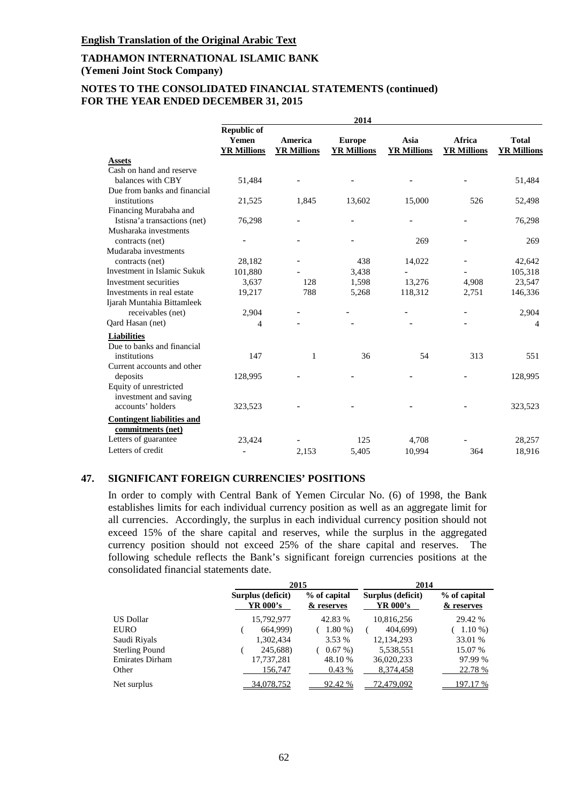# **NOTES TO THE CONSOLIDATED FINANCIAL STATEMENTS (continued) FOR THE YEAR ENDED DECEMBER 31, 2015**

|                                                        | 2014                                              |                               |                                     |                            |                              |                                    |  |  |
|--------------------------------------------------------|---------------------------------------------------|-------------------------------|-------------------------------------|----------------------------|------------------------------|------------------------------------|--|--|
|                                                        | <b>Republic of</b><br>Yemen<br><b>YR Millions</b> | America<br><b>YR Millions</b> | <b>Europe</b><br><b>YR Millions</b> | Asia<br><b>YR Millions</b> | Africa<br><b>YR Millions</b> | <b>Total</b><br><b>YR Millions</b> |  |  |
| <b>Assets</b>                                          |                                                   |                               |                                     |                            |                              |                                    |  |  |
| Cash on hand and reserve                               |                                                   |                               |                                     |                            |                              |                                    |  |  |
| balances with CBY                                      | 51,484                                            |                               |                                     |                            |                              | 51,484                             |  |  |
| Due from banks and financial                           |                                                   |                               |                                     |                            |                              |                                    |  |  |
| institutions                                           | 21,525                                            | 1,845                         | 13,602                              | 15,000                     | 526                          | 52,498                             |  |  |
| Financing Murabaha and                                 |                                                   |                               |                                     |                            |                              |                                    |  |  |
| Istisna'a transactions (net)                           | 76,298                                            |                               |                                     |                            |                              | 76,298                             |  |  |
| Musharaka investments                                  |                                                   |                               |                                     |                            |                              |                                    |  |  |
| contracts (net)                                        |                                                   |                               |                                     | 269                        |                              | 269                                |  |  |
| Mudaraba investments                                   |                                                   |                               |                                     |                            |                              |                                    |  |  |
| contracts (net)                                        | 28,182                                            |                               | 438                                 | 14,022                     |                              | 42,642                             |  |  |
| Investment in Islamic Sukuk                            | 101,880                                           |                               | 3,438                               |                            |                              | 105,318                            |  |  |
| Investment securities                                  | 3,637                                             | 128                           | 1,598                               | 13,276                     | 4,908                        | 23,547                             |  |  |
| Investments in real estate                             | 19,217                                            | 788                           | 5,268                               | 118,312                    | 2,751                        | 146,336                            |  |  |
| Ijarah Muntahia Bittamleek                             |                                                   |                               |                                     |                            |                              |                                    |  |  |
| receivables (net)                                      | 2,904                                             |                               |                                     |                            |                              | 2,904                              |  |  |
| Qard Hasan (net)                                       | 4                                                 |                               |                                     |                            |                              | 4                                  |  |  |
| <b>Liabilities</b>                                     |                                                   |                               |                                     |                            |                              |                                    |  |  |
| Due to banks and financial                             |                                                   |                               |                                     |                            |                              |                                    |  |  |
| institutions                                           | 147                                               | 1                             | 36                                  | 54                         | 313                          | 551                                |  |  |
| Current accounts and other                             |                                                   |                               |                                     |                            |                              |                                    |  |  |
| deposits                                               | 128,995                                           |                               |                                     |                            |                              | 128,995                            |  |  |
| Equity of unrestricted                                 |                                                   |                               |                                     |                            |                              |                                    |  |  |
| investment and saving                                  |                                                   |                               |                                     |                            |                              |                                    |  |  |
| accounts' holders                                      | 323,523                                           |                               |                                     |                            |                              | 323,523                            |  |  |
| <b>Contingent liabilities and</b><br>commitments (net) |                                                   |                               |                                     |                            |                              |                                    |  |  |
| Letters of guarantee                                   | 23,424                                            |                               | 125                                 | 4,708                      |                              | 28,257                             |  |  |
| Letters of credit                                      |                                                   | 2,153                         | 5,405                               | 10,994                     | 364                          | 18,916                             |  |  |

### **47. SIGNIFICANT FOREIGN CURRENCIES' POSITIONS**

In order to comply with Central Bank of Yemen Circular No. (6) of 1998, the Bank establishes limits for each individual currency position as well as an aggregate limit for all currencies. Accordingly, the surplus in each individual currency position should not exceed 15% of the share capital and reserves, while the surplus in the aggregated currency position should not exceed 25% of the share capital and reserves. The following schedule reflects the Bank's significant foreign currencies positions at the consolidated financial statements date.

|                        |                               | 2015                       |                               | 2014                       |  |  |
|------------------------|-------------------------------|----------------------------|-------------------------------|----------------------------|--|--|
| US Dollar              | Surplus (deficit)<br>YR 000's | % of capital<br>& reserves | Surplus (deficit)<br>YR 000's | % of capital<br>& reserves |  |  |
|                        | 15,792,977                    | 42.83 %                    | 10,816,256                    | 29.42 %                    |  |  |
| <b>EURO</b>            | 664,999)                      | $1.80\%$                   | 404,699)                      | $1.10\%$                   |  |  |
| Saudi Riyals           | 1,302,434                     | 3.53 %                     | 12,134,293                    | 33.01 %                    |  |  |
| <b>Sterling Pound</b>  | 245,688)                      | $0.67\%$                   | 5,538,551                     | 15.07 %                    |  |  |
| <b>Emirates Dirham</b> | 17,737,281                    | 48.10 %                    | 36,020,233                    | 97.99 %                    |  |  |
| Other                  | 156,747                       | 0.43%                      | 8,374,458                     | 22.78 %                    |  |  |
| Net surplus            | 34,078,752                    | 92.42 %                    | 72,479,092                    | 19 <u>7.17 %</u>           |  |  |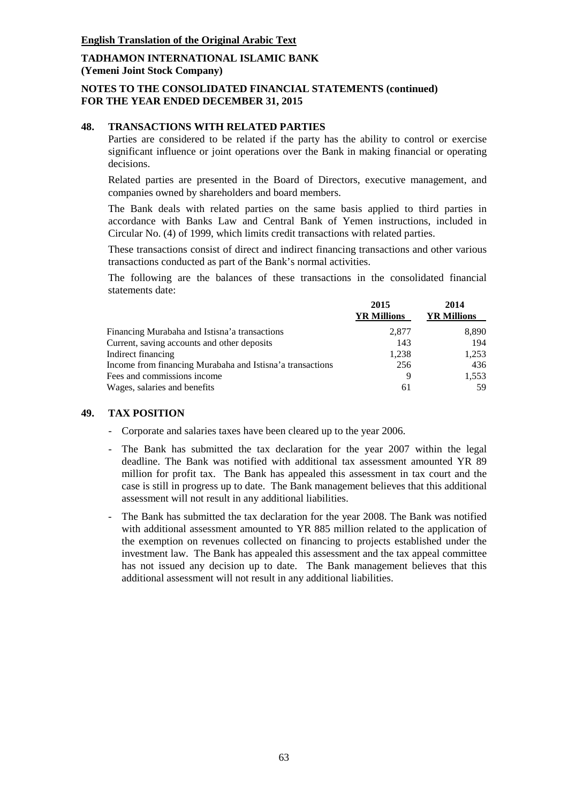# **NOTES TO THE CONSOLIDATED FINANCIAL STATEMENTS (continued) FOR THE YEAR ENDED DECEMBER 31, 2015**

### **48. TRANSACTIONS WITH RELATED PARTIES**

Parties are considered to be related if the party has the ability to control or exercise significant influence or joint operations over the Bank in making financial or operating decisions.

Related parties are presented in the Board of Directors, executive management, and companies owned by shareholders and board members.

The Bank deals with related parties on the same basis applied to third parties in accordance with Banks Law and Central Bank of Yemen instructions, included in Circular No. (4) of 1999, which limits credit transactions with related parties.

These transactions consist of direct and indirect financing transactions and other various transactions conducted as part of the Bank's normal activities.

The following are the balances of these transactions in the consolidated financial statements date:

| 2015<br><b>YR Millions</b> | 2014<br><b>YR Millions</b> |
|----------------------------|----------------------------|
| 2,877                      | 8,890                      |
| 143                        | 194                        |
| 1.238                      | 1,253                      |
| 256                        | 436                        |
| 9                          | 1,553                      |
| 61                         | 59                         |
|                            |                            |

#### **49. TAX POSITION**

- Corporate and salaries taxes have been cleared up to the year 2006.
- The Bank has submitted the tax declaration for the year 2007 within the legal deadline. The Bank was notified with additional tax assessment amounted YR 89 million for profit tax. The Bank has appealed this assessment in tax court and the case is still in progress up to date. The Bank management believes that this additional assessment will not result in any additional liabilities.
- The Bank has submitted the tax declaration for the year 2008. The Bank was notified with additional assessment amounted to YR 885 million related to the application of the exemption on revenues collected on financing to projects established under the investment law. The Bank has appealed this assessment and the tax appeal committee has not issued any decision up to date. The Bank management believes that this additional assessment will not result in any additional liabilities.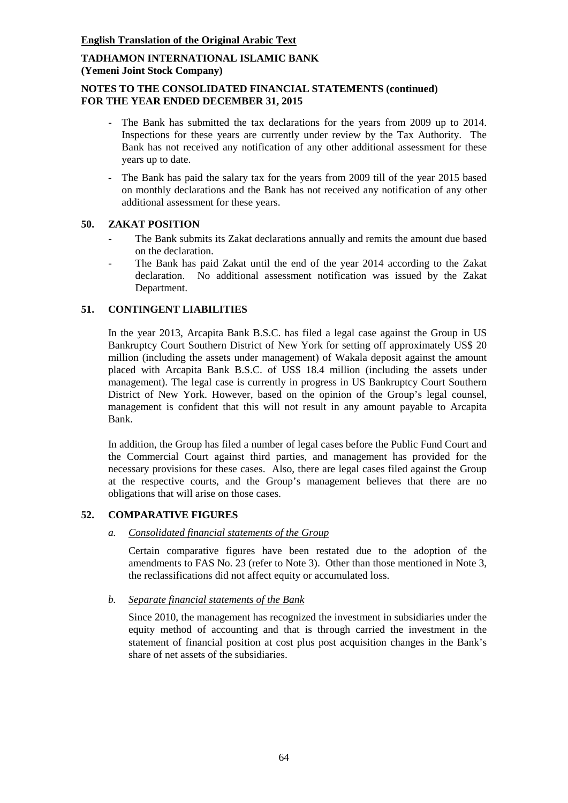# **NOTES TO THE CONSOLIDATED FINANCIAL STATEMENTS (continued) FOR THE YEAR ENDED DECEMBER 31, 2015**

- The Bank has submitted the tax declarations for the years from 2009 up to 2014. Inspections for these years are currently under review by the Tax Authority. The Bank has not received any notification of any other additional assessment for these years up to date.
- The Bank has paid the salary tax for the years from 2009 till of the year 2015 based on monthly declarations and the Bank has not received any notification of any other additional assessment for these years.

# **50. ZAKAT POSITION**

- The Bank submits its Zakat declarations annually and remits the amount due based on the declaration.
- The Bank has paid Zakat until the end of the year 2014 according to the Zakat declaration. No additional assessment notification was issued by the Zakat Department.

# **51. CONTINGENT LIABILITIES**

In the year 2013, Arcapita Bank B.S.C. has filed a legal case against the Group in US Bankruptcy Court Southern District of New York for setting off approximately US\$ 20 million (including the assets under management) of Wakala deposit against the amount placed with Arcapita Bank B.S.C. of US\$ 18.4 million (including the assets under management). The legal case is currently in progress in US Bankruptcy Court Southern District of New York. However, based on the opinion of the Group's legal counsel, management is confident that this will not result in any amount payable to Arcapita Bank.

In addition, the Group has filed a number of legal cases before the Public Fund Court and the Commercial Court against third parties, and management has provided for the necessary provisions for these cases. Also, there are legal cases filed against the Group at the respective courts, and the Group's management believes that there are no obligations that will arise on those cases.

# **52. COMPARATIVE FIGURES**

# *a. Consolidated financial statements of the Group*

Certain comparative figures have been restated due to the adoption of the amendments to FAS No. 23 (refer to Note 3). Other than those mentioned in Note 3, the reclassifications did not affect equity or accumulated loss.

*b. Separate financial statements of the Bank*

Since 2010, the management has recognized the investment in subsidiaries under the equity method of accounting and that is through carried the investment in the statement of financial position at cost plus post acquisition changes in the Bank's share of net assets of the subsidiaries.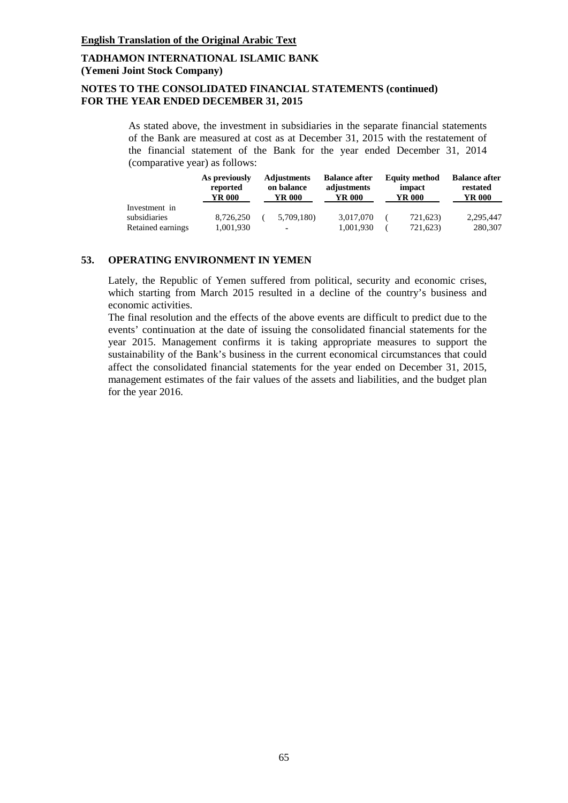# **NOTES TO THE CONSOLIDATED FINANCIAL STATEMENTS (continued) FOR THE YEAR ENDED DECEMBER 31, 2015**

As stated above, the investment in subsidiaries in the separate financial statements of the Bank are measured at cost as at December 31, 2015 with the restatement of the financial statement of the Bank for the year ended December 31, 2014 (comparative year) as follows:

|                   | As previously<br>reported<br>YR 000 | <b>Adjustments</b><br>on balance<br>YR 000 | <b>Balance after</b><br>adjustments<br>YR 000 | <b>Equity method</b><br>impact<br>YR 000 | <b>Balance after</b><br>restated<br>YR 000 |
|-------------------|-------------------------------------|--------------------------------------------|-----------------------------------------------|------------------------------------------|--------------------------------------------|
| Investment in     |                                     |                                            |                                               |                                          |                                            |
| subsidiaries      | 8.726.250                           | 5,709,180)                                 | 3.017.070                                     | 721,623)                                 | 2.295.447                                  |
| Retained earnings | 1,001,930                           | ٠                                          | 1,001,930                                     | 721,623)                                 | 280,307                                    |

### **53. OPERATING ENVIRONMENT IN YEMEN**

Lately, the Republic of Yemen suffered from political, security and economic crises, which starting from March 2015 resulted in a decline of the country's business and economic activities.

The final resolution and the effects of the above events are difficult to predict due to the events' continuation at the date of issuing the consolidated financial statements for the year 2015. Management confirms it is taking appropriate measures to support the sustainability of the Bank's business in the current economical circumstances that could affect the consolidated financial statements for the year ended on December 31, 2015, management estimates of the fair values of the assets and liabilities, and the budget plan for the year 2016.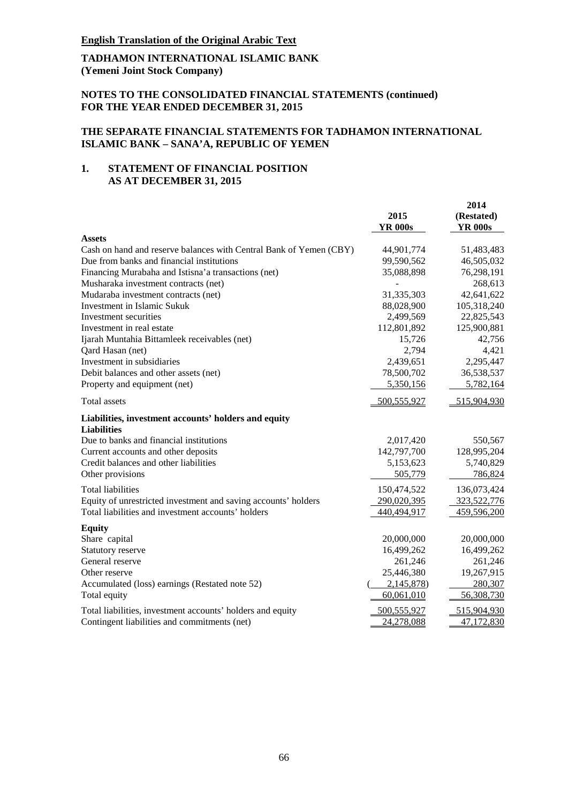# **TADHAMON INTERNATIONAL ISLAMIC BANK (Yemeni Joint Stock Company)**

### **NOTES TO THE CONSOLIDATED FINANCIAL STATEMENTS (continued) FOR THE YEAR ENDED DECEMBER 31, 2015**

### **THE SEPARATE FINANCIAL STATEMENTS FOR TADHAMON INTERNATIONAL ISLAMIC BANK – SANA'A, REPUBLIC OF YEMEN**

# **1. STATEMENT OF FINANCIAL POSITION AS AT DECEMBER 31, 2015**

|                                                                            | 2015<br><b>YR 000s</b> | 2014<br>(Restated)<br><b>YR 000s</b> |
|----------------------------------------------------------------------------|------------------------|--------------------------------------|
| <b>Assets</b>                                                              |                        |                                      |
| Cash on hand and reserve balances with Central Bank of Yemen (CBY)         | 44,901,774             | 51,483,483                           |
| Due from banks and financial institutions                                  | 99,590,562             | 46,505,032                           |
| Financing Murabaha and Istisna'a transactions (net)                        | 35,088,898             | 76,298,191                           |
| Musharaka investment contracts (net)                                       |                        | 268,613                              |
| Mudaraba investment contracts (net)                                        | 31,335,303             | 42,641,622                           |
| Investment in Islamic Sukuk                                                | 88,028,900             | 105,318,240                          |
| Investment securities                                                      | 2,499,569              | 22,825,543                           |
| Investment in real estate                                                  | 112,801,892            | 125,900,881                          |
| Ijarah Muntahia Bittamleek receivables (net)                               | 15,726                 | 42,756                               |
| Qard Hasan (net)                                                           | 2,794                  | 4,421                                |
| Investment in subsidiaries                                                 | 2,439,651              | 2,295,447                            |
| Debit balances and other assets (net)                                      | 78,500,702             | 36,538,537                           |
| Property and equipment (net)                                               | 5,350,156              | 5,782,164                            |
| Total assets                                                               | 500,555,927            | 515,904,930                          |
| Liabilities, investment accounts' holders and equity<br><b>Liabilities</b> |                        |                                      |
| Due to banks and financial institutions                                    | 2,017,420              | 550,567                              |
| Current accounts and other deposits                                        | 142,797,700            | 128,995,204                          |
| Credit balances and other liabilities                                      | 5,153,623              | 5,740,829                            |
| Other provisions                                                           | 505,779                | 786,824                              |
| <b>Total liabilities</b>                                                   | 150,474,522            | 136,073,424                          |
| Equity of unrestricted investment and saving accounts' holders             | 290,020,395            | 323,522,776                          |
| Total liabilities and investment accounts' holders                         | 440,494,917            | 459,596,200                          |
| <b>Equity</b>                                                              |                        |                                      |
| Share capital                                                              | 20,000,000             | 20,000,000                           |
| Statutory reserve                                                          | 16,499,262             | 16,499,262                           |
| General reserve                                                            | 261,246                | 261,246                              |
| Other reserve                                                              | 25,446,380             | 19,267,915                           |
| Accumulated (loss) earnings (Restated note 52)                             | 2,145,878              | 280,307                              |
| Total equity                                                               | 60,061,010             | 56,308,730                           |
| Total liabilities, investment accounts' holders and equity                 | 500,555,927            | 515,904,930                          |
| Contingent liabilities and commitments (net)                               | 24,278,088             | 47,172,830                           |